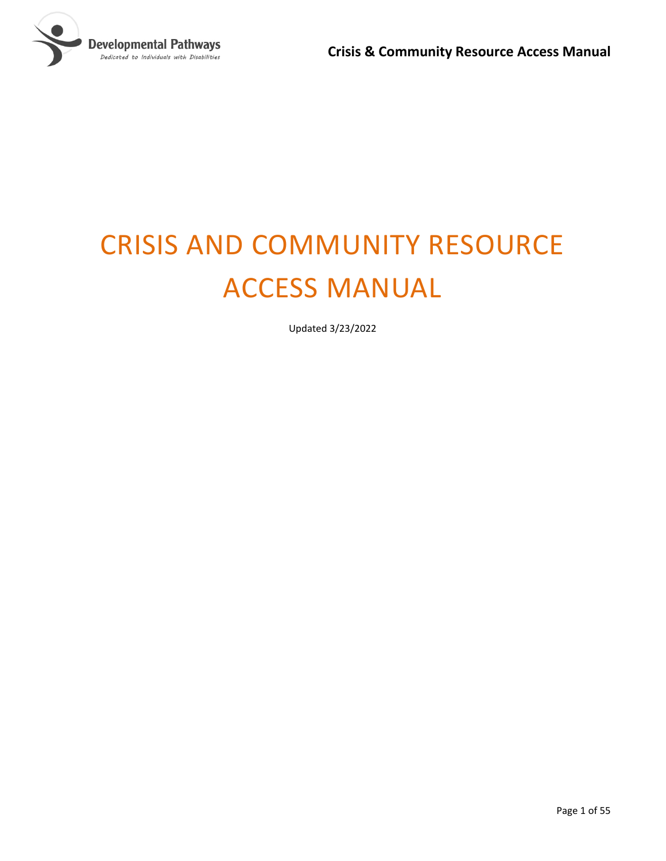

# CRISIS AND COMMUNITY RESOURCE ACCESS MANUAL

Updated 3/23/2022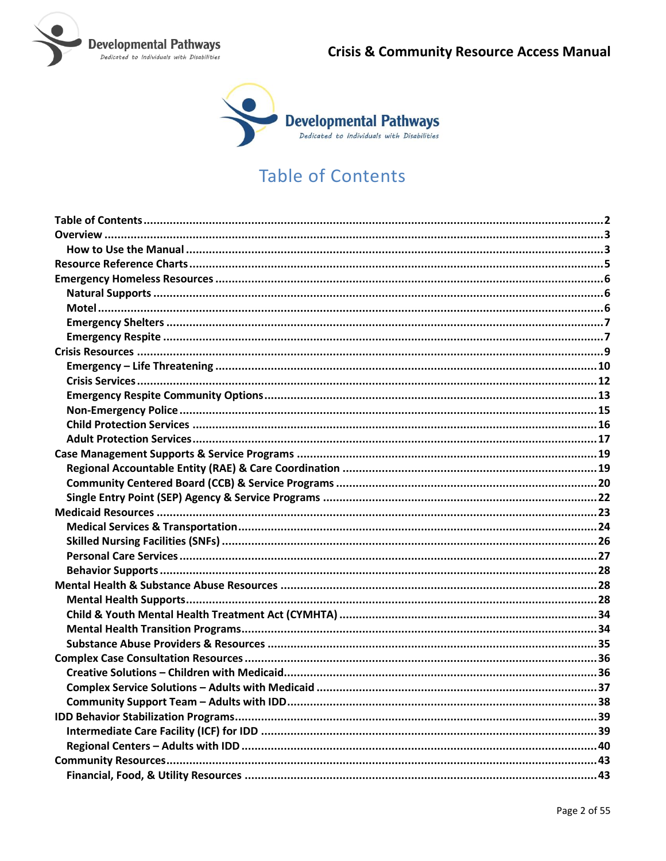



# **Table of Contents**

<span id="page-1-0"></span>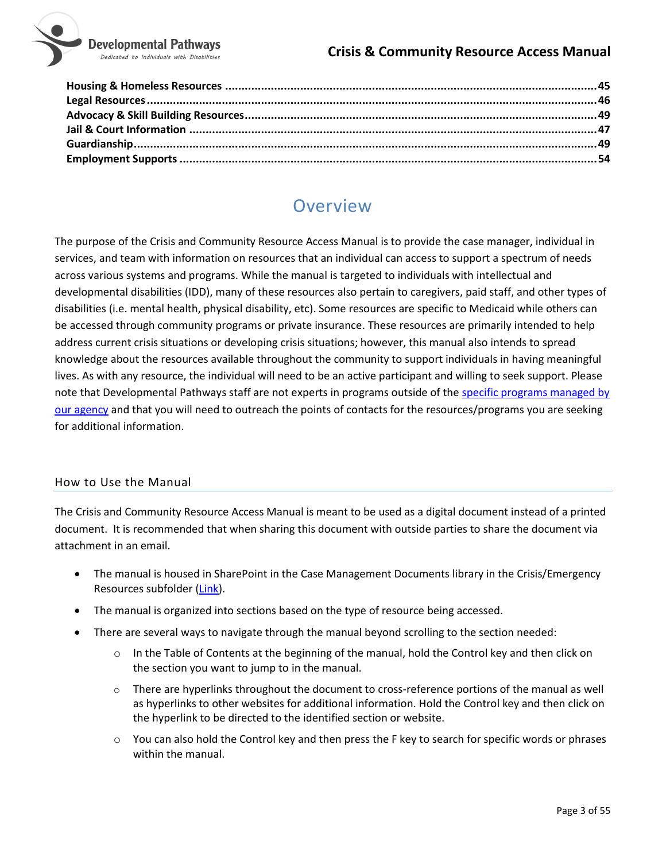

# Overview

<span id="page-2-0"></span>The purpose of the Crisis and Community Resource Access Manual is to provide the case manager, individual in services, and team with information on resources that an individual can access to support a spectrum of needs across various systems and programs. While the manual is targeted to individuals with intellectual and developmental disabilities (IDD), many of these resources also pertain to caregivers, paid staff, and other types of disabilities (i.e. mental health, physical disability, etc). Some resources are specific to Medicaid while others can be accessed through community programs or private insurance. These resources are primarily intended to help address current crisis situations or developing crisis situations; however, this manual also intends to spread knowledge about the resources available throughout the community to support individuals in having meaningful lives. As with any resource, the individual will need to be an active participant and willing to seek support. Please note that Developmental Pathways staff are not experts in programs outside of th[e specific programs managed by](#page-19-0)  [our agency](#page-19-0) and that you will need to outreach the points of contacts for the resources/programs you are seeking for additional information.

#### <span id="page-2-1"></span>How to Use the Manual

The Crisis and Community Resource Access Manual is meant to be used as a digital document instead of a printed document. It is recommended that when sharing this document with outside parties to share the document via attachment in an email.

- The manual is housed in SharePoint in the Case Management Documents library in the Crisis/Emergency Resources subfolder [\(Link\)](https://nmsco.sharepoint.com/:w:/r/sites/cm/cmdocs/Crisis%20and%20Community%20Resource%20Access%20Manual.docx?d=w1792ea76f0ce4e3da588192edd5f0648&csf=1).
- The manual is organized into sections based on the type of resource being accessed.
- There are several ways to navigate through the manual beyond scrolling to the section needed:
	- $\circ$  In the Table of Contents at the beginning of the manual, hold the Control key and then click on the section you want to jump to in the manual.
	- $\circ$  There are hyperlinks throughout the document to cross-reference portions of the manual as well as hyperlinks to other websites for additional information. Hold the Control key and then click on the hyperlink to be directed to the identified section or website.
	- $\circ$  You can also hold the Control key and then press the F key to search for specific words or phrases within the manual.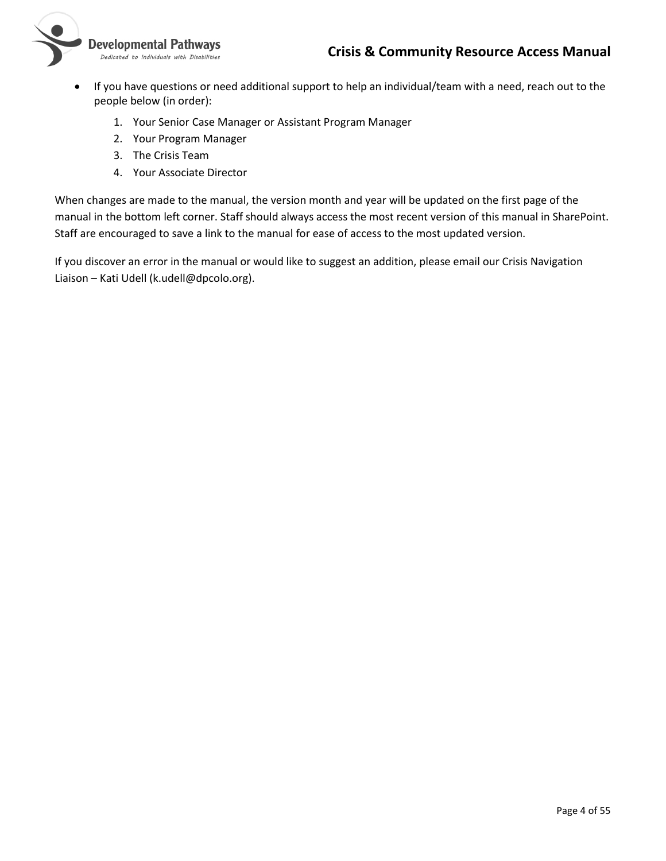

- If you have questions or need additional support to help an individual/team with a need, reach out to the people below (in order):
	- 1. Your Senior Case Manager or Assistant Program Manager
	- 2. Your Program Manager
	- 3. The Crisis Team
	- 4. Your Associate Director

When changes are made to the manual, the version month and year will be updated on the first page of the manual in the bottom left corner. Staff should always access the most recent version of this manual in SharePoint. Staff are encouraged to save a link to the manual for ease of access to the most updated version.

If you discover an error in the manual or would like to suggest an addition, please email our Crisis Navigation Liaison – Kati Udell (k.udell@dpcolo.org).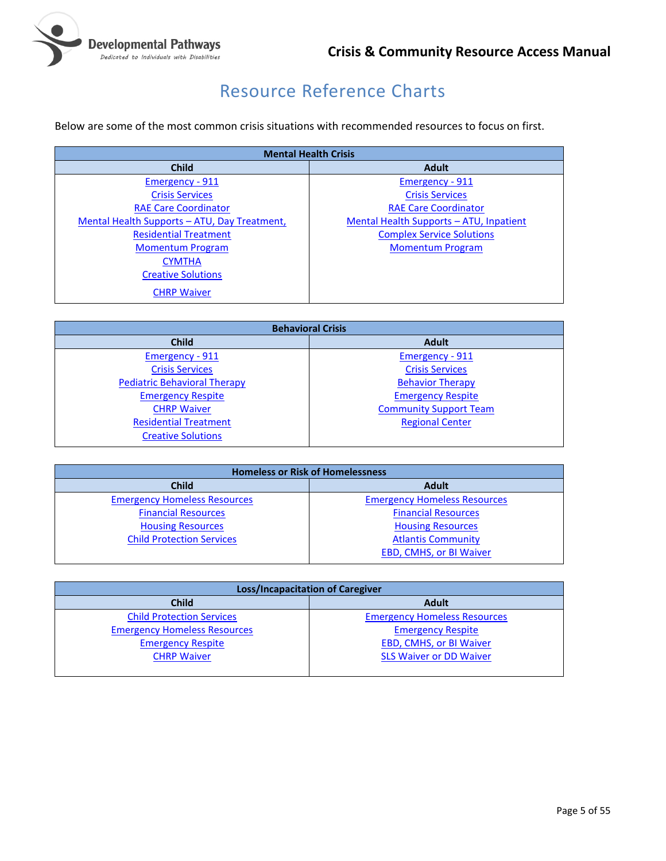

# Resource Reference Charts

<span id="page-4-0"></span>Below are some of the most common crisis situations with recommended resources to focus on first.

| <b>Mental Health Crisis</b>                  |                                         |
|----------------------------------------------|-----------------------------------------|
| <b>Child</b>                                 | <b>Adult</b>                            |
| <b>Emergency - 911</b>                       | Emergency - 911                         |
| <b>Crisis Services</b>                       | <b>Crisis Services</b>                  |
| <b>RAE Care Coordinator</b>                  | <b>RAE Care Coordinator</b>             |
| Mental Health Supports - ATU, Day Treatment, | Mental Health Supports - ATU, Inpatient |
| <b>Residential Treatment</b>                 | <b>Complex Service Solutions</b>        |
| <b>Momentum Program</b>                      | <b>Momentum Program</b>                 |
| <b>CYMTHA</b>                                |                                         |
| <b>Creative Solutions</b>                    |                                         |
| <b>CHRP Waiver</b>                           |                                         |

| <b>Behavioral Crisis</b>            |                               |
|-------------------------------------|-------------------------------|
| <b>Child</b>                        | <b>Adult</b>                  |
| Emergency - 911                     | Emergency - 911               |
| <b>Crisis Services</b>              | <b>Crisis Services</b>        |
| <b>Pediatric Behavioral Therapy</b> | <b>Behavior Therapy</b>       |
| <b>Emergency Respite</b>            | <b>Emergency Respite</b>      |
| <b>CHRP Waiver</b>                  | <b>Community Support Team</b> |
| <b>Residential Treatment</b>        | <b>Regional Center</b>        |
| <b>Creative Solutions</b>           |                               |

| <b>Homeless or Risk of Homelessness</b> |                                     |
|-----------------------------------------|-------------------------------------|
| <b>Child</b>                            | <b>Adult</b>                        |
| <b>Emergency Homeless Resources</b>     | <b>Emergency Homeless Resources</b> |
| <b>Financial Resources</b>              | <b>Financial Resources</b>          |
| <b>Housing Resources</b>                | <b>Housing Resources</b>            |
| <b>Child Protection Services</b>        | <b>Atlantis Community</b>           |
|                                         | <b>EBD, CMHS, or BI Waiver</b>      |

| <b>Loss/Incapacitation of Caregiver</b> |                                     |
|-----------------------------------------|-------------------------------------|
| <b>Child</b>                            | <b>Adult</b>                        |
| <b>Child Protection Services</b>        | <b>Emergency Homeless Resources</b> |
| <b>Emergency Homeless Resources</b>     | <b>Emergency Respite</b>            |
| <b>Emergency Respite</b>                | <b>EBD, CMHS, or BI Waiver</b>      |
| <b>CHRP Waiver</b>                      | <b>SLS Waiver or DD Waiver</b>      |
|                                         |                                     |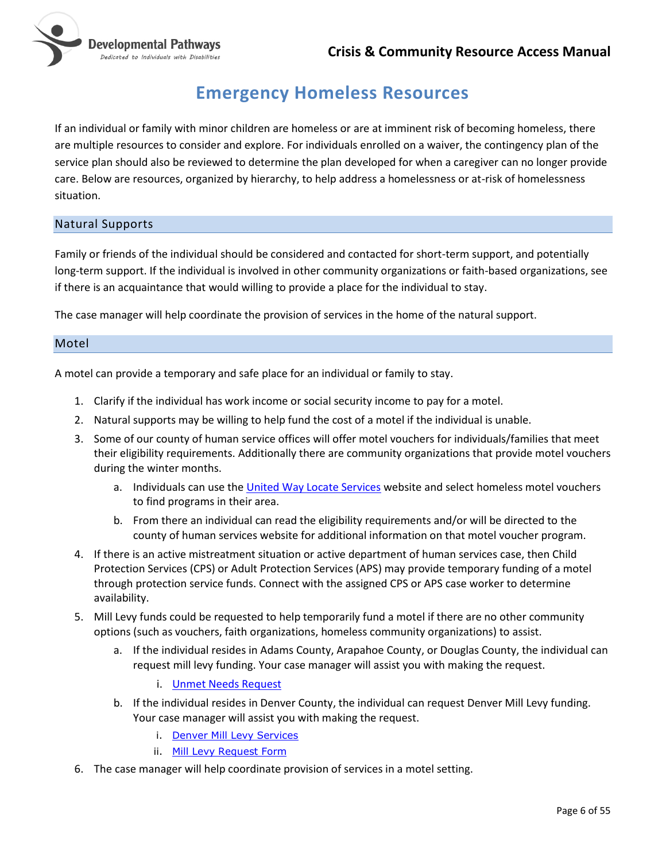

# **Emergency Homeless Resources**

<span id="page-5-0"></span>If an individual or family with minor children are homeless or are at imminent risk of becoming homeless, there are multiple resources to consider and explore. For individuals enrolled on a waiver, the contingency plan of the service plan should also be reviewed to determine the plan developed for when a caregiver can no longer provide care. Below are resources, organized by hierarchy, to help address a homelessness or at-risk of homelessness situation.

#### <span id="page-5-1"></span>Natural Supports

Family or friends of the individual should be considered and contacted for short-term support, and potentially long-term support. If the individual is involved in other community organizations or faith-based organizations, see if there is an acquaintance that would willing to provide a place for the individual to stay.

The case manager will help coordinate the provision of services in the home of the natural support.

#### <span id="page-5-2"></span>Motel

A motel can provide a temporary and safe place for an individual or family to stay.

- 1. Clarify if the individual has work income or social security income to pay for a motel.
- 2. Natural supports may be willing to help fund the cost of a motel if the individual is unable.
- 3. Some of our county of human service offices will offer motel vouchers for individuals/families that meet their eligibility requirements. Additionally there are community organizations that provide motel vouchers during the winter months.
	- a. Individuals can use th[e United Way Locate Services](https://www.211colorado.org/housing-and-shelter/) website and select homeless motel vouchers to find programs in their area.
	- b. From there an individual can read the eligibility requirements and/or will be directed to the county of human services website for additional information on that motel voucher program.
- 4. If there is an active mistreatment situation or active department of human services case, then Child Protection Services (CPS) or Adult Protection Services (APS) may provide temporary funding of a motel through protection service funds. Connect with the assigned CPS or APS case worker to determine availability.
- 5. Mill Levy funds could be requested to help temporarily fund a motel if there are no other community options (such as vouchers, faith organizations, homeless community organizations) to assist.
	- a. If the individual resides in Adams County, Arapahoe County, or Douglas County, the individual can request mill levy funding. Your case manager will assist you with making the request.
		- i. [Unmet Needs Request](https://nmsco.sharepoint.com/sites/co/SitePages/DPFundingResources.aspx)
	- b. If the individual resides in Denver County, the individual can request Denver Mill Levy funding. Your case manager will assist you with making the request.
		- i. [Denver Mill Levy Services](https://www.rmhumanservices.org/ml)
		- ii. [Mill Levy Request Form](https://www.rmhumanservices.org/individual-requests)
- 6. The case manager will help coordinate provision of services in a motel setting.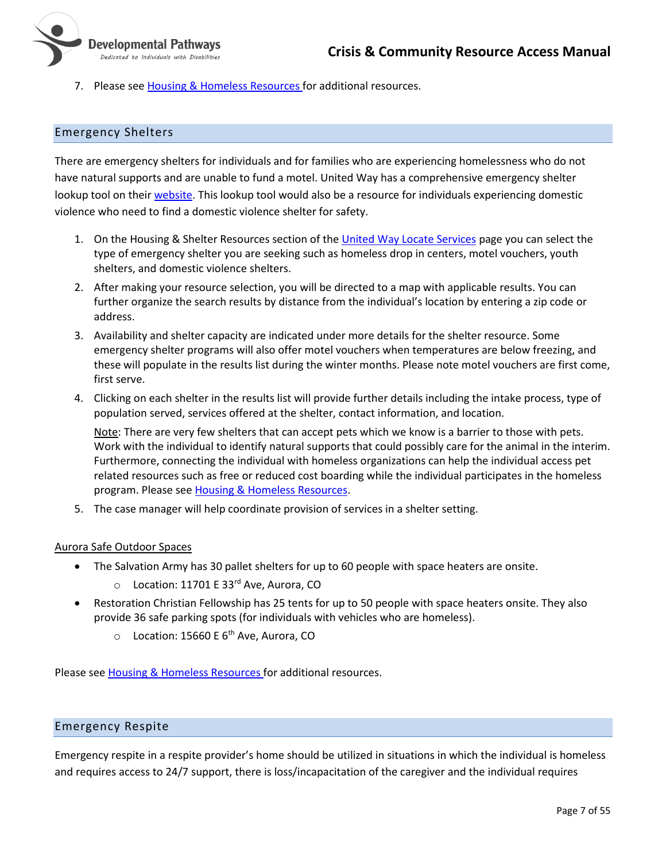- Developmental Pathways Dedicated to Individuals with Disabilities
	- 7. Please see Housing [& Homeless](#page-44-0) Resources for additional resources.

#### <span id="page-6-0"></span>Emergency Shelters

There are emergency shelters for individuals and for families who are experiencing homelessness who do not have natural supports and are unable to fund a motel. United Way has a comprehensive emergency shelter lookup tool on thei[r website.](https://search.211colorado.org/) This lookup tool would also be a resource for individuals experiencing domestic violence who need to find a domestic violence shelter for safety.

- 1. On the Housing & Shelter Resources section of the [United Way Locate Services](https://www.211colorado.org/housing-and-shelter/) page you can select the type of emergency shelter you are seeking such as homeless drop in centers, motel vouchers, youth shelters, and domestic violence shelters.
- 2. After making your resource selection, you will be directed to a map with applicable results. You can further organize the search results by distance from the individual's location by entering a zip code or address.
- 3. Availability and shelter capacity are indicated under more details for the shelter resource. Some emergency shelter programs will also offer motel vouchers when temperatures are below freezing, and these will populate in the results list during the winter months. Please note motel vouchers are first come, first serve.
- 4. Clicking on each shelter in the results list will provide further details including the intake process, type of population served, services offered at the shelter, contact information, and location.

Note: There are very few shelters that can accept pets which we know is a barrier to those with pets. Work with the individual to identify natural supports that could possibly care for the animal in the interim. Furthermore, connecting the individual with homeless organizations can help the individual access pet related resources such as free or reduced cost boarding while the individual participates in the homeless program. Please see Housing [& Homeless](#page-44-0) Resources.

5. The case manager will help coordinate provision of services in a shelter setting.

#### Aurora Safe Outdoor Spaces

- The Salvation Army has 30 pallet shelters for up to 60 people with space heaters are onsite.
	- o Location: 11701 E 33rd Ave, Aurora, CO
- Restoration Christian Fellowship has 25 tents for up to 50 people with space heaters onsite. They also provide 36 safe parking spots (for individuals with vehicles who are homeless).
	- $\circ$  Location: 15660 E 6<sup>th</sup> Ave, Aurora, CO

Please see [Housing & Homeless Resources](#page-44-0) for additional resources.

#### <span id="page-6-1"></span>Emergency Respite

Emergency respite in a respite provider's home should be utilized in situations in which the individual is homeless and requires access to 24/7 support, there is loss/incapacitation of the caregiver and the individual requires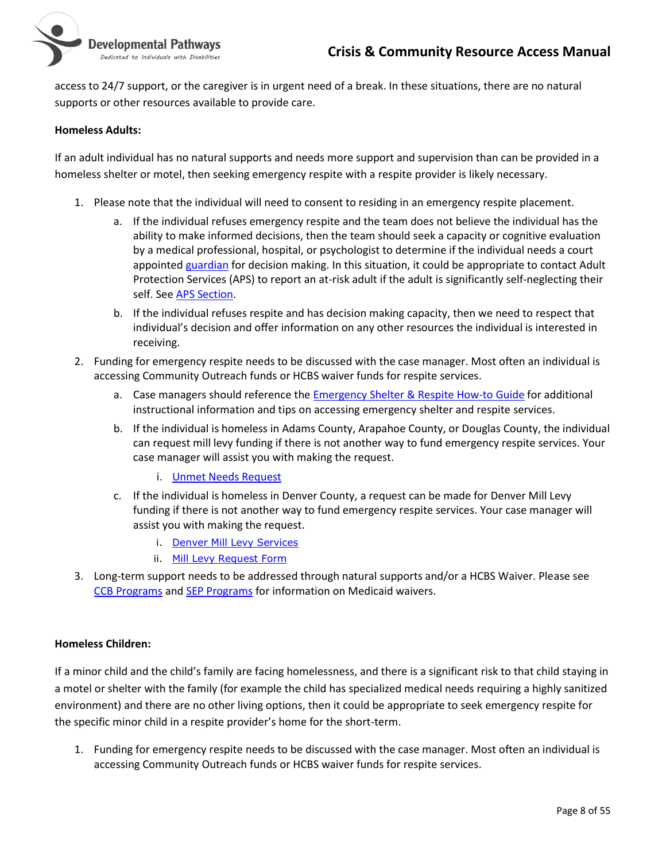

access to 24/7 support, or the caregiver is in urgent need of a break. In these situations, there are no natural supports or other resources available to provide care.

#### **Homeless Adults:**

If an adult individual has no natural supports and needs more support and supervision than can be provided in a homeless shelter or motel, then seeking emergency respite with a respite provider is likely necessary.

- 1. Please note that the individual will need to consent to residing in an emergency respite placement.
	- a. If the individual refuses emergency respite and the team does not believe the individual has the ability to make informed decisions, then the team should seek a capacity or cognitive evaluation by a medical professional, hospital, or psychologist to determine if the individual needs a court appointed [guardian](#page-48-0) for decision making. In this situation, it could be appropriate to contact Adult Protection Services (APS) to report an at-risk adult if the adult is significantly self-neglecting their self. See [APS Section.](#page-16-0)
	- b. If the individual refuses respite and has decision making capacity, then we need to respect that individual's decision and offer information on any other resources the individual is interested in receiving.
- 2. Funding for emergency respite needs to be discussed with the case manager. Most often an individual is accessing Community Outreach funds or HCBS waiver funds for respite services.
	- a. Case managers should reference the **Emergency Shelter & Respite How-to Guide** for additional instructional information and tips on accessing emergency shelter and respite services.
	- b. If the individual is homeless in Adams County, Arapahoe County, or Douglas County, the individual can request mill levy funding if there is not another way to fund emergency respite services. Your case manager will assist you with making the request.
		- i. [Unmet Needs Request](https://nmsco.sharepoint.com/sites/co/SitePages/DPFundingResources.aspx)
	- c. If the individual is homeless in Denver County, a request can be made for Denver Mill Levy funding if there is not another way to fund emergency respite services. Your case manager will assist you with making the request.
		- i. [Denver Mill Levy Services](https://www.rmhumanservices.org/ml)
		- ii. [Mill Levy Request Form](https://www.rmhumanservices.org/individual-requests)
- 3. Long-term support needs to be addressed through natural supports and/or a HCBS Waiver. Please see [CCB Programs](#page-19-0) and [SEP Programs](#page-21-0) for information on Medicaid waivers.

#### **Homeless Children:**

If a minor child and the child's family are facing homelessness, and there is a significant risk to that child staying in a motel or shelter with the family (for example the child has specialized medical needs requiring a highly sanitized environment) and there are no other living options, then it could be appropriate to seek emergency respite for the specific minor child in a respite provider's home for the short-term.

1. Funding for emergency respite needs to be discussed with the case manager. Most often an individual is accessing Community Outreach funds or HCBS waiver funds for respite services.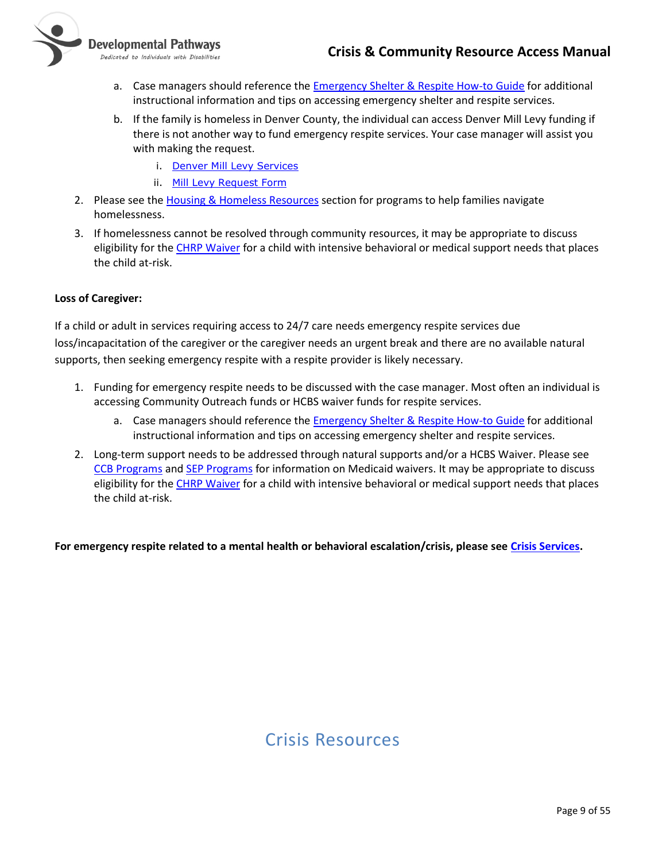

- a. Case managers should reference the [Emergency Shelter & Respite How-to Guide](https://nmsco.sharepoint.com/sites/cm/cmdocs/Emergency%20Shelter%20&%20Respite%20How-to%20Guide.docx?d=wbdcaa24196474f0dbcd78968570a68af) for additional instructional information and tips on accessing emergency shelter and respite services.
- b. If the family is homeless in Denver County, the individual can access Denver Mill Levy funding if there is not another way to fund emergency respite services. Your case manager will assist you with making the request.
	- i. [Denver Mill Levy Services](https://www.rmhumanservices.org/ml)
	- ii. [Mill Levy Request Form](https://www.rmhumanservices.org/individual-requests)
- 2. Please see the Housing [& Homeless](#page-44-0) Resources section for programs to help families navigate homelessness.
- 3. If homelessness cannot be resolved through community resources, it may be appropriate to discuss eligibility for the [CHRP Waiver](https://www.colorado.gov/hcpf/childrens-habilitation-residential-program-waiver-chrp) for a child with intensive behavioral or medical support needs that places the child at-risk.

#### **Loss of Caregiver:**

If a child or adult in services requiring access to 24/7 care needs emergency respite services due loss/incapacitation of the caregiver or the caregiver needs an urgent break and there are no available natural supports, then seeking emergency respite with a respite provider is likely necessary.

- 1. Funding for emergency respite needs to be discussed with the case manager. Most often an individual is accessing Community Outreach funds or HCBS waiver funds for respite services.
	- a. Case managers should reference the [Emergency Shelter & Respite How-to Guide](https://nmsco.sharepoint.com/sites/cm/cmdocs/Emergency%20Shelter%20&%20Respite%20How-to%20Guide.docx?d=wbdcaa24196474f0dbcd78968570a68af) for additional instructional information and tips on accessing emergency shelter and respite services.
- 2. Long-term support needs to be addressed through natural supports and/or a HCBS Waiver. Please see [CCB Programs](#page-19-0) and [SEP Programs](#page-21-0) for information on Medicaid waivers. It may be appropriate to discuss eligibility for the [CHRP Waiver](https://www.colorado.gov/hcpf/childrens-habilitation-residential-program-waiver-chrp) for a child with intensive behavioral or medical support needs that places the child at-risk.

<span id="page-8-0"></span>**For emergency respite related to a mental health or behavioral escalation/crisis, please se[e Crisis Services.](#page-11-0)** 

# Crisis Resources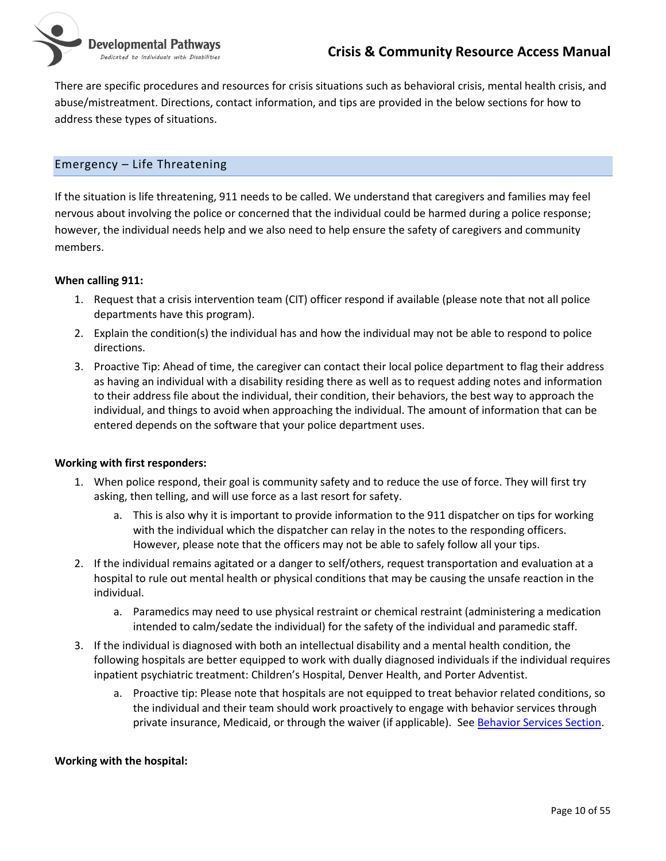Developmental Pathways Dedicated to Individuals with Disabilities

> There are specific procedures and resources for crisis situations such as behavioral crisis, mental health crisis, and abuse/mistreatment. Directions, contact information, and tips are provided in the below sections for how to address these types of situations.

### <span id="page-9-0"></span>Emergency – Life Threatening

If the situation is life threatening, 911 needs to be called. We understand that caregivers and families may feel nervous about involving the police or concerned that the individual could be harmed during a police response; however, the individual needs help and we also need to help ensure the safety of caregivers and community members.

#### **When calling 911:**

- 1. Request that a crisis intervention team (CIT) officer respond if available (please note that not all police departments have this program).
- 2. Explain the condition(s) the individual has and how the individual may not be able to respond to police directions.
- 3. Proactive Tip: Ahead of time, the caregiver can contact their local police department to flag their address as having an individual with a disability residing there as well as to request adding notes and information to their address file about the individual, their condition, their behaviors, the best way to approach the individual, and things to avoid when approaching the individual. The amount of information that can be entered depends on the software that your police department uses.

#### **Working with first responders:**

- 1. When police respond, their goal is community safety and to reduce the use of force. They will first try asking, then telling, and will use force as a last resort for safety.
	- a. This is also why it is important to provide information to the 911 dispatcher on tips for working with the individual which the dispatcher can relay in the notes to the responding officers. However, please note that the officers may not be able to safely follow all your tips.
- 2. If the individual remains agitated or a danger to self/others, request transportation and evaluation at a hospital to rule out mental health or physical conditions that may be causing the unsafe reaction in the individual.
	- a. Paramedics may need to use physical restraint or chemical restraint (administering a medication intended to calm/sedate the individual) for the safety of the individual and paramedic staff.
- 3. If the individual is diagnosed with both an intellectual disability and a mental health condition, the following hospitals are better equipped to work with dually diagnosed individuals if the individual requires inpatient psychiatric treatment: Children's Hospital, Denver Health, and Porter Adventist.
	- a. Proactive tip: Please note that hospitals are not equipped to treat behavior related conditions, so the individual and their team should work proactively to engage with behavior services through private insurance, Medicaid, or through the waiver (if applicable). See [Behavior Services Section.](#page-27-0)

#### **Working with the hospital:**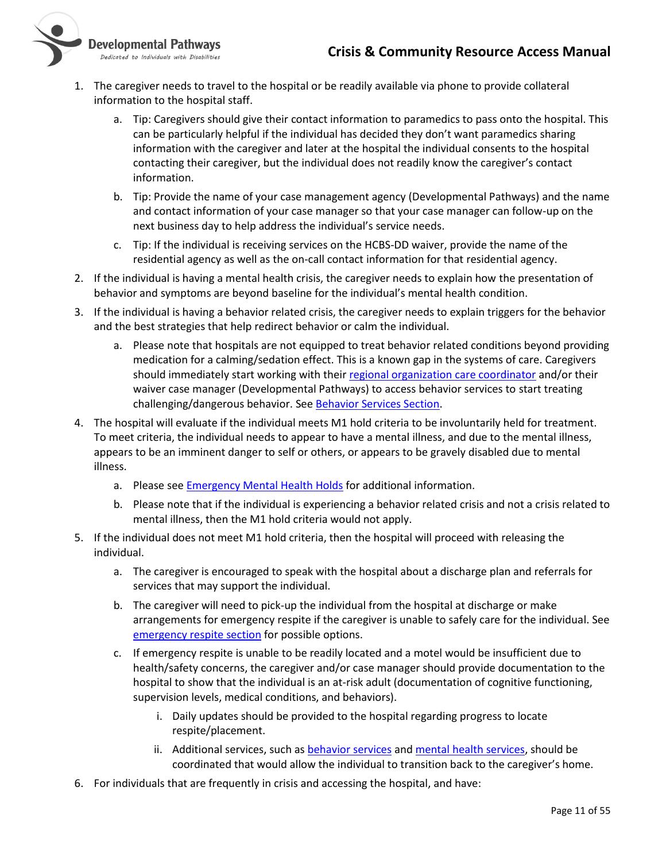

Dedicated to Individuals with Disabilities

- 1. The caregiver needs to travel to the hospital or be readily available via phone to provide collateral information to the hospital staff.
	- a. Tip: Caregivers should give their contact information to paramedics to pass onto the hospital. This can be particularly helpful if the individual has decided they don't want paramedics sharing information with the caregiver and later at the hospital the individual consents to the hospital contacting their caregiver, but the individual does not readily know the caregiver's contact information.
	- b. Tip: Provide the name of your case management agency (Developmental Pathways) and the name and contact information of your case manager so that your case manager can follow-up on the next business day to help address the individual's service needs.
	- c. Tip: If the individual is receiving services on the HCBS-DD waiver, provide the name of the residential agency as well as the on-call contact information for that residential agency.
- 2. If the individual is having a mental health crisis, the caregiver needs to explain how the presentation of behavior and symptoms are beyond baseline for the individual's mental health condition.
- 3. If the individual is having a behavior related crisis, the caregiver needs to explain triggers for the behavior and the best strategies that help redirect behavior or calm the individual.
	- a. Please note that hospitals are not equipped to treat behavior related conditions beyond providing medication for a calming/sedation effect. This is a known gap in the systems of care. Caregivers should immediately start working with their [regional organization care coordinator](#page-18-1) and/or their waiver case manager (Developmental Pathways) to access behavior services to start treating challenging/dangerous behavior. See [Behavior Services Section.](#page-27-0)
- 4. The hospital will evaluate if the individual meets M1 hold criteria to be involuntarily held for treatment. To meet criteria, the individual needs to appear to have a mental illness, and due to the mental illness, appears to be an imminent danger to self or others, or appears to be gravely disabled due to mental illness.
	- a. Please see [Emergency Mental Health Holds](https://leg.colorado.gov/publications/emergency-mental-health-holds-17-38) for additional information.
	- b. Please note that if the individual is experiencing a behavior related crisis and not a crisis related to mental illness, then the M1 hold criteria would not apply.
- 5. If the individual does not meet M1 hold criteria, then the hospital will proceed with releasing the individual.
	- a. The caregiver is encouraged to speak with the hospital about a discharge plan and referrals for services that may support the individual.
	- b. The caregiver will need to pick-up the individual from the hospital at discharge or make arrangements for emergency respite if the caregiver is unable to safely care for the individual. See [emergency respite section](#page-6-1) for possible options.
	- c. If emergency respite is unable to be readily located and a motel would be insufficient due to health/safety concerns, the caregiver and/or case manager should provide documentation to the hospital to show that the individual is an at-risk adult (documentation of cognitive functioning, supervision levels, medical conditions, and behaviors).
		- i. Daily updates should be provided to the hospital regarding progress to locate respite/placement.
		- ii. Additional services, such a[s behavior services](#page-27-0) and [mental health services,](#page-27-2) should be coordinated that would allow the individual to transition back to the caregiver's home.
- 6. For individuals that are frequently in crisis and accessing the hospital, and have: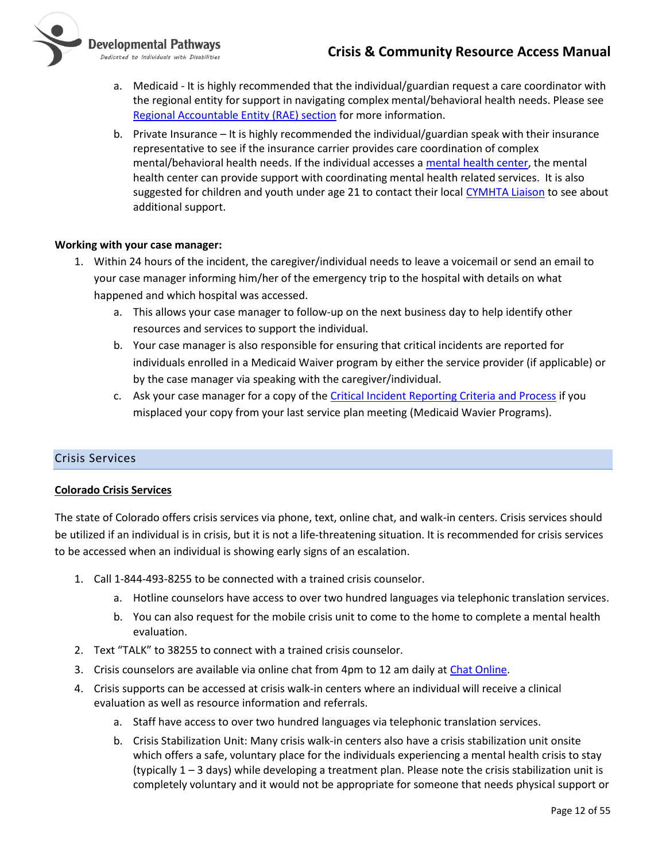

- a. Medicaid It is highly recommended that the individual/guardian request a care coordinator with the regional entity for support in navigating complex mental/behavioral health needs. Please see [Regional Accountable Entity \(RAE\) section](#page-18-1) for more information.
- b. Private Insurance It is highly recommended the individual/guardian speak with their insurance representative to see if the insurance carrier provides care coordination of complex mental/behavioral health needs. If the individual accesses [a mental health center,](#page-27-2) the mental health center can provide support with coordinating mental health related services. It is also suggested for children and youth under age 21 to contact their local [CYMHTA Liaison](#page-33-0) to see about additional support.

#### **Working with your case manager:**

- 1. Within 24 hours of the incident, the caregiver/individual needs to leave a voicemail or send an email to your case manager informing him/her of the emergency trip to the hospital with details on what happened and which hospital was accessed.
	- a. This allows your case manager to follow-up on the next business day to help identify other resources and services to support the individual.
	- b. Your case manager is also responsible for ensuring that critical incidents are reported for individuals enrolled in a Medicaid Waiver program by either the service provider (if applicable) or by the case manager via speaking with the caregiver/individual.
	- c. Ask your case manager for a copy of th[e Critical Incident Reporting Criteria and Process](https://nmsco.sharepoint.com/:w:/r/sites/cm/cmdocs/Critical%20Incident%20Reporting%20Criteria%20and%20Process%20-SP%20Folders.docx?d=we07ff2a440764806beaff2fce1454586&csf=1) if you misplaced your copy from your last service plan meeting (Medicaid Wavier Programs).

#### <span id="page-11-0"></span>Crisis Services

#### **Colorado Crisis Services**

The state of Colorado offers crisis services via phone, text, online chat, and walk-in centers. Crisis services should be utilized if an individual is in crisis, but it is not a life-threatening situation. It is recommended for crisis services to be accessed when an individual is showing early signs of an escalation.

- 1. Call 1-844-493-8255 to be connected with a trained crisis counselor.
	- a. Hotline counselors have access to over two hundred languages via telephonic translation services.
	- b. You can also request for the mobile crisis unit to come to the home to complete a mental health evaluation.
- 2. Text "TALK" to 38255 to connect with a trained crisis counselor.
- 3. Crisis counselors are available via online chat from 4pm to 12 am daily a[t Chat Online.](https://coloradocrisisservices.org/chat/)
- 4. Crisis supports can be accessed at crisis walk-in centers where an individual will receive a clinical evaluation as well as resource information and referrals.
	- a. Staff have access to over two hundred languages via telephonic translation services.
	- b. Crisis Stabilization Unit: Many crisis walk-in centers also have a crisis stabilization unit onsite which offers a safe, voluntary place for the individuals experiencing a mental health crisis to stay (typically 1 – 3 days) while developing a treatment plan. Please note the crisis stabilization unit is completely voluntary and it would not be appropriate for someone that needs physical support or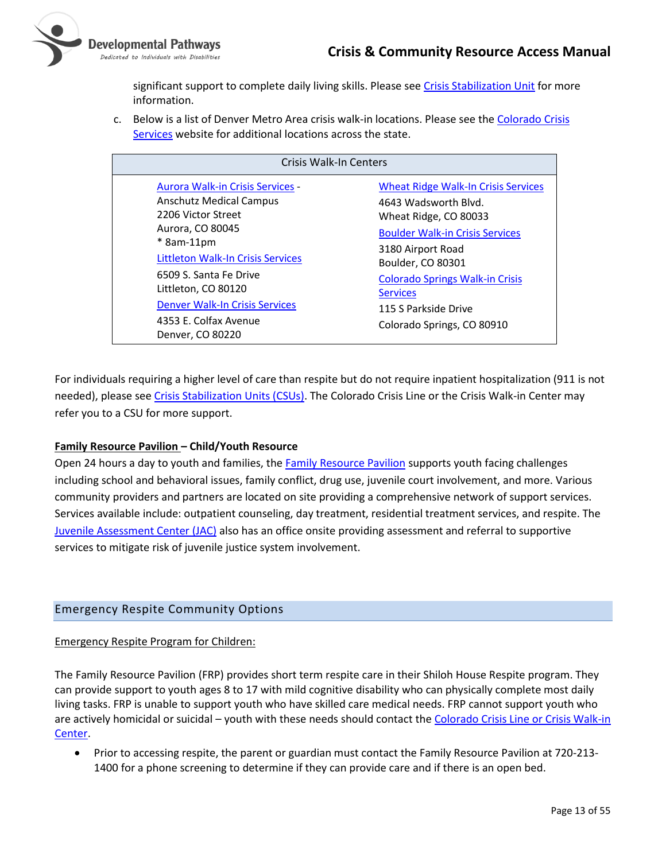

significant support to complete daily living skills. Please se[e Crisis Stabilization Unit](#page-30-0) for more information.

c. Below is a list of Denver Metro Area crisis walk-in locations. Please see the Colorado Crisis [Services](https://coloradocrisisservices.org/) website for additional locations across the state.

| <b>Crisis Walk-In Centers</b>                                                                                                                                                                                                                                                                                        |                                                                                                                                                                                                                                                                                                    |  |
|----------------------------------------------------------------------------------------------------------------------------------------------------------------------------------------------------------------------------------------------------------------------------------------------------------------------|----------------------------------------------------------------------------------------------------------------------------------------------------------------------------------------------------------------------------------------------------------------------------------------------------|--|
| <b>Aurora Walk-in Crisis Services</b><br><b>Anschutz Medical Campus</b><br>2206 Victor Street<br>Aurora, CO 80045<br>$*$ 8am-11pm<br><b>Littleton Walk-In Crisis Services</b><br>6509 S. Santa Fe Drive<br>Littleton, CO 80120<br><b>Denver Walk-In Crisis Services</b><br>4353 E. Colfax Avenue<br>Denver, CO 80220 | <b>Wheat Ridge Walk-In Crisis Services</b><br>4643 Wadsworth Blyd.<br>Wheat Ridge, CO 80033<br><b>Boulder Walk-in Crisis Services</b><br>3180 Airport Road<br>Boulder, CO 80301<br><b>Colorado Springs Walk-in Crisis</b><br><b>Services</b><br>115 S Parkside Drive<br>Colorado Springs, CO 80910 |  |

For individuals requiring a higher level of care than respite but do not require inpatient hospitalization (911 is not needed), please see [Crisis Stabilization Units \(CSUs\).](#page-30-0) The Colorado Crisis Line or the Crisis Walk-in Center may refer you to a CSU for more support.

#### **Family Resource Pavilion – Child/Youth Resource**

Open 24 hours a day to youth and families, the [Family Resource Pavilion](https://shilohhouse.org/facilities/family-resource-pavilion/) supports youth facing challenges including school and behavioral issues, family conflict, drug use, juvenile court involvement, and more. Various community providers and partners are located on site providing a comprehensive network of support services. Services available include: outpatient counseling, day treatment, residential treatment services, and respite. The [Juvenile Assessment Center \(JAC\)](http://jac18.org/) also has an office onsite providing assessment and referral to supportive services to mitigate risk of juvenile justice system involvement.

#### <span id="page-12-0"></span>Emergency Respite Community Options

#### Emergency Respite Program for Children:

The Family Resource Pavilion (FRP) provides short term respite care in their Shiloh House Respite program. They can provide support to youth ages 8 to 17 with mild cognitive disability who can physically complete most daily living tasks. FRP is unable to support youth who have skilled care medical needs. FRP cannot support youth who are actively homicidal or suicidal – youth with these needs should contact th[e Colorado Crisis Line or Crisis Walk-in](#page-11-0)  [Center.](#page-11-0)

• Prior to accessing respite, the parent or guardian must contact the Family Resource Pavilion at 720-213- 1400 for a phone screening to determine if they can provide care and if there is an open bed.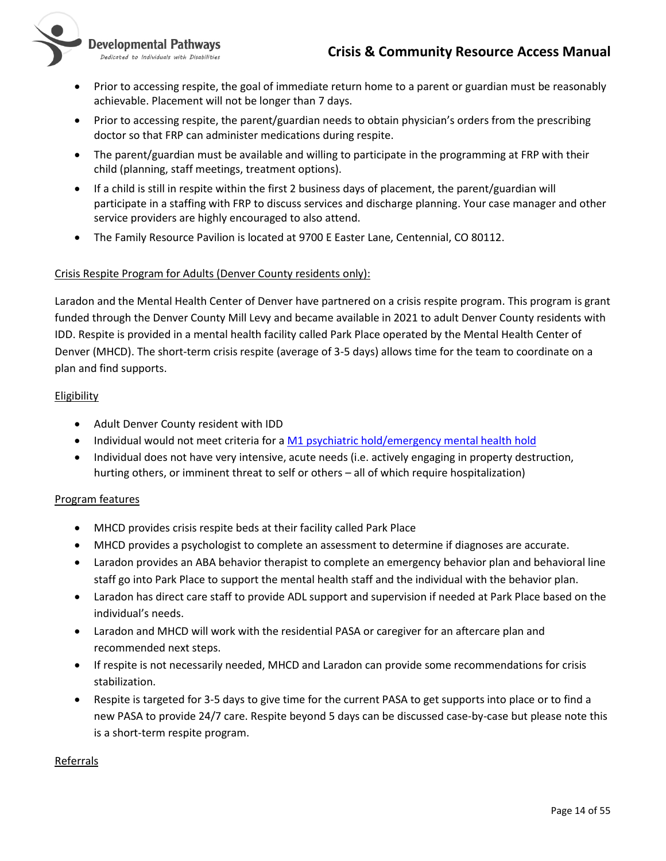

**Developmental Pathways** 

- Dedicated to Individuals with Disabilities
- Prior to accessing respite, the goal of immediate return home to a parent or guardian must be reasonably achievable. Placement will not be longer than 7 days.
- Prior to accessing respite, the parent/guardian needs to obtain physician's orders from the prescribing doctor so that FRP can administer medications during respite.
- The parent/guardian must be available and willing to participate in the programming at FRP with their child (planning, staff meetings, treatment options).
- If a child is still in respite within the first 2 business days of placement, the parent/guardian will participate in a staffing with FRP to discuss services and discharge planning. Your case manager and other service providers are highly encouraged to also attend.
- The Family Resource Pavilion is located at 9700 E Easter Lane, Centennial, CO 80112.

#### Crisis Respite Program for Adults (Denver County residents only):

Laradon and the Mental Health Center of Denver have partnered on a crisis respite program. This program is grant funded through the Denver County Mill Levy and became available in 2021 to adult Denver County residents with IDD. Respite is provided in a mental health facility called Park Place operated by the Mental Health Center of Denver (MHCD). The short-term crisis respite (average of 3-5 days) allows time for the team to coordinate on a plan and find supports.

#### Eligibility

- Adult Denver County resident with IDD
- Individual would not meet criteria for a [M1 psychiatric hold/emergency mental health hold](https://leg.colorado.gov/publications/emergency-mental-health-holds-17-38)
- Individual does not have very intensive, acute needs (i.e. actively engaging in property destruction, hurting others, or imminent threat to self or others – all of which require hospitalization)

#### Program features

- MHCD provides crisis respite beds at their facility called Park Place
- MHCD provides a psychologist to complete an assessment to determine if diagnoses are accurate.
- Laradon provides an ABA behavior therapist to complete an emergency behavior plan and behavioral line staff go into Park Place to support the mental health staff and the individual with the behavior plan.
- Laradon has direct care staff to provide ADL support and supervision if needed at Park Place based on the individual's needs.
- Laradon and MHCD will work with the residential PASA or caregiver for an aftercare plan and recommended next steps.
- If respite is not necessarily needed, MHCD and Laradon can provide some recommendations for crisis stabilization.
- Respite is targeted for 3-5 days to give time for the current PASA to get supports into place or to find a new PASA to provide 24/7 care. Respite beyond 5 days can be discussed case-by-case but please note this is a short-term respite program.

#### Referrals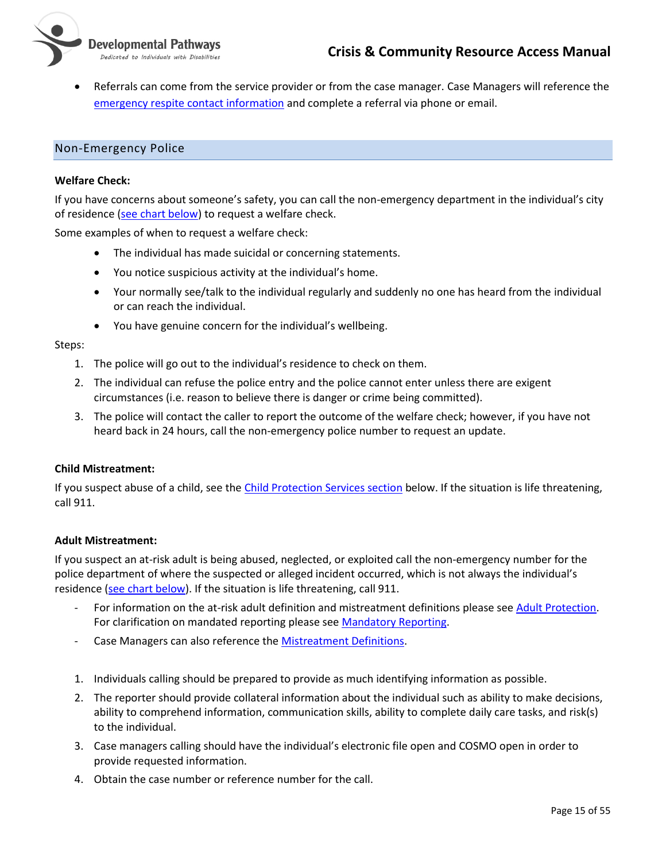

• Referrals can come from the service provider or from the case manager. Case Managers will reference the [emergency respite contact information](https://nmsco.sharepoint.com/:x:/r/sites/cm/cmdocs/Emergency%20Respite%20List.xlsx?d=w41e10f6311ec4232acf6205b3fee25af&csf=1&web=1) and complete a referral via phone or email.

#### <span id="page-14-0"></span>Non-Emergency Police

#### **Welfare Check:**

If you have concerns about someone's safety, you can call the non-emergency department in the individual's city of residence [\(see chart below\)](#page-15-1) to request a welfare check.

Some examples of when to request a welfare check:

- The individual has made suicidal or concerning statements.
- You notice suspicious activity at the individual's home.
- Your normally see/talk to the individual regularly and suddenly no one has heard from the individual or can reach the individual.
- You have genuine concern for the individual's wellbeing.

#### Steps:

- 1. The police will go out to the individual's residence to check on them.
- 2. The individual can refuse the police entry and the police cannot enter unless there are exigent circumstances (i.e. reason to believe there is danger or crime being committed).
- 3. The police will contact the caller to report the outcome of the welfare check; however, if you have not heard back in 24 hours, call the non-emergency police number to request an update.

#### **Child Mistreatment:**

If you suspect abuse of a child, see th[e Child Protection Services section](#page-15-0) below. If the situation is life threatening, call 911.

#### **Adult Mistreatment:**

If you suspect an at-risk adult is being abused, neglected, or exploited call the non-emergency number for the police department of where the suspected or alleged incident occurred, which is not always the individual's residence [\(see chart below\)](#page-15-1). If the situation is life threatening, call 911.

- For information on the at-risk adult definition and mistreatment definitions please se[e Adult Protection.](https://www.coloradoaps.com/about-adult-protective-services.html) For clarification on mandated reporting please see [Mandatory Reporting.](https://www.coloradoaps.com/about-mandatory-reporting.html)
- Case Managers can also reference th[e Mistreatment Definitions.](https://nmsco.sharepoint.com/sites/cm/cmdocs/Definitions%20of%20Mistreatment%20(new%20definitions).docx)
- 1. Individuals calling should be prepared to provide as much identifying information as possible.
- 2. The reporter should provide collateral information about the individual such as ability to make decisions, ability to comprehend information, communication skills, ability to complete daily care tasks, and risk(s) to the individual.
- 3. Case managers calling should have the individual's electronic file open and COSMO open in order to provide requested information.
- 4. Obtain the case number or reference number for the call.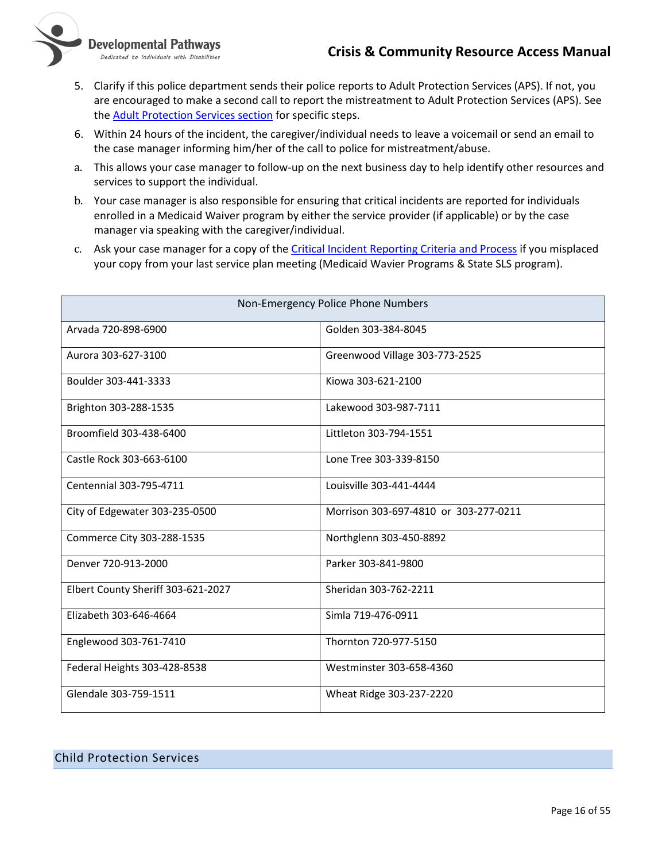

**Developmental Pathways** 

Dedicated to Individuals with Disabilities

- 5. Clarify if this police department sends their police reports to Adult Protection Services (APS). If not, you are encouraged to make a second call to report the mistreatment to Adult Protection Services (APS). See the [Adult Protection Services section](#page-16-0) for specific steps.
- 6. Within 24 hours of the incident, the caregiver/individual needs to leave a voicemail or send an email to the case manager informing him/her of the call to police for mistreatment/abuse.
- a. This allows your case manager to follow-up on the next business day to help identify other resources and services to support the individual.
- b. Your case manager is also responsible for ensuring that critical incidents are reported for individuals enrolled in a Medicaid Waiver program by either the service provider (if applicable) or by the case manager via speaking with the caregiver/individual.
- c. Ask your case manager for a copy of th[e Critical Incident Reporting Criteria and Process](https://nmsco.sharepoint.com/:w:/r/sites/cm/cmdocs/Critical%20Incident%20Reporting%20Criteria%20and%20Process%20-SP%20Folders.docx?d=we07ff2a440764806beaff2fce1454586&csf=1) if you misplaced your copy from your last service plan meeting (Medicaid Wavier Programs & State SLS program).

<span id="page-15-1"></span>

| Non-Emergency Police Phone Numbers |                                       |  |
|------------------------------------|---------------------------------------|--|
| Arvada 720-898-6900                | Golden 303-384-8045                   |  |
| Aurora 303-627-3100                | Greenwood Village 303-773-2525        |  |
| Boulder 303-441-3333               | Kiowa 303-621-2100                    |  |
| Brighton 303-288-1535              | Lakewood 303-987-7111                 |  |
| Broomfield 303-438-6400            | Littleton 303-794-1551                |  |
| Castle Rock 303-663-6100           | Lone Tree 303-339-8150                |  |
| Centennial 303-795-4711            | Louisville 303-441-4444               |  |
| City of Edgewater 303-235-0500     | Morrison 303-697-4810 or 303-277-0211 |  |
| Commerce City 303-288-1535         | Northglenn 303-450-8892               |  |
| Denver 720-913-2000                | Parker 303-841-9800                   |  |
| Elbert County Sheriff 303-621-2027 | Sheridan 303-762-2211                 |  |
| Elizabeth 303-646-4664             | Simla 719-476-0911                    |  |
| Englewood 303-761-7410             | Thornton 720-977-5150                 |  |
| Federal Heights 303-428-8538       | Westminster 303-658-4360              |  |
| Glendale 303-759-1511              | Wheat Ridge 303-237-2220              |  |

# <span id="page-15-0"></span>Child Protection Services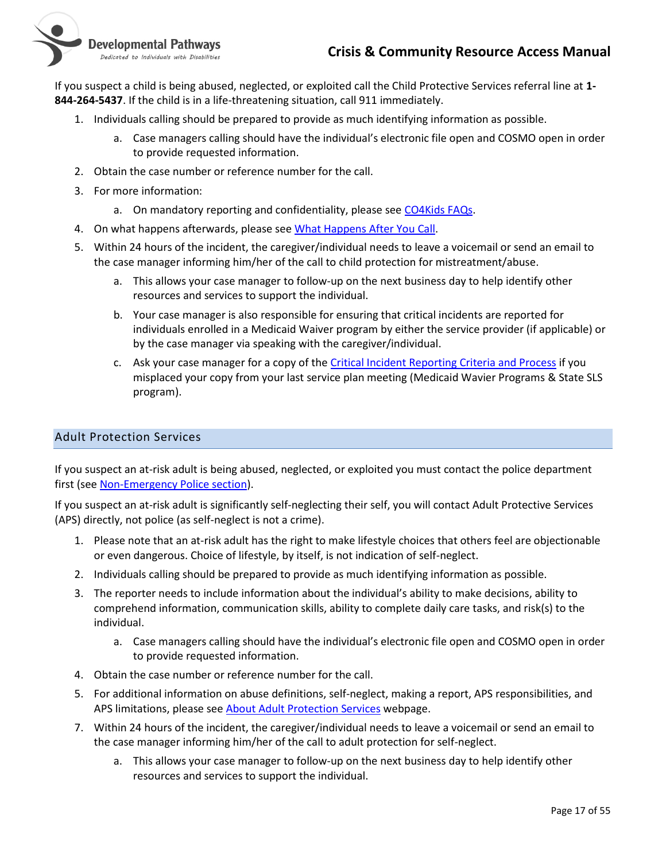

If you suspect a child is being abused, neglected, or exploited call the Child Protective Services referral line at **1- 844-264-5437**. If the child is in a life-threatening situation, call 911 immediately.

- 1. Individuals calling should be prepared to provide as much identifying information as possible.
	- a. Case managers calling should have the individual's electronic file open and COSMO open in order to provide requested information.
- 2. Obtain the case number or reference number for the call.
- 3. For more information:
	- a. On mandatory reporting and confidentiality, please see [CO4Kids FAQs.](http://co4kids.org/mandatoryreporting)
- 4. On what happens afterwards, please se[e What Happens After You Call.](http://co4kids.org/what-happens-after-you-call)
- 5. Within 24 hours of the incident, the caregiver/individual needs to leave a voicemail or send an email to the case manager informing him/her of the call to child protection for mistreatment/abuse.
	- a. This allows your case manager to follow-up on the next business day to help identify other resources and services to support the individual.
	- b. Your case manager is also responsible for ensuring that critical incidents are reported for individuals enrolled in a Medicaid Waiver program by either the service provider (if applicable) or by the case manager via speaking with the caregiver/individual.
	- c. Ask your case manager for a copy of th[e Critical Incident Reporting Criteria and Process](https://nmsco.sharepoint.com/:w:/r/sites/cm/cmdocs/Critical%20Incident%20Reporting%20Criteria%20and%20Process%20-SP%20Folders.docx?d=we07ff2a440764806beaff2fce1454586&csf=1) if you misplaced your copy from your last service plan meeting (Medicaid Wavier Programs & State SLS program).

#### <span id="page-16-0"></span>Adult Protection Services

If you suspect an at-risk adult is being abused, neglected, or exploited you must contact the police department first (se[e Non-Emergency Police section\)](#page-14-0).

If you suspect an at-risk adult is significantly self-neglecting their self, you will contact Adult Protective Services (APS) directly, not police (as self-neglect is not a crime).

- 1. Please note that an at-risk adult has the right to make lifestyle choices that others feel are objectionable or even dangerous. Choice of lifestyle, by itself, is not indication of self-neglect.
- 2. Individuals calling should be prepared to provide as much identifying information as possible.
- 3. The reporter needs to include information about the individual's ability to make decisions, ability to comprehend information, communication skills, ability to complete daily care tasks, and risk(s) to the individual.
	- a. Case managers calling should have the individual's electronic file open and COSMO open in order to provide requested information.
- 4. Obtain the case number or reference number for the call.
- 5. For additional information on abuse definitions, self-neglect, making a report, APS responsibilities, and APS limitations, please see **About Adult Protection Services** webpage.
- 7. Within 24 hours of the incident, the caregiver/individual needs to leave a voicemail or send an email to the case manager informing him/her of the call to adult protection for self-neglect.
	- a. This allows your case manager to follow-up on the next business day to help identify other resources and services to support the individual.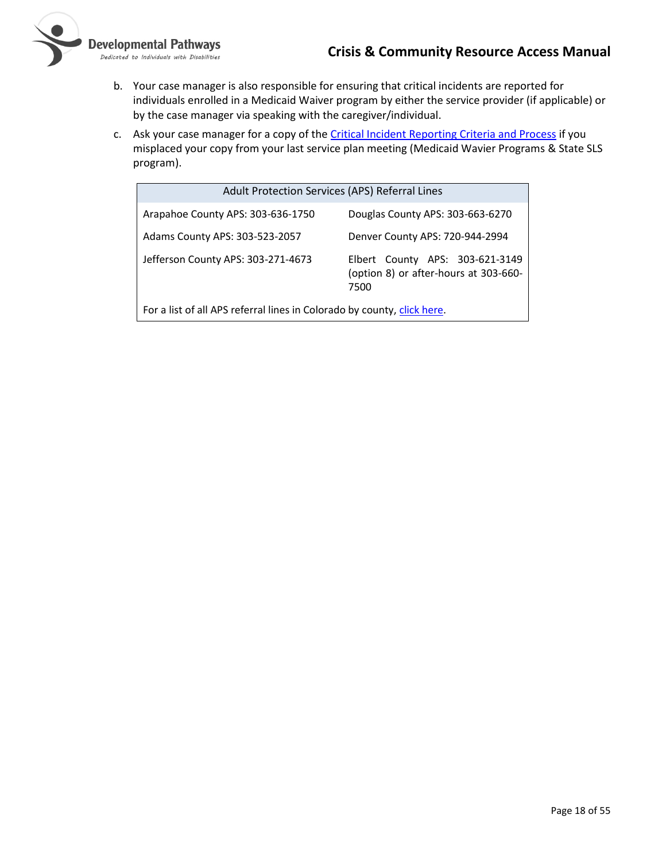-<br>Dedicated to Individuals with Disabilities

- b. Your case manager is also responsible for ensuring that critical incidents are reported for individuals enrolled in a Medicaid Waiver program by either the service provider (if applicable) or by the case manager via speaking with the caregiver/individual.
- c. Ask your case manager for a copy of the *Critical Incident Reporting Criteria and Process* if you misplaced your copy from your last service plan meeting (Medicaid Wavier Programs & State SLS program).

| Adult Protection Services (APS) Referral Lines                          |                                                                                  |
|-------------------------------------------------------------------------|----------------------------------------------------------------------------------|
| Arapahoe County APS: 303-636-1750                                       | Douglas County APS: 303-663-6270                                                 |
| Adams County APS: 303-523-2057                                          | Denver County APS: 720-944-2994                                                  |
| Jefferson County APS: 303-271-4673                                      | Elbert County APS: 303-621-3149<br>(option 8) or after-hours at 303-660-<br>7500 |
| For a list of all APS referral lines in Colorado by county, click here. |                                                                                  |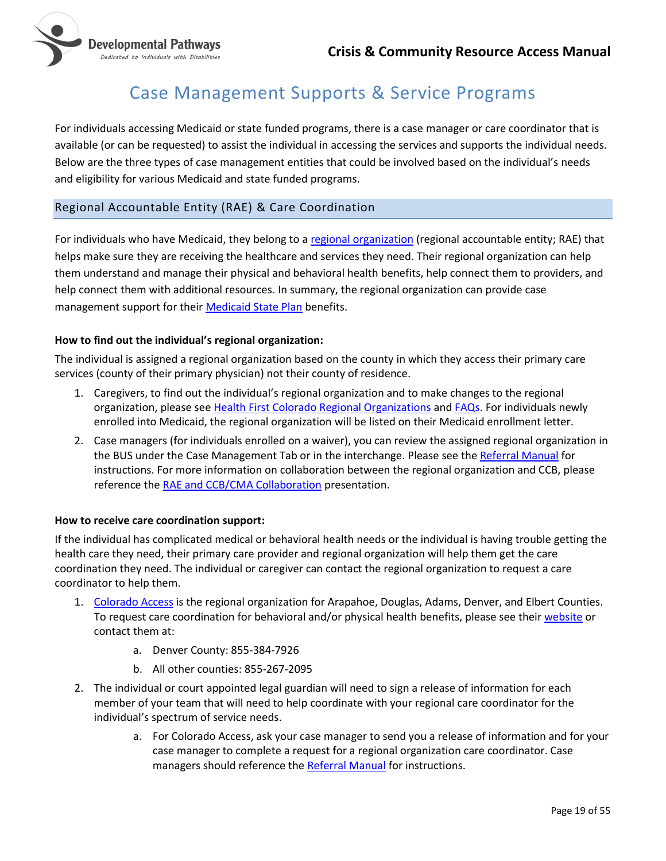

# Case Management Supports & Service Programs

<span id="page-18-0"></span>For individuals accessing Medicaid or state funded programs, there is a case manager or care coordinator that is available (or can be requested) to assist the individual in accessing the services and supports the individual needs. Below are the three types of case management entities that could be involved based on the individual's needs and eligibility for various Medicaid and state funded programs.

### <span id="page-18-1"></span>Regional Accountable Entity (RAE) & Care Coordination

For individuals who have Medicaid, they belong to [a regional organization](https://www.healthfirstcolorado.com/health-first-colorado-regional-organizations/) (regional accountable entity; RAE) that helps make sure they are receiving the healthcare and services they need. Their regional organization can help them understand and manage their physical and behavioral health benefits, help connect them to providers, and help connect them with additional resources. In summary, the regional organization can provide case management support for their [Medicaid State Plan](https://www.healthfirstcolorado.com/benefits-services/) benefits.

#### **How to find out the individual's regional organization:**

The individual is assigned a regional organization based on the county in which they access their primary care services (county of their primary physician) not their county of residence.

- 1. Caregivers, to find out the individual's regional organization and to make changes to the regional organization, please se[e Health First Colorado Regional Organizations](https://www.healthfirstcolorado.com/health-first-colorado-regional-organizations/) and [FAQs.](https://www.colorado.gov/hcpf/member-faqs#ACC) For individuals newly enrolled into Medicaid, the regional organization will be listed on their Medicaid enrollment letter.
- 2. Case managers (for individuals enrolled on a waiver), you can review the assigned regional organization in the BUS under the Case Management Tab or in the interchange. Please see th[e Referral Manual](https://nmsco.sharepoint.com/:w:/r/sites/cm/cmdocs/Referral%20Manual.docx?d=wa03841ceed7b43459b85f4b6dcde5642&csf=1&web=1) for instructions. For more information on collaboration between the regional organization and CCB, please reference the [RAE and CCB/CMA Collaboration](https://nmsco.sharepoint.com/:p:/r/sites/cm/cmdocs/11.21.19%20RAE%20Presentation.pptx?d=w1e835071178c4cd79311a7cbfb24f8c1&csf=1) presentation.

#### **How to receive care coordination support:**

If the individual has complicated medical or behavioral health needs or the individual is having trouble getting the health care they need, their primary care provider and regional organization will help them get the care coordination they need. The individual or caregiver can contact the regional organization to request a care coordinator to help them.

- 1. [Colorado Access](https://www.coaccess.com/) is the regional organization for Arapahoe, Douglas, Adams, Denver, and Elbert Counties. To request care coordination for behavioral and/or physical health benefits, please see thei[r website](https://www.coaccess.com/members/care/) or contact them at:
	- a. Denver County: 855-384-7926
	- b. All other counties: 855-267-2095
- 2. The individual or court appointed legal guardian will need to sign a release of information for each member of your team that will need to help coordinate with your regional care coordinator for the individual's spectrum of service needs.
	- a. For Colorado Access, ask your case manager to send you a release of information and for your case manager to complete a request for a regional organization care coordinator. Case managers should reference th[e Referral Manual](https://nmsco.sharepoint.com/:w:/r/sites/cm/cmdocs/Referral%20Manual.docx?d=wa03841ceed7b43459b85f4b6dcde5642&csf=1&web=1) for instructions.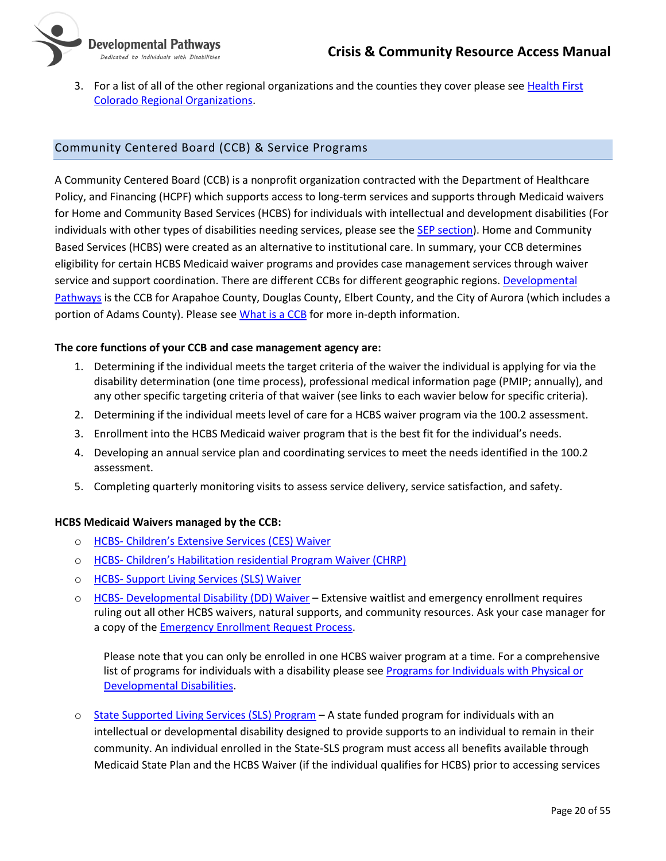

3. For a list of all of the other regional organizations and the counties they cover please see [Health First](https://www.healthfirstcolorado.com/health-first-colorado-regional-organizations/)  [Colorado Regional Organizations.](https://www.healthfirstcolorado.com/health-first-colorado-regional-organizations/)

### <span id="page-19-0"></span>Community Centered Board (CCB) & Service Programs

A Community Centered Board (CCB) is a nonprofit organization contracted with the Department of Healthcare Policy, and Financing (HCPF) which supports access to long-term services and supports through Medicaid waivers for Home and Community Based Services (HCBS) for individuals with intellectual and development disabilities (For individuals with other types of disabilities needing services, please see the [SEP section\)](#page-21-0). Home and Community Based Services (HCBS) were created as an alternative to institutional care. In summary, your CCB determines eligibility for certain HCBS Medicaid waiver programs and provides case management services through waiver service and support coordination. There are different CCBs for different geographic regions. Developmental [Pathways](https://www.dpcolo.org/) is the CCB for Arapahoe County, Douglas County, Elbert County, and the City of Aurora (which includes a portion of Adams County). Please see [What is a CCB](https://www.colorado.gov/pacific/sites/default/files/No%20Wrong%20Door%20Community%20Centered%20Boards%20Fact%20Sheet.pdf) for more in-depth information.

#### **The core functions of your CCB and case management agency are:**

- 1. Determining if the individual meets the target criteria of the waiver the individual is applying for via the disability determination (one time process), professional medical information page (PMIP; annually), and any other specific targeting criteria of that waiver (see links to each wavier below for specific criteria).
- 2. Determining if the individual meets level of care for a HCBS waiver program via the 100.2 assessment.
- 3. Enrollment into the HCBS Medicaid waiver program that is the best fit for the individual's needs.
- 4. Developing an annual service plan and coordinating services to meet the needs identified in the 100.2 assessment.
- 5. Completing quarterly monitoring visits to assess service delivery, service satisfaction, and safety.

#### **HCBS Medicaid Waivers managed by the CCB:**

- o HCBS- C[hildren's Extensive Services \(CES\) Waiver](https://www.colorado.gov/hcpf/childrens-extensive-support-waiver-ces)
- o HCBS- Children'[s Habilitation residential Program Waiver \(CHRP\)](https://www.colorado.gov/pacific/hcpf/childrens-habilitation-residential-program-waiver-chrp)
- o HCBS- [Support Living Services \(SLS\) Waiver](https://www.colorado.gov/hcpf/supported-living-services-waiver-sls)
- o HCBS- [Developmental Disability \(DD\) Waiver](https://www.colorado.gov/hcpf/developmental-disabilities-waiver-dd) Extensive waitlist and emergency enrollment requires ruling out all other HCBS waivers, natural supports, and community resources. Ask your case manager for a copy of the [Emergency Enrollment Request Process.](https://nmsco.sharepoint.com/:w:/r/sites/cm/cmdocs/Emergency%20Enrollment%20Request%20(EER)%20Process%20%E2%80%93%20Individuals%20%26%20Families.docx?d=wcf31fc523677467db2532db40a3ecb60&csf=1)

Please note that you can only be enrolled in one HCBS waiver program at a time. For a comprehensive list of programs for individuals with a disability please see Programs [for Individuals with Physical or](https://www.colorado.gov/pacific/hcpf/programs-individuals-physical-or-developmental-disabilities)  [Developmental Disabilities.](https://www.colorado.gov/pacific/hcpf/programs-individuals-physical-or-developmental-disabilities)

o [State Supported Living Services \(SLS\) Program](https://www.dpcolo.org/our-programs/case-management-department/state-supported-living-services-program-sls/) – A state funded program for individuals with an intellectual or developmental disability designed to provide supports to an individual to remain in their community. An individual enrolled in the State-SLS program must access all benefits available through Medicaid State Plan and the HCBS Waiver (if the individual qualifies for HCBS) prior to accessing services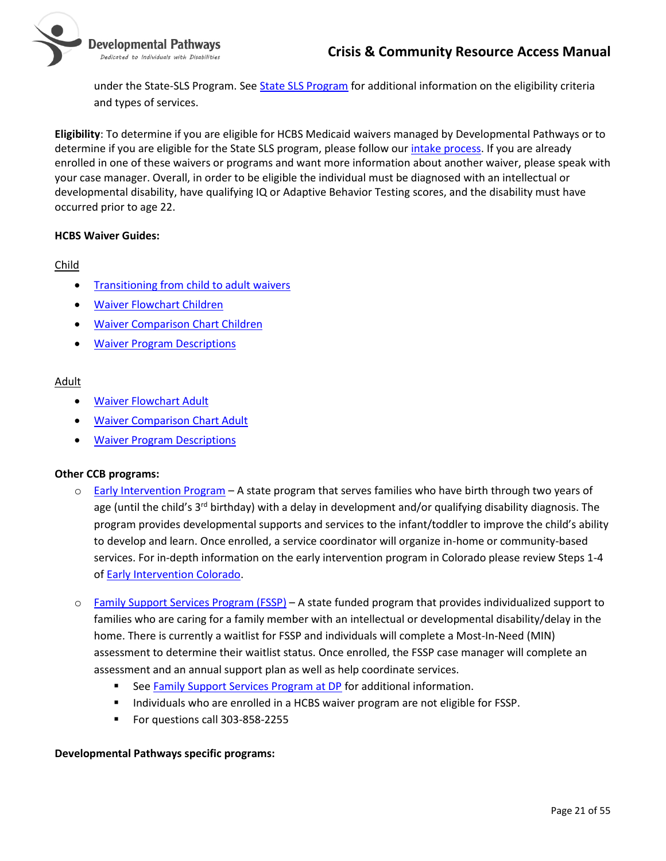

under the State-SLS Program. See [State SLS Program](https://www.dpcolo.org/our-programs/case-management-department/state-supported-living-services-program-sls/) for additional information on the eligibility criteria and types of services.

**Eligibility**: To determine if you are eligible for HCBS Medicaid waivers managed by Developmental Pathways or to determine if you are eligible for the State SLS program, please follow ou[r intake process.](https://www.dpcolo.org/get-started/intake-process/) If you are already enrolled in one of these waivers or programs and want more information about another waiver, please speak with your case manager. Overall, in order to be eligible the individual must be diagnosed with an intellectual or developmental disability, have qualifying IQ or Adaptive Behavior Testing scores, and the disability must have occurred prior to age 22.

#### **HCBS Waiver Guides:**

#### Child

- [Transitioning from child to adult waivers](https://www.colorado.gov/pacific/sites/default/files/Transition%20from%20Children%27s%20to%20Adult%20Waivers%20Checklist-August%202017.pdf)
- [Waiver Flowchart Children](https://www.colorado.gov/pacific/sites/default/files/Choosing%20an%20HCBS%20Waiver%20Flowchart-Children-December%202019.pdf)
- [Waiver Comparison Chart](https://www.colorado.gov/pacific/sites/default/files/CO%20HCBS%20Children%20Waiver%20Chart-September%202019.pdf) Children
- [Waiver Program Descriptions](https://www.colorado.gov/pacific/hcpf/long-term-services-and-supports-programs)

#### Adult

- [Waiver Flowchart Adult](https://www.colorado.gov/pacific/sites/default/files/Choosing%20an%20HCBS%20Waiver%20Flowchart-Adults-January%202017.pdf)
- [Waiver Comparison Chart Adult](https://www.colorado.gov/pacific/sites/default/files/CO%20HCBS%20Adult%20Waiver%20Chart-August%202019.pdf)
- **[Waiver Program Descriptions](https://www.colorado.gov/pacific/hcpf/long-term-services-and-supports-programs)**

#### **Other CCB programs:**

- $\circ$  [Early Intervention Program](https://www.dpcolo.org/our-programs/early-intervention-department/) A state program that serves families who have birth through two years of age (until the child's 3<sup>rd</sup> birthday) with a delay in development and/or qualifying disability diagnosis. The program provides developmental supports and services to the infant/toddler to improve the child's ability to develop and learn. Once enrolled, a service coordinator will organize in-home or community-based services. For in-depth information on the early intervention program in Colorado please review Steps 1-4 of [Early Intervention Colorado.](http://coloradoofficeofearlychildhood.force.com/eicolorado/EI_Families?p=Family&s=For-Families&lang=en)
- o [Family Support Services Program \(FSSP\)](https://www.colorado.gov/hcpf/family-support-services-program-fssp) A state funded program that provides individualized support to families who are caring for a family member with an intellectual or developmental disability/delay in the home. There is currently a waitlist for FSSP and individuals will complete a Most-In-Need (MIN) assessment to determine their waitlist status. Once enrolled, the FSSP case manager will complete an assessment and an annual support plan as well as help coordinate services.
	- See [Family Support Services Program at DP](https://www.dpcolo.org/our-programs/community-outreach-department/family-support-program/) for additional information.
	- Individuals who are enrolled in a HCBS waiver program are not eligible for FSSP.
	- For questions call 303-858-2255

#### **Developmental Pathways specific programs:**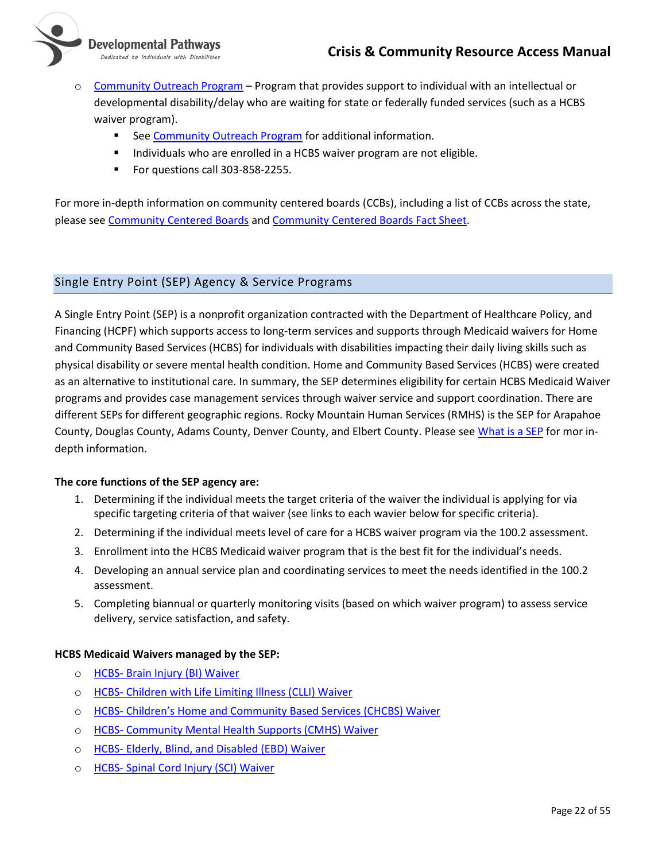

Developmental Pathways Dedicated to Individuals with Disabilities

- o [Community Outreach Program](https://www.dpcolo.org/our-programs/community-outreach-department/community-outreach-program/) Program that provides support to individual with an intellectual or developmental disability/delay who are waiting for state or federally funded services (such as a HCBS waiver program).
	- See [Community Outreach Program](https://www.dpcolo.org/our-programs/community-outreach-department/community-outreach-program/) for additional information.
	- Individuals who are enrolled in a HCBS waiver program are not eligible.
	- For questions call 303-858-2255.

For more in-depth information on community centered boards (CCBs), including a list of CCBs across the state, please se[e Community Centered Boards](https://www.colorado.gov/pacific/hcpf/community-centered-boards) an[d Community Centered Boards Fact Sheet.](https://www.colorado.gov/pacific/sites/default/files/No%20Wrong%20Door%20Community%20Centered%20Boards%20Fact%20Sheet.pdf)

# <span id="page-21-0"></span>Single Entry Point (SEP) Agency & Service Programs

A Single Entry Point (SEP) is a nonprofit organization contracted with the Department of Healthcare Policy, and Financing (HCPF) which supports access to long-term services and supports through Medicaid waivers for Home and Community Based Services (HCBS) for individuals with disabilities impacting their daily living skills such as physical disability or severe mental health condition. Home and Community Based Services (HCBS) were created as an alternative to institutional care. In summary, the SEP determines eligibility for certain HCBS Medicaid Waiver programs and provides case management services through waiver service and support coordination. There are different SEPs for different geographic regions. Rocky Mountain Human Services (RMHS) is the SEP for Arapahoe County, Douglas County, Adams County, Denver County, and Elbert County. Please see [What is a SEP](https://www.colorado.gov/pacific/sites/default/files/No%20Wrong%20Door%20Single%20Entry%20Point%20Fact%20Sheet.pdf) for mor indepth information.

# **The core functions of the SEP agency are:**

- 1. Determining if the individual meets the target criteria of the waiver the individual is applying for via specific targeting criteria of that waiver (see links to each wavier below for specific criteria).
- 2. Determining if the individual meets level of care for a HCBS waiver program via the 100.2 assessment.
- 3. Enrollment into the HCBS Medicaid waiver program that is the best fit for the individual's needs.
- 4. Developing an annual service plan and coordinating services to meet the needs identified in the 100.2 assessment.
- 5. Completing biannual or quarterly monitoring visits (based on which waiver program) to assess service delivery, service satisfaction, and safety.

# **HCBS Medicaid Waivers managed by the SEP:**

- o HCBS- [Brain Injury \(BI\) Waiver](https://www.colorado.gov/hcpf/brain-injury-waiver-bi)
- o HCBS- [Children with Life Limiting Illness \(CLLI\) Waiver](https://www.colorado.gov/hcpf/children-life-limiting-illness-waiver-clli)
- o HCBS- Children's Home and [Community Based Services \(CHCBS\) Waiver](https://www.colorado.gov/hcpf/childrens-home-and-community-based-services-waiver-chcbs)
- o HCBS- [Community Mental Health Supports \(CMHS\) Waiver](https://www.colorado.gov/hcpf/community-mental-health-supports-waiver-cmhs)
- o HCBS- [Elderly, Blind, and Disabled \(EBD\) Waiver](https://www.colorado.gov/hcpf/elderly-blind-disabled-waiver-ebd)
- o HCBS- [Spinal Cord Injury](https://www.colorado.gov/hcpf/spinal-cord-injury-waiver) (SCI) Waiver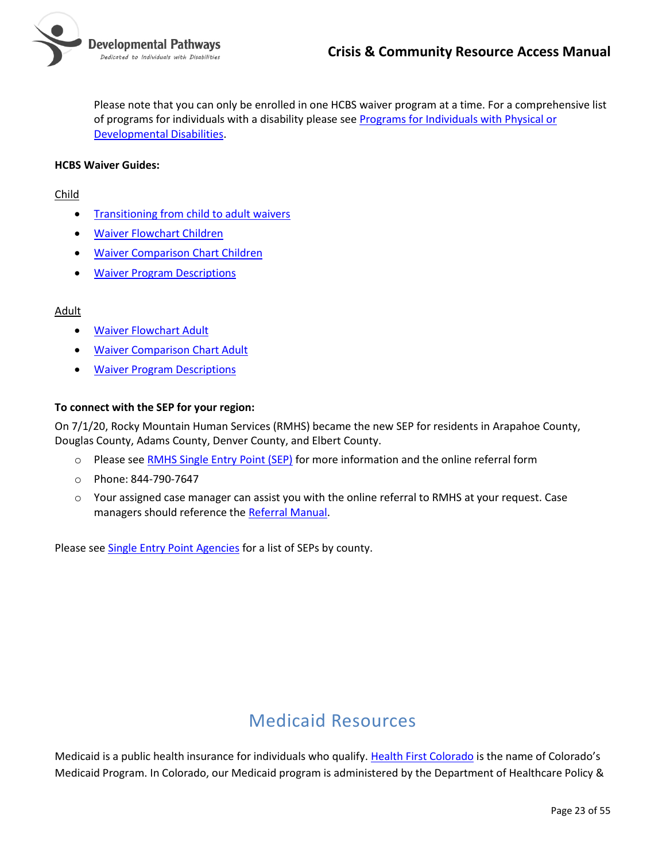Please note that you can only be enrolled in one HCBS waiver program at a time. For a comprehensive list of programs for individuals with a disability please see Programs [for Individuals with Physical or](https://www.colorado.gov/pacific/hcpf/programs-individuals-physical-or-developmental-disabilities)  [Developmental Disabilities.](https://www.colorado.gov/pacific/hcpf/programs-individuals-physical-or-developmental-disabilities)

#### **HCBS Waiver Guides:**

#### Child

- [Transitioning from child to adult waivers](https://www.colorado.gov/pacific/sites/default/files/Transition%20from%20Children%27s%20to%20Adult%20Waivers%20Checklist-August%202017.pdf)
- [Waiver Flowchart Children](https://www.colorado.gov/pacific/sites/default/files/Choosing%20an%20HCBS%20Waiver%20Flowchart-Children-December%202019.pdf)
- [Waiver Comparison Chart](https://www.colorado.gov/pacific/sites/default/files/CO%20HCBS%20Children%20Waiver%20Chart-September%202019.pdf) Children
- [Waiver Program Descriptions](https://www.colorado.gov/pacific/hcpf/long-term-services-and-supports-programs)

#### Adult

- [Waiver Flowchart Adult](https://www.colorado.gov/pacific/sites/default/files/Choosing%20an%20HCBS%20Waiver%20Flowchart-Adults-January%202017.pdf)
- [Waiver Comparison Chart Adult](https://www.colorado.gov/pacific/sites/default/files/CO%20HCBS%20Adult%20Waiver%20Chart-August%202019.pdf)
- **[Waiver Program Descriptions](https://www.colorado.gov/pacific/hcpf/long-term-services-and-supports-programs)**

#### **To connect with the SEP for your region:**

On 7/1/20, Rocky Mountain Human Services (RMHS) became the new SEP for residents in Arapahoe County, Douglas County, Adams County, Denver County, and Elbert County.

- o Please see [RMHS Single Entry Point \(SEP\)](https://www.rmhumanservices.org/single-entry-point) for more information and the online referral form
- o Phone: 844-790-7647
- o Your assigned case manager can assist you with the online referral to RMHS at your request. Case managers should reference th[e Referral Manual.](https://nmsco.sharepoint.com/:w:/r/sites/cm/cmdocs/Referral%20Manual.docx?d=wa03841ceed7b43459b85f4b6dcde5642&csf=1&web=1)

Please see [Single Entry Point Agencies](https://www.colorado.gov/pacific/hcpf/single-entry-point-agencies) for a list of SEPs by county.

# Medicaid Resources

<span id="page-22-0"></span>Medicaid is a public health insurance for individuals who qualify. [Health First Colorado](https://www.colorado.gov/pacific/hcpf/colorado-medicaid) is the name of Colorado's Medicaid Program. In Colorado, our Medicaid program is administered by the Department of Healthcare Policy &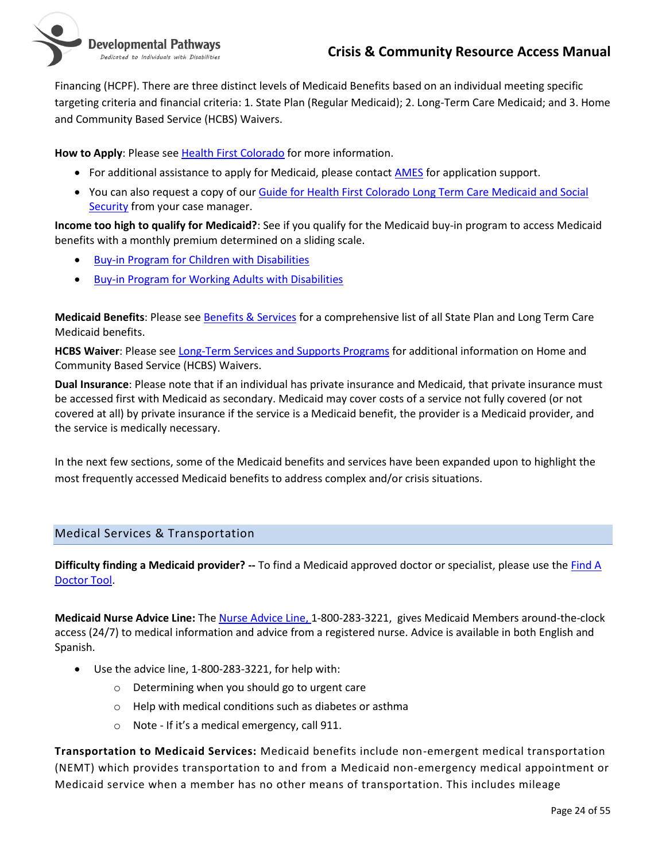

Financing (HCPF). There are three distinct levels of Medicaid Benefits based on an individual meeting specific targeting criteria and financial criteria: 1. State Plan (Regular Medicaid); 2. Long-Term Care Medicaid; and 3. Home and Community Based Service (HCBS) Waivers.

**How to Apply**: Please see [Health First Colorado](https://www.colorado.gov/pacific/hcpf/colorado-medicaid) for more information.

- For additional assistance to apply for Medicaid, please contact [AMES](http://www.accessenrollment.org/about-ames) for application support.
- You can also request a copy of ou[r Guide for Health First Colorado Long Term Care Medicaid and Social](https://nmsco.sharepoint.com/sites/cm/cmdocs/Guide%20for%20LTC%20Medicaid%20and%20Social%20Security%20updated%20Aug%202019.pdf?csf=1&cid=0e535737-d708-41ab-b56b-9d86821ac08d)  [Security](https://nmsco.sharepoint.com/sites/cm/cmdocs/Guide%20for%20LTC%20Medicaid%20and%20Social%20Security%20updated%20Aug%202019.pdf?csf=1&cid=0e535737-d708-41ab-b56b-9d86821ac08d) from your case manager.

**Income too high to qualify for Medicaid?**: See if you qualify for the Medicaid buy-in program to access Medicaid benefits with a monthly premium determined on a sliding scale.

- [Buy-in Program for Children with Disabilities](https://www.colorado.gov/pacific/hcpf/medicaid-buy-program-children-disabilities)
- [Buy-in Program for Working Adults with Disabilities](https://www.colorado.gov/pacific/hcpf/medicaid-buy-program-working-adults-disabilities)

**Medicaid Benefits**: Please see [Benefits & Services](https://www.healthfirstcolorado.com/benefits-services/) for a comprehensive list of all State Plan and Long Term Care Medicaid benefits.

**HCBS Waiver**: Please see [Long-Term Services and Supports Programs](https://www.colorado.gov/pacific/hcpf/long-term-services-and-supports-programs) for additional information on Home and Community Based Service (HCBS) Waivers.

**Dual Insurance**: Please note that if an individual has private insurance and Medicaid, that private insurance must be accessed first with Medicaid as secondary. Medicaid may cover costs of a service not fully covered (or not covered at all) by private insurance if the service is a Medicaid benefit, the provider is a Medicaid provider, and the service is medically necessary.

In the next few sections, some of the Medicaid benefits and services have been expanded upon to highlight the most frequently accessed Medicaid benefits to address complex and/or crisis situations.

# <span id="page-23-0"></span>Medical Services & Transportation

**Difficulty finding a Medicaid provider? --** To find a Medicaid approved doctor or specialist, please use the [Find A](https://coloradopeak.secure.force.com/providersearchpage)  [Doctor Tool.](https://coloradopeak.secure.force.com/providersearchpage)

**Medicaid Nurse Advice Line:** The [Nurse Advice Line,](https://www.healthfirstcolorado.com/benefits-services/) 1-800-283-3221, gives Medicaid Members around-the-clock access (24/7) to medical information and advice from a registered nurse. Advice is available in both English and Spanish.

- Use the advice line, 1-800-283-3221, for help with:
	- o Determining when you should go to urgent care
	- o Help with medical conditions such as diabetes or asthma
	- o Note If it's a medical emergency, call 911.

<span id="page-23-1"></span>**Transportation to Medicaid Services:** Medicaid benefits include non-emergent medical transportation (NEMT) which provides transportation to and from a Medicaid non-emergency medical appointment or Medicaid service when a member has no other means of transportation. This includes mileage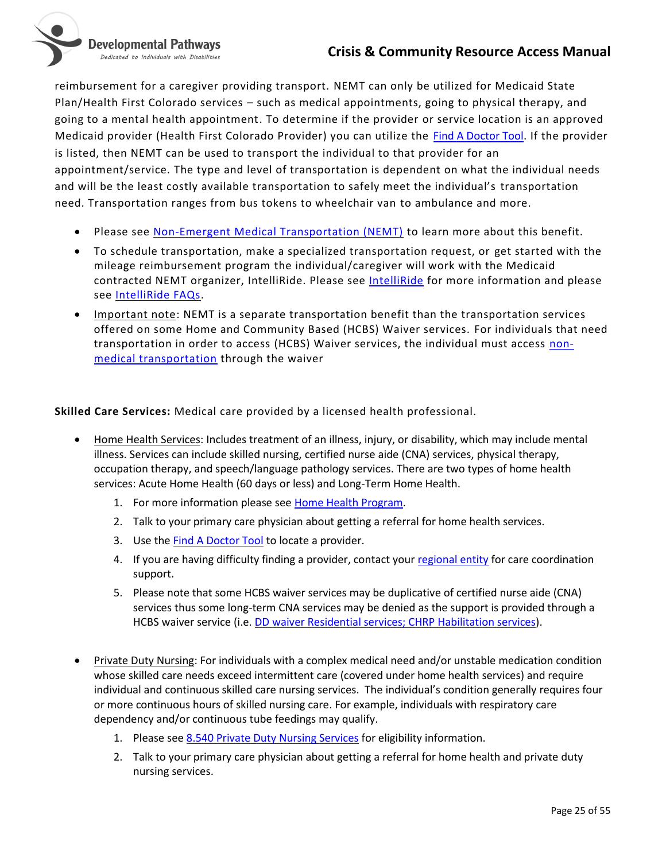Developmental Pathways Dedicated to Individuals with Disabilities



reimbursement for a caregiver providing transport. NEMT can only be utilized for Medicaid State Plan/Health First Colorado services – such as medical appointments, going to physical therapy, and going to a mental health appointment. To determine if the provider or service location is an approved Medicaid provider (Health First Colorado Provider) you can utilize the [Find A Doctor Tool.](https://coloradopeak.secure.force.com/providersearchpage) If the provider is listed, then NEMT can be used to transport the individual to that provider for an appointment/service. The type and level of transportation is dependent on what the individual needs and will be the least costly available transportation to safely meet the individual's transportation need. Transportation ranges from bus tokens to wheelchair van to ambulance and more.

- Please see [Non-Emergent Medical Transportation \(NEMT\)](https://www.colorado.gov/pacific/hcpf/non-emergent-medical-transportation) to learn more about this benefit.
- To schedule transportation, make a specialized transportation request, or get started with the mileage reimbursement program the individual/caregiver will work with the Medicaid contracted NEMT organizer, [IntelliRide](https://gointelliride.com/colorado/). Please see IntelliRide for more information and please see [IntelliRide FAQs.](https://gointelliride.com/colorado/member-resources/)
- Important note: NEMT is a separate transportation benefit than the transportation services offered on some Home and Community Based (HCBS) Waiver services. For individuals that need transportation in order to access (HCBS) Waiver services, the individual must access [non](https://www.colorado.gov/pacific/hcpf/long-term-services-supports-benefits-services-glossary#Non-medical Transportation)[medical transportation](https://www.colorado.gov/pacific/hcpf/long-term-services-supports-benefits-services-glossary#Non-medical Transportation) through the waiver

<span id="page-24-0"></span>**Skilled Care Services:** Medical care provided by a licensed health professional.

- Home Health Services: Includes treatment of an illness, injury, or disability, which may include mental illness. Services can include skilled nursing, certified nurse aide (CNA) services, physical therapy, occupation therapy, and speech/language pathology services. There are two types of home health services: Acute Home Health (60 days or less) and Long-Term Home Health.
	- 1. For more information please se[e Home Health Program.](https://www.colorado.gov/pacific/hcpf/home-health-program-0)
	- 2. Talk to your primary care physician about getting a referral for home health services.
	- 3. Use the **Find A Doctor Tool** to locate a provider.
	- 4. If you are having difficulty finding a provider, contact your [regional entity](#page-18-1) for care coordination support.
	- 5. Please note that some HCBS waiver services may be duplicative of certified nurse aide (CNA) services thus some long-term CNA services may be denied as the support is provided through a HCBS waiver service (i.e. [DD waiver Residential services; CHRP Habilitation services\)](#page-19-0).
- Private Duty Nursing: For individuals with a complex medical need and/or unstable medication condition whose skilled care needs exceed intermittent care (covered under home health services) and require individual and continuous skilled care nursing services. The individual's condition generally requires four or more continuous hours of skilled nursing care. For example, individuals with respiratory care dependency and/or continuous tube feedings may qualify.
	- 1. Please see [8.540 Private Duty Nursing Services](https://www.colorado.gov/pacific/hcpf/8540-private-duty-nursing-services) for eligibility information.
	- 2. Talk to your primary care physician about getting a referral for home health and private duty nursing services.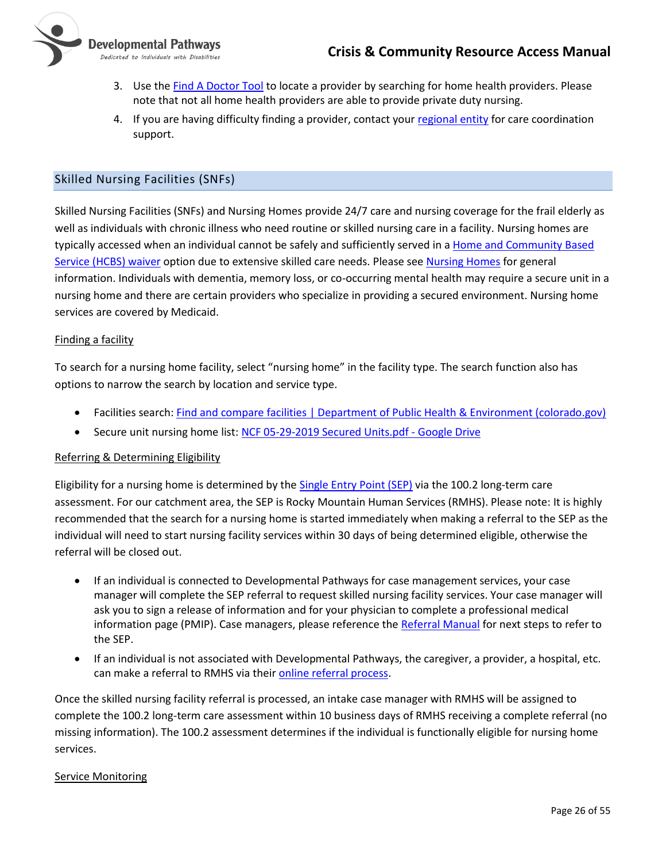

- 3. Use the [Find A Doctor Tool](https://coloradopeak.secure.force.com/providersearchpage) to locate a provider by searching for home health providers. Please note that not all home health providers are able to provide private duty nursing.
- 4. If you are having difficulty finding a provider, contact your [regional entity](#page-18-1) for care coordination support.

# <span id="page-25-0"></span>Skilled Nursing Facilities (SNFs)

Skilled Nursing Facilities (SNFs) and Nursing Homes provide 24/7 care and nursing coverage for the frail elderly as well as individuals with chronic illness who need routine or skilled nursing care in a facility. Nursing homes are typically accessed when an individual cannot be safely and sufficiently served in a Home and Community Based [Service \(HCBS\) waiver](https://hcpf.colorado.gov/long-term-services-and-supports-programs#Waivers) option due to extensive skilled care needs. Please see [Nursing Homes](https://cdphe.colorado.gov/nursing-homes) for general information. Individuals with dementia, memory loss, or co-occurring mental health may require a secure unit in a nursing home and there are certain providers who specialize in providing a secured environment. Nursing home services are covered by Medicaid.

#### Finding a facility

To search for a nursing home facility, select "nursing home" in the facility type. The search function also has options to narrow the search by location and service type.

- Facilities search: [Find and compare facilities | Department of Public Health & Environment \(colorado.gov\)](https://cdphe.colorado.gov/find-and-compare-facilities)
- Secure unit nursing home list: [NCF 05-29-2019 Secured Units.pdf -](https://drive.google.com/file/d/1Ki2ZZQliLe9y3NwYh8hpENcg10GNQe9m/view) Google Drive

#### Referring & Determining Eligibility

Eligibility for a nursing home is determined by the [Single Entry Point \(SEP\)](#page-21-0) via the 100.2 long-term care assessment. For our catchment area, the SEP is Rocky Mountain Human Services (RMHS). Please note: It is highly recommended that the search for a nursing home is started immediately when making a referral to the SEP as the individual will need to start nursing facility services within 30 days of being determined eligible, otherwise the referral will be closed out.

- If an individual is connected to Developmental Pathways for case management services, your case manager will complete the SEP referral to request skilled nursing facility services. Your case manager will ask you to sign a release of information and for your physician to complete a professional medical information page (PMIP). Case managers, please reference the [Referral Manual](https://nmsco.sharepoint.com/:w:/r/sites/cm/cmdocs/Referral%20Manual.docx?d=wdb89761501c640b0a2bcd7e4cd697cda&csf=1&web=1) for next steps to refer to the SEP.
- If an individual is not associated with Developmental Pathways, the caregiver, a provider, a hospital, etc. can make a referral to RMHS via their [online referral process.](https://www.rmhumanservices.org/single-entry-point)

Once the skilled nursing facility referral is processed, an intake case manager with RMHS will be assigned to complete the 100.2 long-term care assessment within 10 business days of RMHS receiving a complete referral (no missing information). The 100.2 assessment determines if the individual is functionally eligible for nursing home services.

#### Service Monitoring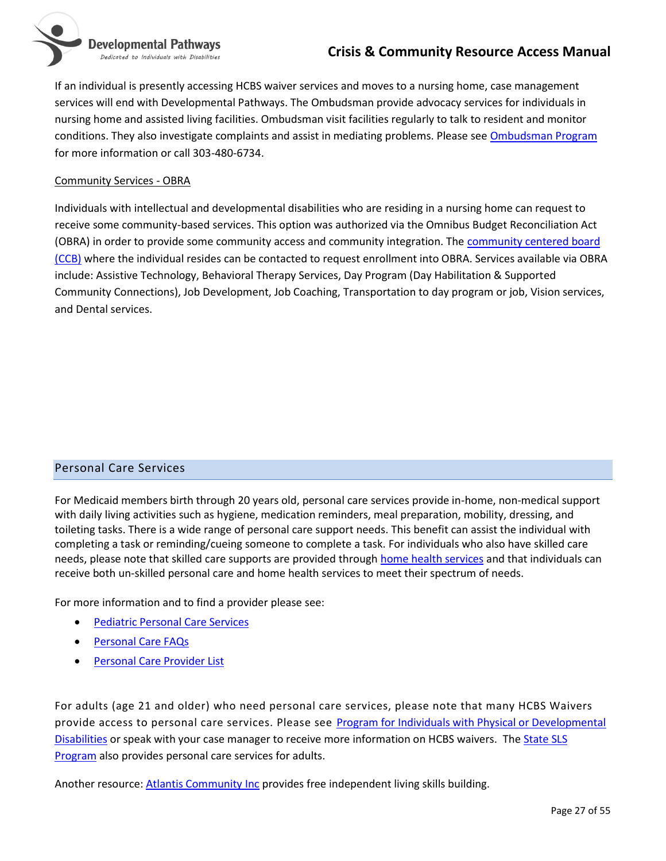

If an individual is presently accessing HCBS waiver services and moves to a nursing home, case management services will end with Developmental Pathways. The Ombudsman provide advocacy services for individuals in nursing home and assisted living facilities. Ombudsman visit facilities regularly to talk to resident and monitor conditions. They also investigate complaints and assist in mediating problems. Please se[e Ombudsman Program](https://drcog.org/programs/area-agency-aging/ombudsman-programs) for more information or call 303-480-6734.

#### Community Services - OBRA

Individuals with intellectual and developmental disabilities who are residing in a nursing home can request to receive some community-based services. This option was authorized via the Omnibus Budget Reconciliation Act (OBRA) in order to provide some community access and community integration. The [community centered board](#page-19-0)  [\(CCB\)](#page-19-0) where the individual resides can be contacted to request enrollment into OBRA. Services available via OBRA include: Assistive Technology, Behavioral Therapy Services, Day Program (Day Habilitation & Supported Community Connections), Job Development, Job Coaching, Transportation to day program or job, Vision services, and Dental services.

#### <span id="page-26-0"></span>Personal Care Services

For Medicaid members birth through 20 years old, personal care services provide in-home, non-medical support with daily living activities such as hygiene, medication reminders, meal preparation, mobility, dressing, and toileting tasks. There is a wide range of personal care support needs. This benefit can assist the individual with completing a task or reminding/cueing someone to complete a task. For individuals who also have skilled care needs, please note that skilled care supports are provided through [home health services](#page-24-0) and that individuals can receive both un-skilled personal care and home health services to meet their spectrum of needs.

For more information and to find a provider please see:

- [Pediatric Personal Care Services](https://www.colorado.gov/pacific/hcpf/pediatric-personal-care-services)
- [Personal Care FAQs](https://www.colorado.gov/pacific/sites/default/files/Member%20FAQs_1.pdf)
- [Personal Care Provider List](https://www.colorado.gov/pacific/sites/default/files/PC%20Provider%20List.pdf)

For adults (age 21 and older) who need personal care services, please note that many HCBS Waivers provide access to personal care services. Please see Program for Individuals with Physical or Developmental [Disabilities](https://www.colorado.gov/pacific/hcpf/programs-individuals-physical-or-developmental-disabilities) or speak with your case manager to receive more information on HCBS waivers. The State SLS [Program](https://www.dpcolo.org/our-programs/case-management-department/state-supported-living-services-program-sls/) also provides personal care services for adults.

Another resource: [Atlantis Community Inc](#page-49-0) provides free independent living skills building.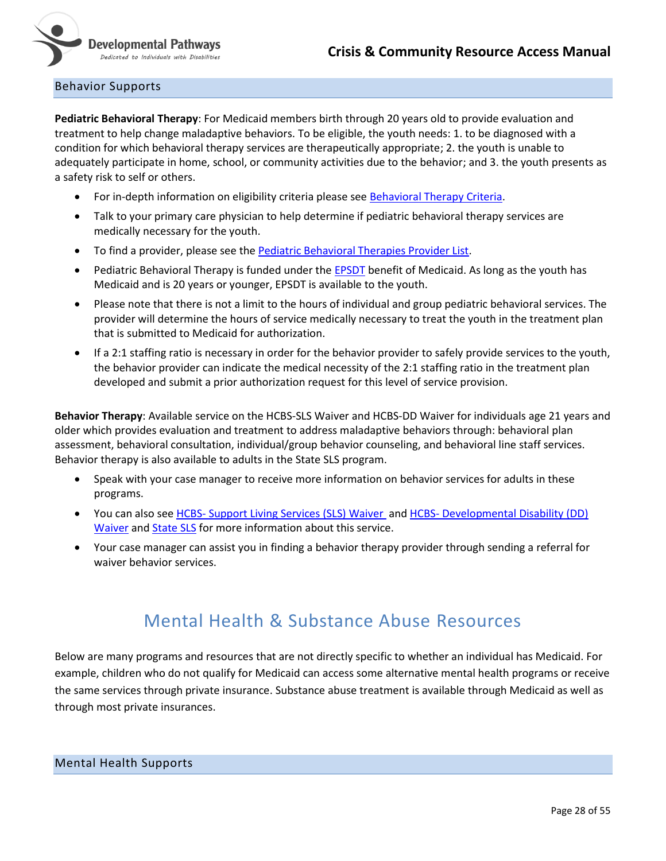

#### <span id="page-27-0"></span>Behavior Supports

**Pediatric Behavioral Therapy**: For Medicaid members birth through 20 years old to provide evaluation and treatment to help change maladaptive behaviors. To be eligible, the youth needs: 1. to be diagnosed with a condition for which behavioral therapy services are therapeutically appropriate; 2. the youth is unable to adequately participate in home, school, or community activities due to the behavior; and 3. the youth presents as a safety risk to self or others.

- For in-depth information on eligibility criteria please see [Behavioral Therapy Criteria.](https://www.colorado.gov/pacific/sites/default/files/Colorado%20Medicaid%20Criteria%20for%20Behavioral%20Therapies%20October%202017.pdf)
- Talk to your primary care physician to help determine if pediatric behavioral therapy services are medically necessary for the youth.
- To find a provider, please see the [Pediatric Behavioral Therapies Provider List.](https://www.colorado.gov/pacific/hcpf/pediatric-behavioral-therapies-provider-list)
- Pediatric Behavioral Therapy is funded under th[e EPSDT](https://www.colorado.gov/pacific/hcpf/early-and-periodic-screening-diagnostic-and-treatment-epsdt) benefit of Medicaid. As long as the youth has Medicaid and is 20 years or younger, EPSDT is available to the youth.
- Please note that there is not a limit to the hours of individual and group pediatric behavioral services. The provider will determine the hours of service medically necessary to treat the youth in the treatment plan that is submitted to Medicaid for authorization.
- If a 2:1 staffing ratio is necessary in order for the behavior provider to safely provide services to the youth, the behavior provider can indicate the medical necessity of the 2:1 staffing ratio in the treatment plan developed and submit a prior authorization request for this level of service provision.

**Behavior Therapy**: Available service on the HCBS-SLS Waiver and HCBS-DD Waiver for individuals age 21 years and older which provides evaluation and treatment to address maladaptive behaviors through: behavioral plan assessment, behavioral consultation, individual/group behavior counseling, and behavioral line staff services. Behavior therapy is also available to adults in the State SLS program.

- Speak with your case manager to receive more information on behavior services for adults in these programs.
- You can also see HCBS- [Support Living Services \(SLS\) Waiver](https://www.colorado.gov/hcpf/supported-living-services-waiver-sls) and HCBS- [Developmental Disability \(DD\)](https://www.colorado.gov/hcpf/developmental-disabilities-waiver-dd)  [Waiver](https://www.colorado.gov/hcpf/developmental-disabilities-waiver-dd) and [State SLS](https://www.dpcolo.org/our-programs/case-management-department/state-supported-living-services-program-sls/) for more information about this service.
- Your case manager can assist you in finding a behavior therapy provider through sending a referral for waiver behavior services.

# Mental Health & Substance Abuse Resources

<span id="page-27-1"></span>Below are many programs and resources that are not directly specific to whether an individual has Medicaid. For example, children who do not qualify for Medicaid can access some alternative mental health programs or receive the same services through private insurance. Substance abuse treatment is available through Medicaid as well as through most private insurances.

#### <span id="page-27-2"></span>Mental Health Supports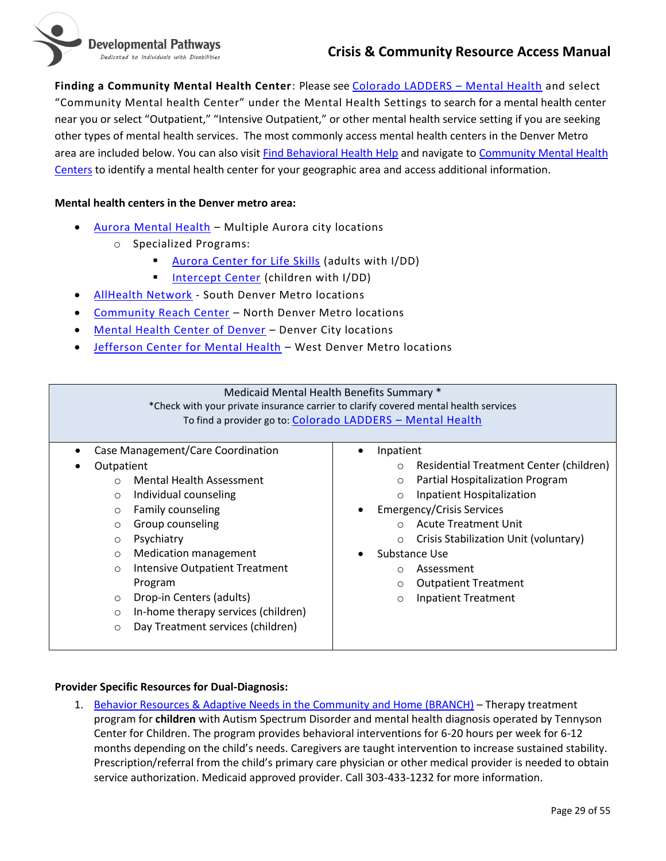

**Finding a Community Mental Health Center**: Please see [Colorado LADDERS](https://www.colorado.gov/LADDERS/OBH_PSS_Search?p=Mental%20Health) – Mental Health and select "Community Mental health Center" under the Mental Health Settings to search for a mental health center near you or select "Outpatient," "Intensive Outpatient," or other mental health service setting if you are seeking other types of mental health services. The most commonly access mental health centers in the Denver Metro area are included below. You can also visit [Find Behavioral Health Help](https://www.colorado.gov/pacific/cdhs/find-behavioral-health-help) and navigate t[o Community Mental Health](https://www.colorado.gov/pacific/cdhs/find-behavioral-health-help#ASOCMHCMSO)  [Centers](https://www.colorado.gov/pacific/cdhs/find-behavioral-health-help#ASOCMHCMSO) to identify a mental health center for your geographic area and access additional information.

#### <span id="page-28-0"></span>**Mental health centers in the Denver metro area:**

- [Aurora Mental Health](https://www.aumhc.org/get-help/age-group/child-youth-family/) Multiple Aurora city locations
	- o Specialized Programs:
		- Aurora [Center for Life Skills](https://www.aumhc.org/careers/training-programs/aurora-center-life-skills-acls/) (adults with I/DD)
		- **Entercept Center (children with I/DD)**
- [AllHealth Network](https://www.allhealthnetwork.org/) South Denver Metro locations
- [Community Reach Center](https://www.communityreachcenter.org/services/child-youth-and-family-services/dual-diagnosis/) North Denver Metro locations
- [Mental Health Center of Denver](https://mhcd.org/get-to-know-us/) Denver City locations
- [Jefferson Center for Mental Health](https://www.jcmh.org/) West Denver Metro locations

| Medicaid Mental Health Benefits Summary *                                            |                                                            |  |
|--------------------------------------------------------------------------------------|------------------------------------------------------------|--|
| *Check with your private insurance carrier to clarify covered mental health services |                                                            |  |
|                                                                                      | To find a provider go to: Colorado LADDERS - Mental Health |  |
|                                                                                      |                                                            |  |
| Case Management/Care Coordination                                                    | Inpatient                                                  |  |
| Outpatient                                                                           | Residential Treatment Center (children)<br>$\circ$         |  |
| Mental Health Assessment<br>$\bigcap$                                                | Partial Hospitalization Program<br>$\Omega$                |  |
| Individual counseling<br>$\circ$                                                     | Inpatient Hospitalization<br>$\circ$                       |  |
| Family counseling<br>$\circ$                                                         | <b>Emergency/Crisis Services</b>                           |  |
| Group counseling<br>$\circ$                                                          | <b>Acute Treatment Unit</b><br>$\bigcap$                   |  |
| Psychiatry<br>$\circ$                                                                | Crisis Stabilization Unit (voluntary)<br>O                 |  |
| <b>Medication management</b><br>$\circ$                                              | Substance Use                                              |  |
| <b>Intensive Outpatient Treatment</b><br>$\circ$                                     | Assessment<br>∩                                            |  |
| Program                                                                              | <b>Outpatient Treatment</b><br>$\circ$                     |  |
| Drop-in Centers (adults)<br>$\circ$                                                  | <b>Inpatient Treatment</b><br>$\circ$                      |  |
| In-home therapy services (children)<br>$\circ$                                       |                                                            |  |
| Day Treatment services (children)<br>$\circ$                                         |                                                            |  |
|                                                                                      |                                                            |  |

#### **Provider Specific Resources for Dual-Diagnosis:**

1. [Behavior Resources & Adaptive Needs in the Community and Home \(BRANCH\)](https://www.tennysoncenter.org/programs/) – Therapy treatment program for **children** with Autism Spectrum Disorder and mental health diagnosis operated by Tennyson Center for Children. The program provides behavioral interventions for 6-20 hours per week for 6-12 months depending on the child's needs. Caregivers are taught intervention to increase sustained stability. Prescription/referral from the child's primary care physician or other medical provider is needed to obtain service authorization. Medicaid approved provider. Call 303-433-1232 for more information.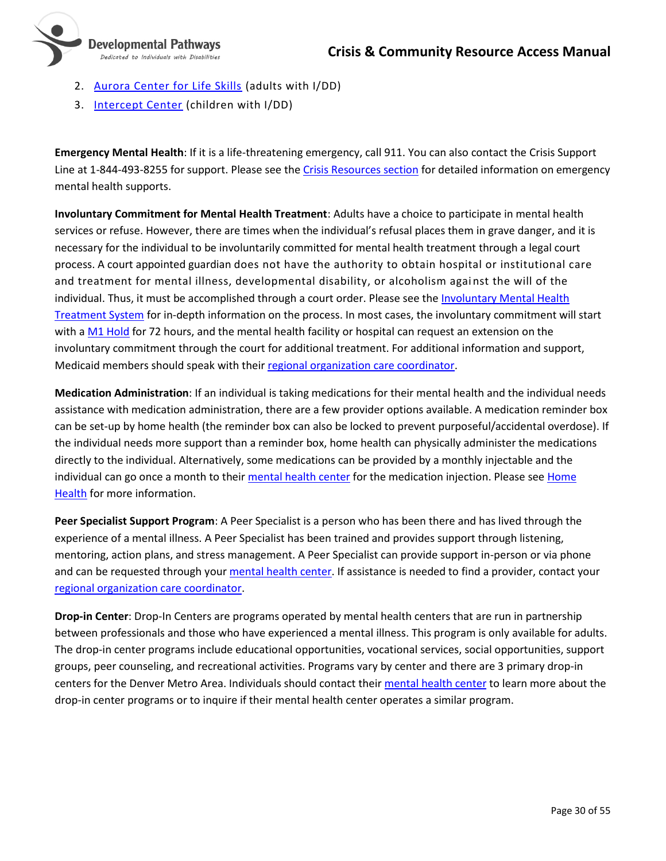

- 2. [Aurora Center for Life Skills](https://www.aumhc.org/careers/training-programs/aurora-center-life-skills-acls/) (adults with I/DD)
- 3. [Intercept Center](https://www.aumhc.org/get-help/age-group/child-youth-family/) (children with I/DD)

**Emergency Mental Health**: If it is a life-threatening emergency, call 911. You can also contact the Crisis Support Line at 1-844-493-8255 for support. Please see th[e Crisis Resources section](#page-11-0) for detailed information on emergency mental health supports.

**Involuntary Commitment for Mental Health Treatment**: Adults have a choice to participate in mental health services or refuse. However, there are times when the individual's refusal places them in grave danger, and it is necessary for the individual to be involuntarily committed for mental health treatment through a legal court process. A court appointed guardian does not have the authority to obtain hospital or institutional care and treatment for mental illness, developmental disability, or alcoholism against the will of the individual. Thus, it must be accomplished through a court order. Please see the [Involuntary Mental Health](https://cdhs.colorado.gov/behavioral-health/involuntary-mental-health-treatment)  [Treatment System](https://cdhs.colorado.gov/behavioral-health/involuntary-mental-health-treatment) for in-depth information on the process. In most cases, the involuntary commitment will start with [a M1 Hold](https://leg.colorado.gov/publications/emergency-mental-health-holds-17-38) for 72 hours, and the mental health facility or hospital can request an extension on the involuntary commitment through the court for additional treatment. For additional information and support, Medicaid members should speak with their [regional organization care coordinator.](#page-18-1)

**Medication Administration**: If an individual is taking medications for their mental health and the individual needs assistance with medication administration, there are a few provider options available. A medication reminder box can be set-up by home health (the reminder box can also be locked to prevent purposeful/accidental overdose). If the individual needs more support than a reminder box, home health can physically administer the medications directly to the individual. Alternatively, some medications can be provided by a monthly injectable and the individual can go once a month to their [mental health center](#page-28-0) for the medication injection. Please see Home [Health](#page-24-0) for more information.

**Peer Specialist Support Program**: A Peer Specialist is a person who has been there and has lived through the experience of a mental illness. A Peer Specialist has been trained and provides support through listening, mentoring, action plans, and stress management. A Peer Specialist can provide support in-person or via phone and can be requested through your [mental health center.](#page-28-0) If assistance is needed to find a provider, contact your [regional organization care coordinator.](#page-18-1)

<span id="page-29-0"></span>**Drop-in Center**: Drop-In Centers are programs operated by mental health centers that are run in partnership between professionals and those who have experienced a mental illness. This program is only available for adults. The drop-in center programs include educational opportunities, vocational services, social opportunities, support groups, peer counseling, and recreational activities. Programs vary by center and there are 3 primary drop-in centers for the Denver Metro Area. Individuals should contact thei[r mental health center](#page-28-0) to learn more about the drop-in center programs or to inquire if their mental health center operates a similar program.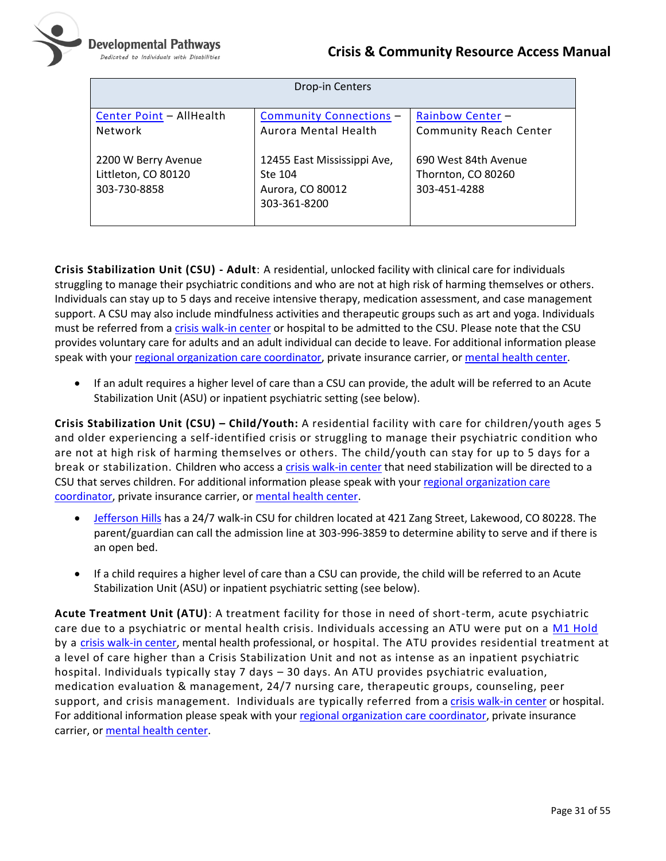

| Drop-in Centers                                            |                                                                            |                                                            |
|------------------------------------------------------------|----------------------------------------------------------------------------|------------------------------------------------------------|
| Center Point - AllHealth<br>Network                        | <b>Community Connections -</b><br>Aurora Mental Health                     | Rainbow Center -<br>Community Reach Center                 |
| 2200 W Berry Avenue<br>Littleton, CO 80120<br>303-730-8858 | 12455 East Mississippi Ave,<br>Ste 104<br>Aurora, CO 80012<br>303-361-8200 | 690 West 84th Avenue<br>Thornton, CO 80260<br>303-451-4288 |

<span id="page-30-0"></span>**Crisis Stabilization Unit (CSU) - Adult**: A residential, unlocked facility with clinical care for individuals struggling to manage their psychiatric conditions and who are not at high risk of harming themselves or others. Individuals can stay up to 5 days and receive intensive therapy, medication assessment, and case management support. A CSU may also include mindfulness activities and therapeutic groups such as art and yoga. Individuals must be referred from [a crisis walk-in center](#page-11-0) or hospital to be admitted to the CSU. Please note that the CSU provides voluntary care for adults and an adult individual can decide to leave. For additional information please speak with your [regional organization care coordinator,](#page-18-1) private insurance carrier, o[r mental health center.](#page-28-0)

• If an adult requires a higher level of care than a CSU can provide, the adult will be referred to an Acute Stabilization Unit (ASU) or inpatient psychiatric setting (see below).

**Crisis Stabilization Unit (CSU) – Child/Youth:** A residential facility with care for children/youth ages 5 and older experiencing a self-identified crisis or struggling to manage their psychiatric condition who are not at high risk of harming themselves or others. The child/youth can stay for up to 5 days for a break or stabilization. Children who access [a crisis walk-in center](#page-11-0) that need stabilization will be directed to a CSU that serves children. For additional information please speak with your regional organization care [coordinator,](#page-18-1) private insurance carrier, or [mental health center.](#page-28-0)

- [Jefferson Hills](https://jeffersonhills.org/Programs) has a 24/7 walk-in CSU for children located at 421 Zang Street, Lakewood, CO 80228. The parent/guardian can call the admission line at 303-996-3859 to determine ability to serve and if there is an open bed.
- If a child requires a higher level of care than a CSU can provide, the child will be referred to an Acute Stabilization Unit (ASU) or inpatient psychiatric setting (see below).

**Acute Treatment Unit (ATU)**: A treatment facility for those in need of short-term, acute psychiatric care due to a psychiatric or mental health crisis. Individuals accessing an ATU were put on a [M1 Hold](https://leg.colorado.gov/publications/emergency-mental-health-holds-17-38) by a [crisis walk-in center,](#page-11-0) mental health professional, or hospital. The ATU provides residential treatment at a level of care higher than a Crisis Stabilization Unit and not as intense as an inpatient psychiatric hospital. Individuals typically stay 7 days – 30 days. An ATU provides psychiatric evaluation, medication evaluation & management, 24/7 nursing care, therapeutic groups, counseling, peer support, and crisis management. Individuals are typically referred from a [crisis walk-in center](#page-11-0) or hospital. For additional information please speak with you[r regional organization care coordinator,](#page-18-1) private insurance carrier, or [mental health center.](#page-28-0)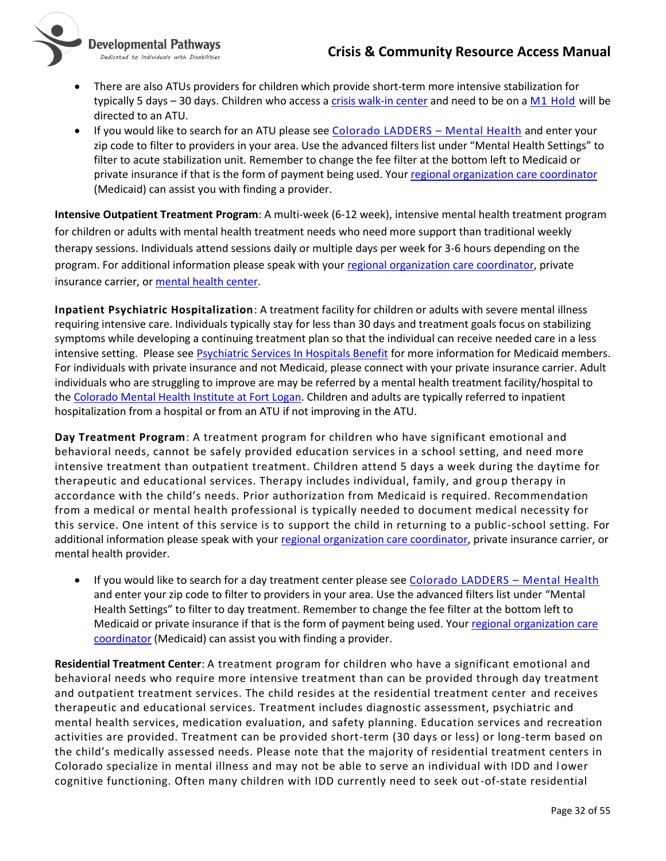

- Developmental Pathways Dedicated to Individuals with Disabilities
- There are also ATUs providers for children which provide short-term more intensive stabilization for typically 5 days - 30 days. Children who access [a crisis walk-in center](#page-11-0) and need to be on [a M1 Hold](https://leg.colorado.gov/publications/emergency-mental-health-holds-17-38) will be directed to an ATU.
- If you would like to search for an ATU please see [Colorado LADDERS](https://www.colorado.gov/LADDERS/OBH_PSS_Search?p=Mental%20Health)  Mental Health and enter your zip code to filter to providers in your area. Use the advanced filters list under "Mental Health Settings" to filter to acute stabilization unit. Remember to change the fee filter at the bottom left to Medicaid or private insurance if that is the form of payment being used. You[r regional organization care coordinator](#page-18-1) (Medicaid) can assist you with finding a provider.

**Intensive Outpatient Treatment Program**: A multi-week (6-12 week), intensive mental health treatment program for children or adults with mental health treatment needs who need more support than traditional weekly therapy sessions. Individuals attend sessions daily or multiple days per week for 3-6 hours depending on the program. For additional information please speak with your [regional organization care coordinator,](#page-18-1) private insurance carrier, or [mental health center.](#page-28-0)

**Inpatient Psychiatric Hospitalization**: A treatment facility for children or adults with severe mental illness requiring intensive care. Individuals typically stay for less than 30 days and treatment goals focus on stabilizing symptoms while developing a continuing treatment plan so that the individual can receive needed care in a less intensive setting. Please se[e Psychiatric Services In Hospitals Benefit](https://www.colorado.gov/pacific/hcpf/psychiatric-services-hospitals-benefit) for more information for Medicaid members. For individuals with private insurance and not Medicaid, please connect with your private insurance carrier. Adult individuals who are struggling to improve are may be referred by a mental health treatment facility/hospital to the [Colorado Mental Health Institute at Fort](https://www.colorado.gov/pacific/cdhs/colorado-mental-health-institute-fort-logan) Logan. Children and adults are typically referred to inpatient hospitalization from a hospital or from an ATU if not improving in the ATU.

**Day Treatment Program**: A treatment program for children who have significant emotional and behavioral needs, cannot be safely provided education services in a school setting, and need more intensive treatment than outpatient treatment. Children attend 5 days a week during the daytime for therapeutic and educational services. Therapy includes individual, family, and group therapy in accordance with the child's needs. Prior authorization from Medicaid is required. Recommendation from a medical or mental health professional is typically needed to document medical necessity for this service. One intent of this service is to support the child in returning to a public-school setting. For additional information please speak with your [regional organization care coordinator,](#page-18-1) private insurance carrier, or mental health provider.

• If you would like to search for a day treatment center please see [Colorado LADDERS](https://www.colorado.gov/LADDERS/OBH_PSS_Search?p=Mental%20Health) – Mental Health and enter your zip code to filter to providers in your area. Use the advanced filters list under "Mental Health Settings" to filter to day treatment. Remember to change the fee filter at the bottom left to Medicaid or private insurance if that is the form of payment being used. Your regional organization care [coordinator](#page-18-1) (Medicaid) can assist you with finding a provider.

<span id="page-31-0"></span>**Residential Treatment Center**: A treatment program for children who have a significant emotional and behavioral needs who require more intensive treatment than can be provided through day treatment and outpatient treatment services. The child resides at the residential treatment center and receives therapeutic and educational services. Treatment includes diagnostic assessment, psychiatric and mental health services, medication evaluation, and safety planning. Education services and recreation activities are provided. Treatment can be provided short-term (30 days or less) or long-term based on the child's medically assessed needs. Please note that the majority of residential treatment centers in Colorado specialize in mental illness and may not be able to serve an individual with IDD and l ower cognitive functioning. Often many children with IDD currently need to seek out-of-state residential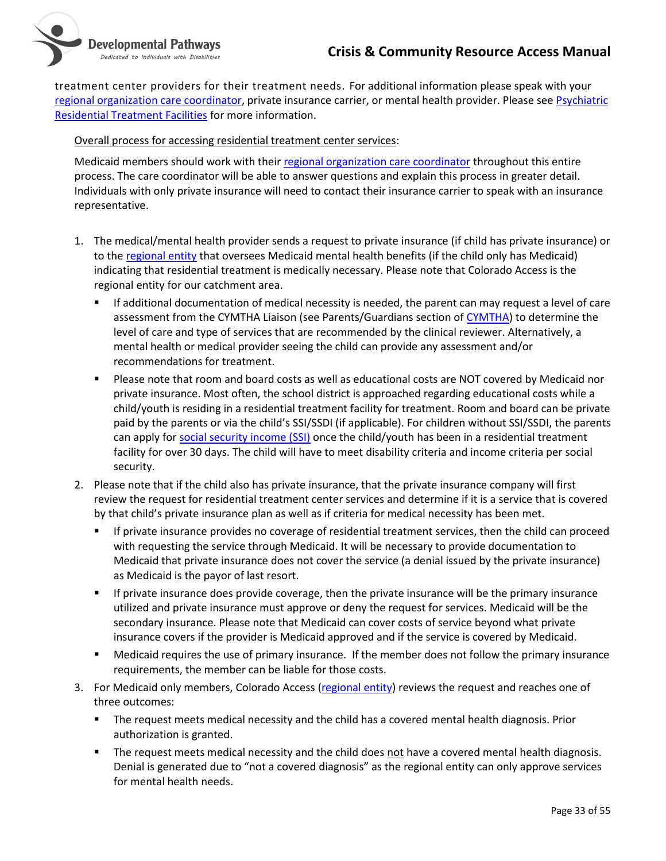

treatment center providers for their treatment needs. For additional information please speak with your [regional organization care coordinator,](#page-18-1) private insurance carrier, or mental health provider. Please see [Psychiatric](https://www.colorado.gov/hcpf/psychiatric-residential-treatment-facilities)  [Residential Treatment Facilities](https://www.colorado.gov/hcpf/psychiatric-residential-treatment-facilities) for more information.

#### Overall process for accessing residential treatment center services:

Medicaid members should work with their [regional organization care coordinator](#page-18-1) throughout this entire process. The care coordinator will be able to answer questions and explain this process in greater detail. Individuals with only private insurance will need to contact their insurance carrier to speak with an insurance representative.

- 1. The medical/mental health provider sends a request to private insurance (if child has private insurance) or to the [regional entity](#page-18-1) that oversees Medicaid mental health benefits (if the child only has Medicaid) indicating that residential treatment is medically necessary. Please note that Colorado Access is the regional entity for our catchment area.
	- If additional documentation of medical necessity is needed, the parent can may request a level of care assessment from the CYMTHA Liaison (see Parents/Guardians section of [CYMTHA\)](https://www.colorado.gov/pacific/cdhs/children-and-youth-mental-health-treatment-act) to determine the level of care and type of services that are recommended by the clinical reviewer. Alternatively, a mental health or medical provider seeing the child can provide any assessment and/or recommendations for treatment.
	- Please note that room and board costs as well as educational costs are NOT covered by Medicaid nor private insurance. Most often, the school district is approached regarding educational costs while a child/youth is residing in a residential treatment facility for treatment. Room and board can be private paid by the parents or via the child's SSI/SSDI (if applicable). For children without SSI/SSDI, the parents can apply for [social security income \(SSI\)](https://www.ssa.gov/ssi/text-child-ussi.htm) once the child/youth has been in a residential treatment facility for over 30 days. The child will have to meet disability criteria and income criteria per social security.
- 2. Please note that if the child also has private insurance, that the private insurance company will first review the request for residential treatment center services and determine if it is a service that is covered by that child's private insurance plan as well as if criteria for medical necessity has been met.
	- If private insurance provides no coverage of residential treatment services, then the child can proceed with requesting the service through Medicaid. It will be necessary to provide documentation to Medicaid that private insurance does not cover the service (a denial issued by the private insurance) as Medicaid is the payor of last resort.
	- If private insurance does provide coverage, then the private insurance will be the primary insurance utilized and private insurance must approve or deny the request for services. Medicaid will be the secondary insurance. Please note that Medicaid can cover costs of service beyond what private insurance covers if the provider is Medicaid approved and if the service is covered by Medicaid.
	- Medicaid requires the use of primary insurance. If the member does not follow the primary insurance requirements, the member can be liable for those costs.
- 3. For Medicaid only members, Colorado Access [\(regional entity\)](#page-18-1) reviews the request and reaches one of three outcomes:
	- The request meets medical necessity and the child has a covered mental health diagnosis. Prior authorization is granted.
	- The request meets medical necessity and the child does not have a covered mental health diagnosis. Denial is generated due to "not a covered diagnosis" as the regional entity can only approve services for mental health needs.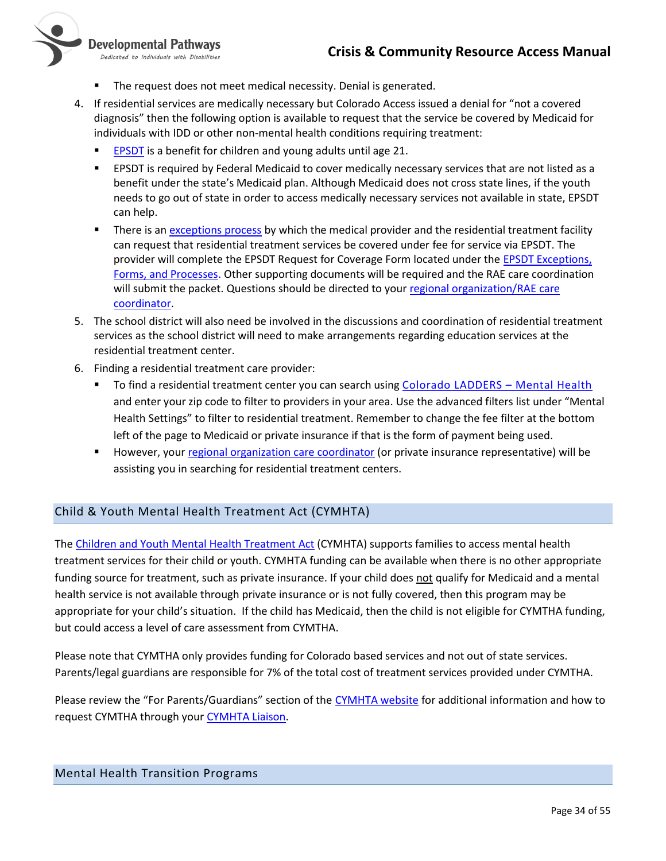

Developmental Pathways Dedicated to Individuals with Disabilities

- The request does not meet medical necessity. Denial is generated.
- 4. If residential services are medically necessary but Colorado Access issued a denial for "not a covered diagnosis" then the following option is available to request that the service be covered by Medicaid for individuals with IDD or other non-mental health conditions requiring treatment:
	- [EPSDT](https://www.colorado.gov/pacific/hcpf/early-and-periodic-screening-diagnostic-and-treatment-epsdt) is a benefit for children and young adults until age 21.
	- **EPSDT** is required by Federal Medicaid to cover medically necessary services that are not listed as a benefit under the state's Medicaid plan. Although Medicaid does not cross state lines, if the youth needs to go out of state in order to access medically necessary services not available in state, EPSDT can help.
	- There is a[n exceptions process](https://www.colorado.gov/pacific/hcpf/early-and-periodic-screening-diagnostic-and-treatment-epsdt) by which the medical provider and the residential treatment facility can request that residential treatment services be covered under fee for service via EPSDT. The provider will complete the EPSDT Request for Coverage Form located under th[e EPSDT Exceptions,](https://www.colorado.gov/pacific/hcpf/early-and-periodic-screening-diagnostic-and-treatment-epsdt)  [Forms, and Processes.](https://www.colorado.gov/pacific/hcpf/early-and-periodic-screening-diagnostic-and-treatment-epsdt) Other supporting documents will be required and the RAE care coordination will submit the packet. Questions should be directed to you[r regional organization/RAE](#page-18-1) care [coordinator.](#page-18-1)
- 5. The school district will also need be involved in the discussions and coordination of residential treatment services as the school district will need to make arrangements regarding education services at the residential treatment center.
- 6. Finding a residential treatment care provider:
	- To find a residential treatment center you can search using [Colorado LADDERS](https://www.colorado.gov/LADDERS/OBH_PSS_Search?p=Mental%20Health)  Mental Health and enter your zip code to filter to providers in your area. Use the advanced filters list under "Mental Health Settings" to filter to residential treatment. Remember to change the fee filter at the bottom left of the page to Medicaid or private insurance if that is the form of payment being used.
	- However, your [regional organization care coordinator](#page-18-1) (or private insurance representative) will be assisting you in searching for residential treatment centers.

#### <span id="page-33-0"></span>Child & Youth Mental Health Treatment Act (CYMHTA)

Th[e Children and Youth Mental Health Treatment Act](https://www.colorado.gov/pacific/cdhs/children-and-youth-mental-health-treatment-act) (CYMHTA) supports families to access mental health treatment services for their child or youth. CYMHTA funding can be available when there is no other appropriate funding source for treatment, such as private insurance. If your child does not qualify for Medicaid and a mental health service is not available through private insurance or is not fully covered, then this program may be appropriate for your child's situation. If the child has Medicaid, then the child is not eligible for CYMTHA funding, but could access a level of care assessment from CYMTHA.

Please note that CYMTHA only provides funding for Colorado based services and not out of state services. Parents/legal guardians are responsible for 7% of the total cost of treatment services provided under CYMTHA.

Please review the "For Parents/Guardians" section of the [CYMHTA website](https://www.colorado.gov/pacific/cdhs/children-and-youth-mental-health-treatment-act) for additional information and how to request CYMTHA through your [CYMHTA Liaison.](https://drive.google.com/file/d/0B9eaXW7_92zSbnNaQktrdUN2Sjg/view)

#### <span id="page-33-1"></span>Mental Health Transition Programs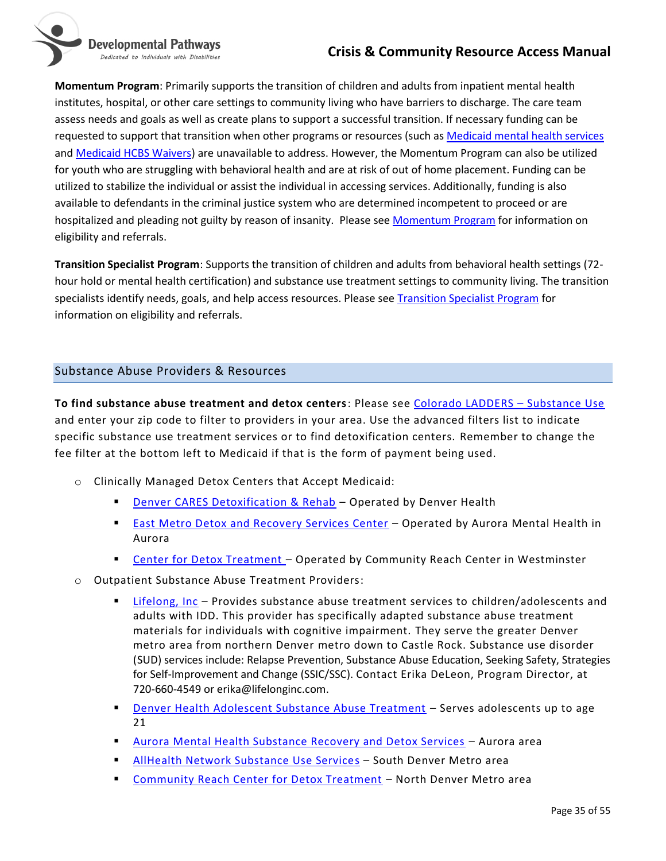Developmental Pathways Dedicated to Individuals with Disabilities

**Momentum Program**: Primarily supports the transition of children and adults from inpatient mental health institutes, hospital, or other care settings to community living who have barriers to discharge. The care team assess needs and goals as well as create plans to support a successful transition. If necessary funding can be requested to support that transition when other programs or resources (such a[s Medicaid mental health services](#page-27-2) an[d Medicaid HCBS Waivers\)](#page-22-0) are unavailable to address. However, the Momentum Program can also be utilized for youth who are struggling with behavioral health and are at risk of out of home placement. Funding can be utilized to stabilize the individual or assist the individual in accessing services. Additionally, funding is also available to defendants in the criminal justice system who are determined incompetent to proceed or are hospitalized and pleading not guilty by reason of insanity. Please see [Momentum Program](https://www.rmhumanservices.org/momentum-referrals) for information on eligibility and referrals.

**Transition Specialist Program**: Supports the transition of children and adults from behavioral health settings (72 hour hold or mental health certification) and substance use treatment settings to community living. The transition specialists identify needs, goals, and help access resources. Please see [Transition Specialist Program](https://www.rmhumanservices.org/tsp-referrals) for information on eligibility and referrals.

# <span id="page-34-0"></span>Substance Abuse Providers & Resources

**To find substance abuse treatment and detox centers**: Please see [Colorado LADDERS](https://www.colorado.gov/LADDERS/OBH_PSS_Search?p=Substance%20Use) – Substance Use and enter your zip code to filter to providers in your area. Use the advanced filters list to indicate specific substance use treatment services or to find detoxification centers. Remember to change the fee filter at the bottom left to Medicaid if that is the form of payment being used.

- o Clinically Managed Detox Centers that Accept Medicaid:
	- **[Denver CARES Detoxification & Rehab](https://www.denverhealth.org/services/community-health/denver-cares-detox-drug-alcohol-rehab) Operated by Denver Health**
	- **[East Metro Detox and Recovery Services Center](https://www.aumhc.org/substance-recovery-detox-services/) Operated by Aurora Mental Health in** Aurora
	- [Center for Detox Treatment](https://www.communityreachcenter.org/locations/center-detox-treatment/) Operated by Community Reach Center in Westminster
- o Outpatient Substance Abuse Treatment Providers:
	- [Lifelong, Inc](http://lifelonginc.com/our-services) Provides substance abuse treatment services to children/adolescents and adults with IDD. This provider has specifically adapted substance abuse treatment materials for individuals with cognitive impairment. They serve the greater Denver metro area from northern Denver metro down to Castle Rock. Substance use disorder (SUD) services include: Relapse Prevention, Substance Abuse Education, Seeking Safety, Strategies for Self-Improvement and Change (SSIC/SSC). Contact Erika DeLeon, Program Director, at 720-660-4549 or erika@lifelonginc.com.
	- **[Denver Health Adolescent Substance Abuse Treatment](https://www.denverhealth.org/services/behavioral-health/addiction-services/adolescent-substance-abuse-treatment) Serves adolescents up to age** 21
	- [Aurora Mental Health Substance Recovery and Detox Services](https://www.aumhc.org/substance-recovery-detox-services/) Aurora area
	- [AllHealth Network Substance Use Services](https://www.allhealthnetwork.org/services/substance-use/) South Denver Metro area
	- [Community Reach Center for Detox Treatment](https://www.communityreachcenter.org/services/adult-and-senior-services/detox-services/) North Denver Metro area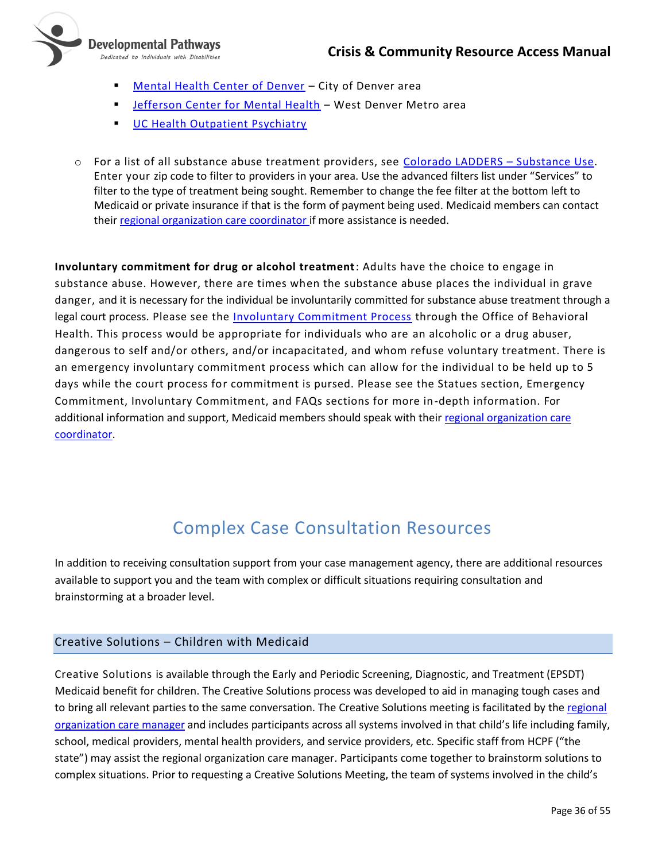

- [Mental Health Center of Denver](https://mhcd.org/access-services/) City of Denver area
- **Example 1** [Jefferson Center for Mental Health](https://www.jcmh.org/key-services/) West Denver Metro area
- **[UC Health Outpatient Psychiatry](https://medschool.cuanschutz.edu/psychiatry/programs/uchealth-psychiatric-services)**
- o For a list of all substance abuse treatment providers, see [Colorado LADDERS](https://www.colorado.gov/LADDERS/OBH_PSS_Search?p=Substance%20Use)  Substance Use. Enter your zip code to filter to providers in your area. Use the advanced filters list under "Services" to filter to the type of treatment being sought. Remember to change the fee filter at the bottom left to Medicaid or private insurance if that is the form of payment being used. Medicaid members can contact their [regional organization care coordinator](#page-18-1) if more assistance is needed.

**Involuntary commitment for drug or alcohol treatment**: Adults have the choice to engage in substance abuse. However, there are times when the substance abuse places the individual in grave danger, and it is necessary for the individual be involuntarily committed for substance abuse treatment through a legal court process. Please see the **Involuntary Commitment Process** through the Office of Behavioral Health. This process would be appropriate for individuals who are an alcoholic or a drug abuser, dangerous to self and/or others, and/or incapacitated, and whom refuse voluntary treatment. There is an emergency involuntary commitment process which can allow for the individual to be held up to 5 days while the court process for commitment is pursed. Please see the Statues section, Emergency Commitment, Involuntary Commitment, and FAQs sections for more in-depth information. For additional information and support, Medicaid members should speak with their regional organization care [coordinator.](#page-18-1)

# Complex Case Consultation Resources

<span id="page-35-0"></span>In addition to receiving consultation support from your case management agency, there are additional resources available to support you and the team with complex or difficult situations requiring consultation and brainstorming at a broader level.

# <span id="page-35-1"></span>Creative Solutions – Children with Medicaid

Creative Solutions is available through the Early and Periodic Screening, Diagnostic, and Treatment (EPSDT) Medicaid benefit for children. The Creative Solutions process was developed to aid in managing tough cases and to bring all relevant parties to the same conversation. The Creative Solutions meeting is facilitated by the [regional](#page-18-1)  [organization care manager](#page-18-1) and includes participants across all systems involved in that child's life including family, school, medical providers, mental health providers, and service providers, etc. Specific staff from HCPF ("the state") may assist the regional organization care manager. Participants come together to brainstorm solutions to complex situations. Prior to requesting a Creative Solutions Meeting, the team of systems involved in the child's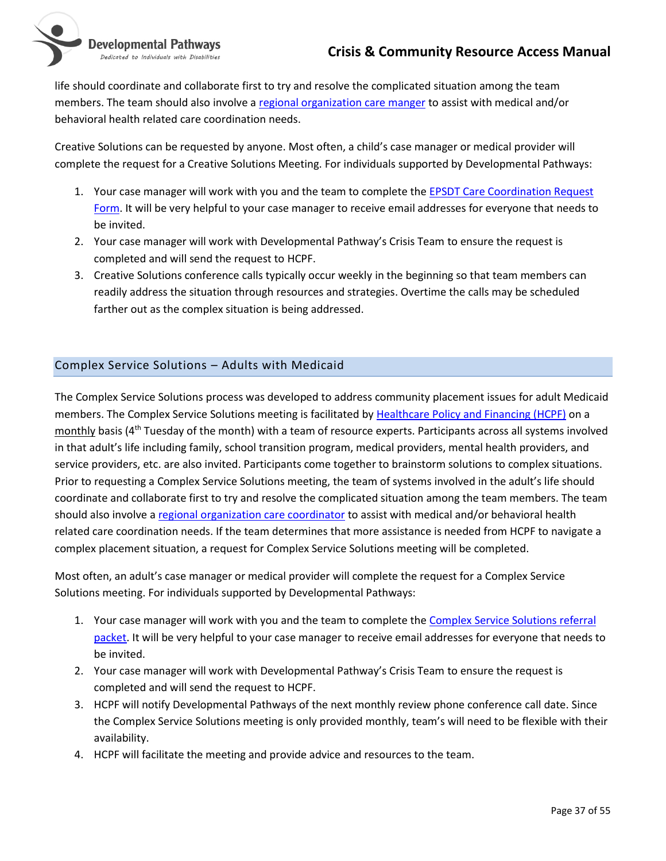

life should coordinate and collaborate first to try and resolve the complicated situation among the team members. The team should also involve a [regional organization care manger](#page-18-1) to assist with medical and/or behavioral health related care coordination needs.

Creative Solutions can be requested by anyone. Most often, a child's case manager or medical provider will complete the request for a Creative Solutions Meeting. For individuals supported by Developmental Pathways:

- 1. Your case manager will work with you and the team to complete the **EPSDT Care Coordination Request** [Form.](https://hcpf.colorado.gov/sites/hcpf/files/EPSDT%20Screening%20Referral%20Form%20Sept%202019.pdf) It will be very helpful to your case manager to receive email addresses for everyone that needs to be invited.
- 2. Your case manager will work with Developmental Pathway's Crisis Team to ensure the request is completed and will send the request to HCPF.
- 3. Creative Solutions conference calls typically occur weekly in the beginning so that team members can readily address the situation through resources and strategies. Overtime the calls may be scheduled farther out as the complex situation is being addressed.

# <span id="page-36-0"></span>Complex Service Solutions – Adults with Medicaid

The Complex Service Solutions process was developed to address community placement issues for adult Medicaid members. The Complex Service Solutions meeting is facilitated by [Healthcare Policy and Financing \(HCPF\)](https://www.colorado.gov/hcpf/about-hcpf) on a monthly basis (4th Tuesday of the month) with a team of resource experts. Participants across all systems involved in that adult's life including family, school transition program, medical providers, mental health providers, and service providers, etc. are also invited. Participants come together to brainstorm solutions to complex situations. Prior to requesting a Complex Service Solutions meeting, the team of systems involved in the adult's life should coordinate and collaborate first to try and resolve the complicated situation among the team members. The team should also involve [a regional organization care coordinator](#page-18-1) to assist with medical and/or behavioral health related care coordination needs. If the team determines that more assistance is needed from HCPF to navigate a complex placement situation, a request for Complex Service Solutions meeting will be completed.

Most often, an adult's case manager or medical provider will complete the request for a Complex Service Solutions meeting. For individuals supported by Developmental Pathways:

- 1. Your case manager will work with you and the team to complete the Complex Service Solutions referral [packet.](https://nmsco.sharepoint.com/:w:/r/sites/cm/cmdocs/Complex%20Service%20Solutions%20Request%20Form.docx?d=w8021ae23c6cf4f429640b42b1cf48c00&csf=1) It will be very helpful to your case manager to receive email addresses for everyone that needs to be invited.
- 2. Your case manager will work with Developmental Pathway's Crisis Team to ensure the request is completed and will send the request to HCPF.
- 3. HCPF will notify Developmental Pathways of the next monthly review phone conference call date. Since the Complex Service Solutions meeting is only provided monthly, team's will need to be flexible with their availability.
- 4. HCPF will facilitate the meeting and provide advice and resources to the team.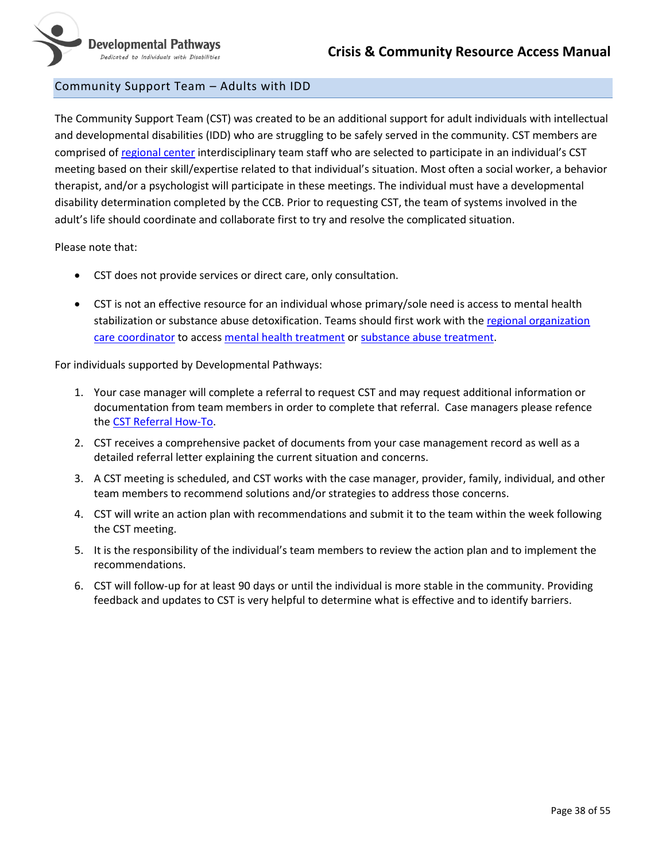### <span id="page-37-0"></span>Community Support Team – Adults with IDD

The Community Support Team (CST) was created to be an additional support for adult individuals with intellectual and developmental disabilities (IDD) who are struggling to be safely served in the community. CST members are comprised o[f regional center](#page-39-1) interdisciplinary team staff who are selected to participate in an individual's CST meeting based on their skill/expertise related to that individual's situation. Most often a social worker, a behavior therapist, and/or a psychologist will participate in these meetings. The individual must have a developmental disability determination completed by the CCB. Prior to requesting CST, the team of systems involved in the adult's life should coordinate and collaborate first to try and resolve the complicated situation.

Please note that:

- CST does not provide services or direct care, only consultation.
- CST is not an effective resource for an individual whose primary/sole need is access to mental health stabilization or substance abuse detoxification. Teams should first work with th[e regional organization](#page-18-1)  [care coordinator](#page-18-1) to acces[s mental health treatment](#page-27-2) or [substance abuse treatment.](#page-34-0)

For individuals supported by Developmental Pathways:

- 1. Your case manager will complete a referral to request CST and may request additional information or documentation from team members in order to complete that referral. Case managers please refence the [CST Referral How-To.](https://nmsco.sharepoint.com/sites/cm/cmdocs/Community%20Support%20Team%20(CST)%20Referral%20How-To.docx?d=wf74db28ea742412a8bde75d5f2817462)
- 2. CST receives a comprehensive packet of documents from your case management record as well as a detailed referral letter explaining the current situation and concerns.
- 3. A CST meeting is scheduled, and CST works with the case manager, provider, family, individual, and other team members to recommend solutions and/or strategies to address those concerns.
- 4. CST will write an action plan with recommendations and submit it to the team within the week following the CST meeting.
- 5. It is the responsibility of the individual's team members to review the action plan and to implement the recommendations.
- 6. CST will follow-up for at least 90 days or until the individual is more stable in the community. Providing feedback and updates to CST is very helpful to determine what is effective and to identify barriers.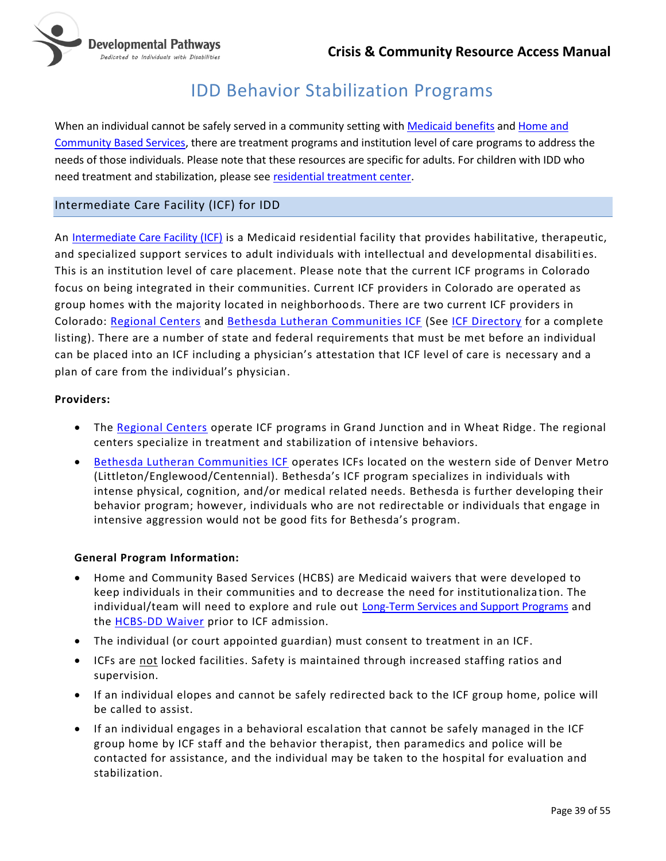

# IDD Behavior Stabilization Programs

<span id="page-38-0"></span>When an individual cannot be safely served in a community setting wit[h Medicaid benefits](https://www.healthfirstcolorado.com/benefits-services/) an[d Home and](https://www.colorado.gov/pacific/hcpf/programs-individuals-physical-or-developmental-disabilities)  [Community Based Services,](https://www.colorado.gov/pacific/hcpf/programs-individuals-physical-or-developmental-disabilities) there are treatment programs and institution level of care programs to address the needs of those individuals. Please note that these resources are specific for adults. For children with IDD who need treatment and stabilization, please see [residential treatment center.](#page-31-0)

# <span id="page-38-1"></span>Intermediate Care Facility (ICF) for IDD

An [Intermediate Care Facility \(ICF\)](https://www.colorado.gov/cdphe/intermediate-care-facilities) is a Medicaid residential facility that provides habilitative, therapeutic, and specialized support services to adult individuals with intellectual and developmental disabiliti es. This is an institution level of care placement. Please note that the current ICF programs in Colorado focus on being integrated in their communities. Current ICF providers in Colorado are operated as group homes with the majority located in neighborhoods. There are two current ICF providers in Colorado: [Regional Centers](#page-39-1) and [Bethesda Lutheran Communities ICF](https://bethesdalc.org/) (See [ICF Directory](http://www.hfemsd2.dphe.state.co.us/hfd2003/homebase.aspx?Ftype=icfmr&Do=list) for a complete listing). There are a number of state and federal requirements that must be met before an individual can be placed into an ICF including a physician's attestation that ICF level of care is necessary and a plan of care from the individual's physician.

#### **Providers:**

- The [Regional Centers](#page-39-1) operate ICF programs in Grand Junction and in Wheat Ridge. The regional centers specialize in treatment and stabilization of intensive behaviors.
- [Bethesda Lutheran Communities ICF](https://bethesdalc.org/) operates ICFs located on the western side of Denver Metro (Littleton/Englewood/Centennial). Bethesda's ICF program specializes in individuals with intense physical, cognition, and/or medical related needs. Bethesda is further developing their behavior program; however, individuals who are not redirectable or individuals that engage in intensive aggression would not be good fits for Bethesda's program.

#### **General Program Information:**

- Home and Community Based Services (HCBS) are Medicaid waivers that were developed to keep individuals in their communities and to decrease the need for institutionaliza tion. The individual/team will need to explore and rule out [Long-Term Services and Support Programs](https://www.colorado.gov/pacific/hcpf/long-term-services-and-supports-programs) and the **HCBS-DD Waiver** prior to ICF admission.
- The individual (or court appointed guardian) must consent to treatment in an ICF.
- ICFs are not locked facilities. Safety is maintained through increased staffing ratios and supervision.
- If an individual elopes and cannot be safely redirected back to the ICF group home, police will be called to assist.
- If an individual engages in a behavioral escalation that cannot be safely managed in the ICF group home by ICF staff and the behavior therapist, then paramedics and police will be contacted for assistance, and the individual may be taken to the hospital for evaluation and stabilization.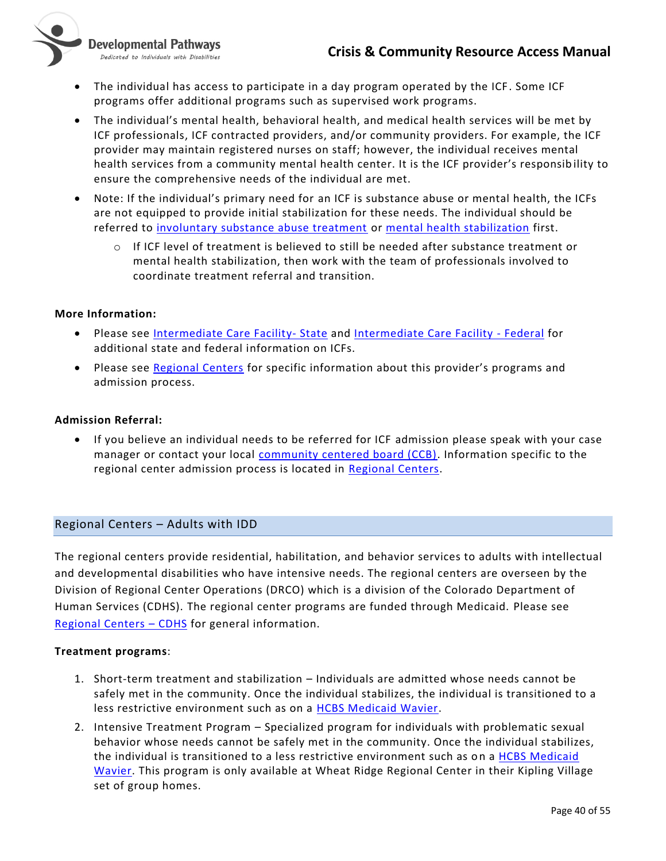

Developmental Pathways Dedicated to Individuals with Disabilities

- The individual has access to participate in a day program operated by the ICF. Some ICF programs offer additional programs such as supervised work programs.
- The individual's mental health, behavioral health, and medical health services will be met by ICF professionals, ICF contracted providers, and/or community providers. For example, the ICF provider may maintain registered nurses on staff; however, the individual receives mental health services from a community mental health center. It is the ICF provider's responsib ility to ensure the comprehensive needs of the individual are met.
- Note: If the individual's primary need for an ICF is substance abuse or mental health, the ICFs are not equipped to provide initial stabilization for these needs. The individual should be referred to [involuntary substance abuse treatment](#page-34-0) or [mental health stabilization](#page-30-0) first.
	- o If ICF level of treatment is believed to still be needed after substance treatment or mental health stabilization, then work with the team of professionals involved to coordinate treatment referral and transition.

#### **More Information:**

- Please see **Intermediate Care Facility- State and [Intermediate Care Facility -](https://www.medicaid.gov/medicaid/long-term-services-supports/institutional-long-term-care/intermediate-care-facilities-individuals-intellectual-disability/index.html) Federal** for additional state and federal information on ICFs.
- <span id="page-39-1"></span>• Please see [Regional Centers](#page-39-1) for specific information about this provider's programs and admission process.

#### **Admission Referral:**

• If you believe an individual needs to be referred for ICF admission please speak with your case manager or contact your local [community centered board \(CCB\).](#page-19-0) Information specific to the regional center admission process is located in [Regional Centers.](#page-39-1)

#### <span id="page-39-0"></span>Regional Centers – Adults with IDD

The regional centers provide residential, habilitation, and behavior services to adults with intellectual and developmental disabilities who have intensive needs. The regional centers are overseen by the Division of Regional Center Operations (DRCO) which is a division of the Colorado Department of Human Services (CDHS). The regional center programs are funded through Medicaid. Please see [Regional Centers](https://www.colorado.gov/pacific/cdhs/regional-centers) – CDHS for general information.

#### **Treatment programs**:

- 1. Short-term treatment and stabilization Individuals are admitted whose needs cannot be safely met in the community. Once the individual stabilizes, the individual is transitioned to a less restrictive environment such as on a [HCBS Medicaid Wavier.](https://www.colorado.gov/pacific/hcpf/long-term-services-and-supports-programs)
- 2. Intensive Treatment Program Specialized program for individuals with problematic sexual behavior whose needs cannot be safely met in the community. Once the individual stabilizes, the individual is transitioned to a less restrictive environment such as on a [HCBS Medicaid](https://www.colorado.gov/pacific/hcpf/long-term-services-and-supports-programs)  [Wavier.](https://www.colorado.gov/pacific/hcpf/long-term-services-and-supports-programs) This program is only available at Wheat Ridge Regional Center in their Kipling Village set of group homes.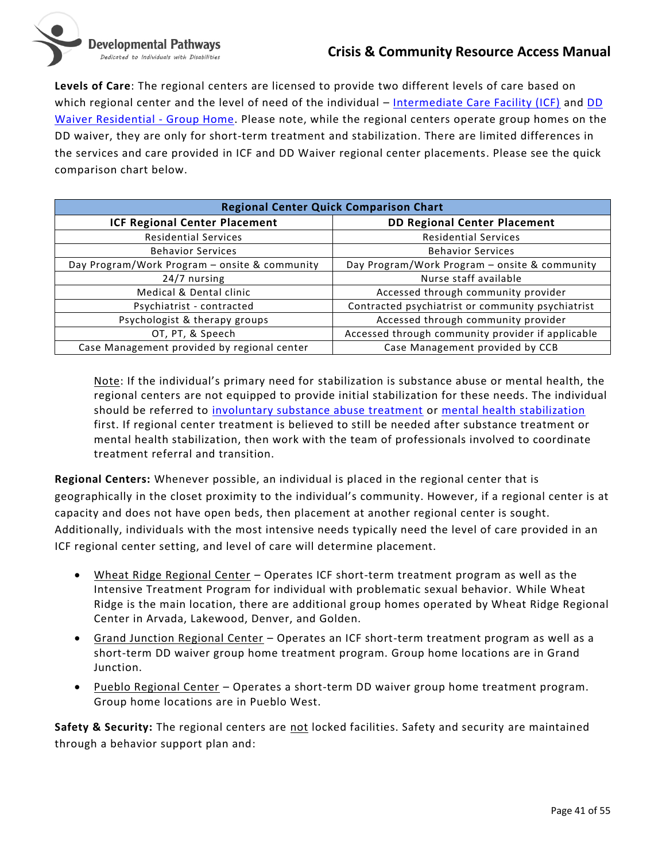**Levels of Care**: The regional centers are licensed to provide two different levels of care based on which regional center and the level of need of the individual – [Intermediate Care Facility \(ICF\)](#page-38-1) and DD [Waiver Residential -](https://www.colorado.gov/hcpf/developmental-disabilities-waiver-dd) Group Home. Please note, while the regional centers operate group homes on the DD waiver, they are only for short-term treatment and stabilization. There are limited differences in the services and care provided in ICF and DD Waiver regional center placements. Please see the quick comparison chart below.

| <b>Regional Center Quick Comparison Chart</b> |                                                   |
|-----------------------------------------------|---------------------------------------------------|
| <b>ICF Regional Center Placement</b>          | <b>DD Regional Center Placement</b>               |
| <b>Residential Services</b>                   | <b>Residential Services</b>                       |
| <b>Behavior Services</b>                      | <b>Behavior Services</b>                          |
| Day Program/Work Program - onsite & community | Day Program/Work Program - onsite & community     |
| 24/7 nursing                                  | Nurse staff available                             |
| Medical & Dental clinic                       | Accessed through community provider               |
| Psychiatrist - contracted                     | Contracted psychiatrist or community psychiatrist |
| Psychologist & therapy groups                 | Accessed through community provider               |
| OT, PT, & Speech                              | Accessed through community provider if applicable |
| Case Management provided by regional center   | Case Management provided by CCB                   |

Note: If the individual's primary need for stabilization is substance abuse or mental health, the regional centers are not equipped to provide initial stabilization for these needs. The individual should be referred to [involuntary substance abuse treatment](#page-34-0) or [mental health stabilization](#page-30-0) first. If regional center treatment is believed to still be needed after substance treatment or mental health stabilization, then work with the team of professionals involved to coordinate treatment referral and transition.

**Regional Centers:** Whenever possible, an individual is placed in the regional center that is geographically in the closet proximity to the individual's community. However, if a regional center is at capacity and does not have open beds, then placement at another regional center is sought. Additionally, individuals with the most intensive needs typically need the level of care provided in an ICF regional center setting, and level of care will determine placement.

- Wheat Ridge Regional Center Operates ICF short-term treatment program as well as the Intensive Treatment Program for individual with problematic sexual behavior. While Wheat Ridge is the main location, there are additional group homes operated by Wheat Ridge Regional Center in Arvada, Lakewood, Denver, and Golden.
- Grand Junction Regional Center Operates an ICF short-term treatment program as well as a short-term DD waiver group home treatment program. Group home locations are in Grand Junction.
- Pueblo Regional Center Operates a short-term DD waiver group home treatment program. Group home locations are in Pueblo West.

**Safety & Security:** The regional centers are not locked facilities. Safety and security are maintained through a behavior support plan and: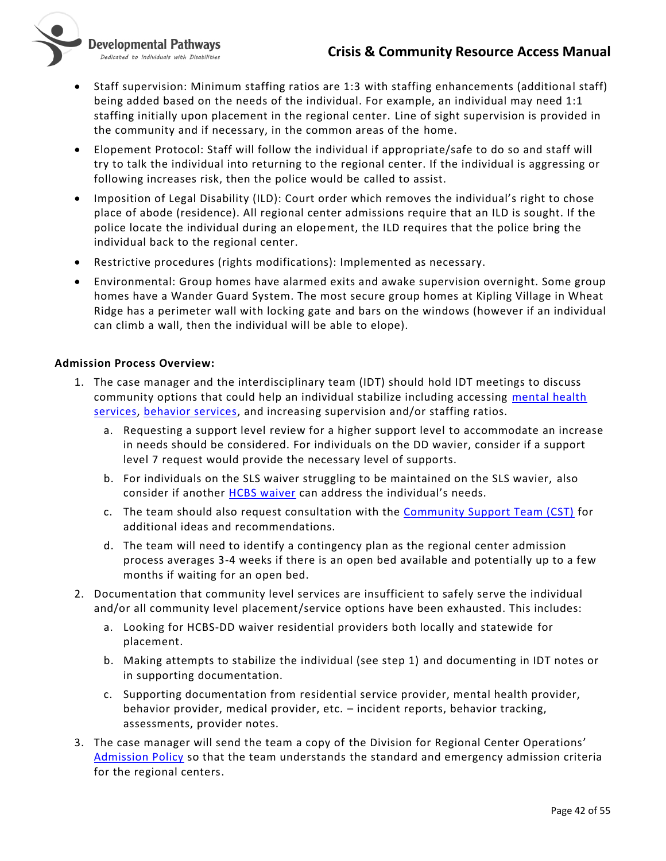

- Staff supervision: Minimum staffing ratios are 1:3 with staffing enhancements (additional staff) being added based on the needs of the individual. For example, an individual may need 1:1 staffing initially upon placement in the regional center. Line of sight supervision is provided in the community and if necessary, in the common areas of the home.
- Elopement Protocol: Staff will follow the individual if appropriate/safe to do so and staff will try to talk the individual into returning to the regional center. If the individual is aggressing or following increases risk, then the police would be called to assist.
- Imposition of Legal Disability (ILD): Court order which removes the individual's right to chose place of abode (residence). All regional center admissions require that an ILD is sought. If the police locate the individual during an elopement, the ILD requires that the police bring the individual back to the regional center.
- Restrictive procedures (rights modifications): Implemented as necessary.
- Environmental: Group homes have alarmed exits and awake supervision overnight. Some group homes have a Wander Guard System. The most secure group homes at Kipling Village in Wheat Ridge has a perimeter wall with locking gate and bars on the windows (however if an individual can climb a wall, then the individual will be able to elope).

#### **Admission Process Overview:**

Developmental Pathways Dedicated to Individuals with Disabilities

- 1. The case manager and the interdisciplinary team (IDT) should hold IDT meetings to discuss community options that could help an individual stabilize including accessing [mental health](#page-27-2)  [services,](#page-27-2) [behavior services,](#page-27-0) and increasing supervision and/or staffing ratios.
	- a. Requesting a support level review for a higher support level to accommodate an increase in needs should be considered. For individuals on the DD wavier, consider if a support level 7 request would provide the necessary level of supports.
	- b. For individuals on the SLS waiver struggling to be maintained on the SLS wavier, also consider if another [HCBS waiver](https://www.colorado.gov/pacific/hcpf/long-term-services-and-supports-programs) can address the individual's needs.
	- c. The team should also request consultation with the [Community Support Team \(CST\)](#page-37-0) for additional ideas and recommendations.
	- d. The team will need to identify a contingency plan as the regional center admission process averages 3-4 weeks if there is an open bed available and potentially up to a few months if waiting for an open bed.
- 2. Documentation that community level services are insufficient to safely serve the individual and/or all community level placement/service options have been exhausted. This includes:
	- a. Looking for HCBS-DD waiver residential providers both locally and statewide for placement.
	- b. Making attempts to stabilize the individual (see step 1) and documenting in IDT notes or in supporting documentation.
	- c. Supporting documentation from residential service provider, mental health provider, behavior provider, medical provider, etc. – incident reports, behavior tracking, assessments, provider notes.
- 3. The case manager will send the team a copy of the Division for Regional Center Operations' [Admission Policy](https://nmsco.sharepoint.com/sites/cm/cmdocs/Regional%20Center%20Admission%20Policy%20-02.2018.pdf?csf=1&cid=077f3b77-64ce-4831-8a8d-b94595b72a42) so that the team understands the standard and emergency admission criteria for the regional centers.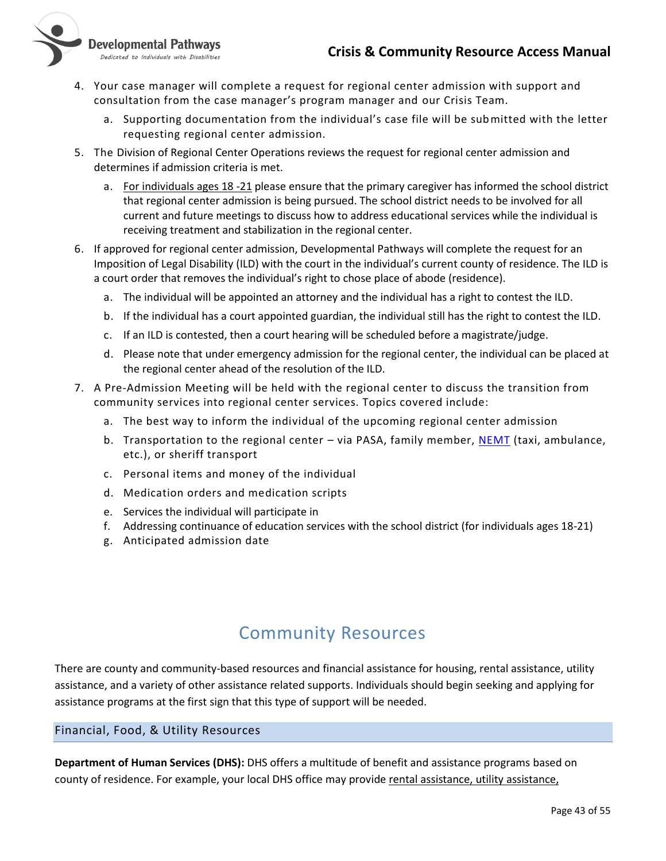# **Crisis & Community Resource Access Manual**



- Developmental Pathways
- Dedicated to Individuals with Disabilities
- 4. Your case manager will complete a request for regional center admission with support and consultation from the case manager's program manager and our Crisis Team.
	- a. Supporting documentation from the individual's case file will be submitted with the letter requesting regional center admission.
- 5. The Division of Regional Center Operations reviews the request for regional center admission and determines if admission criteria is met.
	- a. For individuals ages 18 -21 please ensure that the primary caregiver has informed the school district that regional center admission is being pursued. The school district needs to be involved for all current and future meetings to discuss how to address educational services while the individual is receiving treatment and stabilization in the regional center.
- 6. If approved for regional center admission, Developmental Pathways will complete the request for an Imposition of Legal Disability (ILD) with the court in the individual's current county of residence. The ILD is a court order that removes the individual's right to chose place of abode (residence).
	- a. The individual will be appointed an attorney and the individual has a right to contest the ILD.
	- b. If the individual has a court appointed guardian, the individual still has the right to contest the ILD.
	- c. If an ILD is contested, then a court hearing will be scheduled before a magistrate/judge.
	- d. Please note that under emergency admission for the regional center, the individual can be placed at the regional center ahead of the resolution of the ILD.
- 7. A Pre-Admission Meeting will be held with the regional center to discuss the transition from community services into regional center services. Topics covered include:
	- a. The best way to inform the individual of the upcoming regional center admission
	- b. Transportation to the regional center via PASA, family member, [NEMT](#page-23-1) (taxi, ambulance, etc.), or sheriff transport
	- c. Personal items and money of the individual
	- d. Medication orders and medication scripts
	- e. Services the individual will participate in
	- f. Addressing continuance of education services with the school district (for individuals ages 18-21)
	- g. Anticipated admission date

# Community Resources

<span id="page-42-0"></span>There are county and community-based resources and financial assistance for housing, rental assistance, utility assistance, and a variety of other assistance related supports. Individuals should begin seeking and applying for assistance programs at the first sign that this type of support will be needed.

#### <span id="page-42-1"></span>Financial, Food, & Utility Resources

**Department of Human Services (DHS):** DHS offers a multitude of benefit and assistance programs based on county of residence. For example, your local DHS office may provide rental assistance, utility assistance,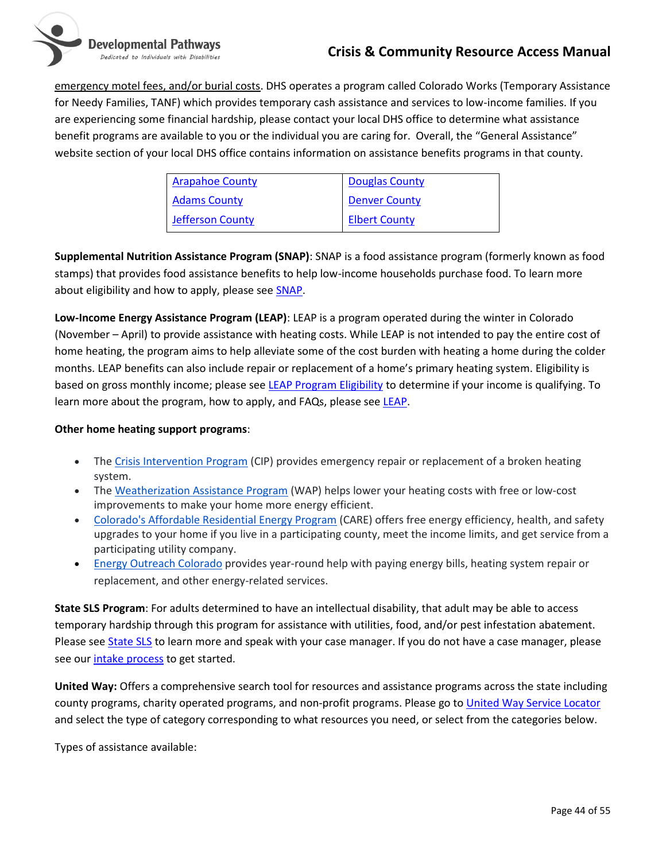

emergency motel fees, and/or burial costs. DHS operates a program called Colorado Works (Temporary Assistance for Needy Families, TANF) which provides temporary cash assistance and services to low-income families. If you are experiencing some financial hardship, please contact your local DHS office to determine what assistance benefit programs are available to you or the individual you are caring for. Overall, the "General Assistance" website section of your local DHS office contains information on assistance benefits programs in that county.

| <b>Arapahoe County</b> | <b>Douglas County</b> |
|------------------------|-----------------------|
| <b>Adams County</b>    | <b>Denver County</b>  |
| Jefferson County       | <b>Elbert County</b>  |

**Supplemental Nutrition Assistance Program (SNAP)**: SNAP is a food assistance program (formerly known as food stamps) that provides food assistance benefits to help low-income households purchase food. To learn more about eligibility and how to apply, please see **SNAP**.

**Low-Income Energy Assistance Program (LEAP)**: LEAP is a program operated during the winter in Colorado (November – April) to provide assistance with heating costs. While LEAP is not intended to pay the entire cost of home heating, the program aims to help alleviate some of the cost burden with heating a home during the colder months. LEAP benefits can also include repair or replacement of a home's primary heating system. Eligibility is based on gross monthly income; please see [LEAP Program Eligibility](https://www.colorado.gov/pacific/cdhs/program-eligibility) to determine if your income is qualifying. To learn more about the program, how to apply, and FAQs, please see [LEAP.](https://www.colorado.gov/pacific/cdhs/leap)

#### **Other home heating support programs**:

- The [Crisis Intervention Program](https://co.db101.org/co/programs/income_support/ea/program2a.htm#CIP) (CIP) provides emergency repair or replacement of a broken heating system.
- The [Weatherization Assistance Program](https://co.db101.org/co/programs/income_support/ea/program2a.htm#WAP) (WAP) helps lower your heating costs with free or low-cost improvements to make your home more energy efficient.
- [Colorado's Affordable Residential Energy Program](https://co.db101.org/co/programs/income_support/ea/program2a.htm#CARE) (CARE) offers free energy efficiency, health, and safety upgrades to your home if you live in a participating county, meet the income limits, and get service from a participating utility company.
- [Energy Outreach Colorado](https://co.db101.org/co/programs/income_support/ea/program2a.htm#outreach) provides year-round help with paying energy bills, heating system repair or replacement, and other energy-related services.

**State SLS Program**: For adults determined to have an intellectual disability, that adult may be able to access temporary hardship through this program for assistance with utilities, food, and/or pest infestation abatement. Please see [State SLS](https://www.dpcolo.org/our-programs/case-management-department/state-supported-living-services-program-sls/) to learn more and speak with your case manager. If you do not have a case manager, please see our [intake process](https://www.dpcolo.org/get-started/intake-process/) to get started.

**United Way:** Offers a comprehensive search tool for resources and assistance programs across the state including county programs, charity operated programs, and non-profit programs. Please go t[o United Way Service Locator](https://search.211colorado.org/) and select the type of category corresponding to what resources you need, or select from the categories below.

Types of assistance available: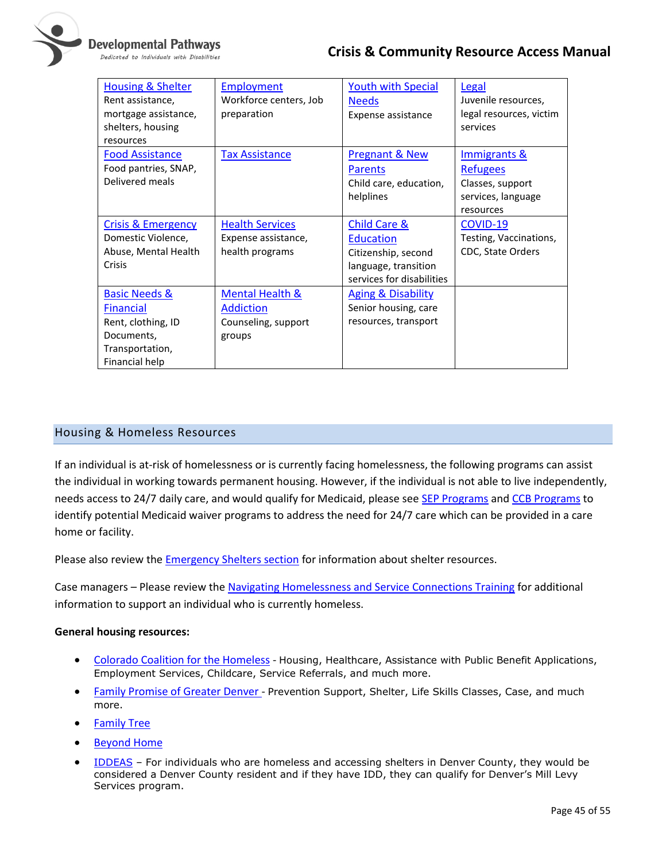

#### Developmental Pathways

Dedicated to Individuals with Disabilities

# **Crisis & Community Resource Access Manual**

| <b>Housing &amp; Shelter</b><br>Rent assistance,<br>mortgage assistance,<br>shelters, housing<br>resources            | <b>Employment</b><br>Workforce centers, Job<br>preparation                      | <b>Youth with Special</b><br><b>Needs</b><br>Expense assistance                                              | Legal<br>Juvenile resources,<br>legal resources, victim<br>services                               |
|-----------------------------------------------------------------------------------------------------------------------|---------------------------------------------------------------------------------|--------------------------------------------------------------------------------------------------------------|---------------------------------------------------------------------------------------------------|
| <b>Food Assistance</b><br>Food pantries, SNAP,<br>Delivered meals                                                     | <b>Tax Assistance</b>                                                           | <b>Pregnant &amp; New</b><br><b>Parents</b><br>Child care, education,<br>helplines                           | <b>Immigrants &amp;</b><br><b>Refugees</b><br>Classes, support<br>services, language<br>resources |
| <b>Crisis &amp; Emergency</b><br>Domestic Violence,<br>Abuse, Mental Health<br>Crisis                                 | <b>Health Services</b><br>Expense assistance,<br>health programs                | Child Care &<br><b>Education</b><br>Citizenship, second<br>language, transition<br>services for disabilities | COVID-19<br>Testing, Vaccinations,<br>CDC, State Orders                                           |
| <b>Basic Needs &amp;</b><br><b>Financial</b><br>Rent, clothing, ID<br>Documents,<br>Transportation,<br>Financial help | <b>Mental Health &amp;</b><br><b>Addiction</b><br>Counseling, support<br>groups | <b>Aging &amp; Disability</b><br>Senior housing, care<br>resources, transport                                |                                                                                                   |

#### <span id="page-44-0"></span>Housing & Homeless Resources

If an individual is at-risk of homelessness or is currently facing homelessness, the following programs can assist the individual in working towards permanent housing. However, if the individual is not able to live independently, needs access to 24/7 daily care, and would qualify for Medicaid, please se[e SEP Programs](#page-21-0) and [CCB Programs](#page-19-0) to identify potential Medicaid waiver programs to address the need for 24/7 care which can be provided in a care home or facility.

Please also review the **Emergency Shelters section** for information about shelter resources.

Case managers – Please review th[e Navigating Homelessness and Service Connections Training](https://nmsco.sharepoint.com/:p:/r/sites/cm/cmdocs/Navigating%20Homelessness%20%26%20Service%20Connections.pptx?d=w5de2f80f9d2e4cd09e68da2833214a79&csf=1&web=1) for additional information to support an individual who is currently homeless.

#### **General housing resources:**

- [Colorado Coalition for the Homeless](http://www.coloradocoalition.org/) Housing, Healthcare, Assistance with Public Benefit Applications, Employment Services, Childcare, Service Referrals, and much more.
- [Family Promise of Greater Denver](https://www.familypromiseofgreaterdenver.org/) Prevention Support, Shelter, Life Skills Classes, Case, and much more.
- [Family Tree](https://www.thefamilytree.org/en/programsaservices/104)
- **[Beyond Home](https://www.beyondhomeonline.org/)**
- [IDDEAS](https://www.denvergov.org/Government/Departments/Denver-Human-Services/Be-Supported/Additional-Assistance/Disability-Services/IDD-Mill-Levy) For individuals who are homeless and accessing shelters in Denver County, they would be considered a Denver County resident and if they have IDD, they can qualify for Denver's Mill Levy Services program.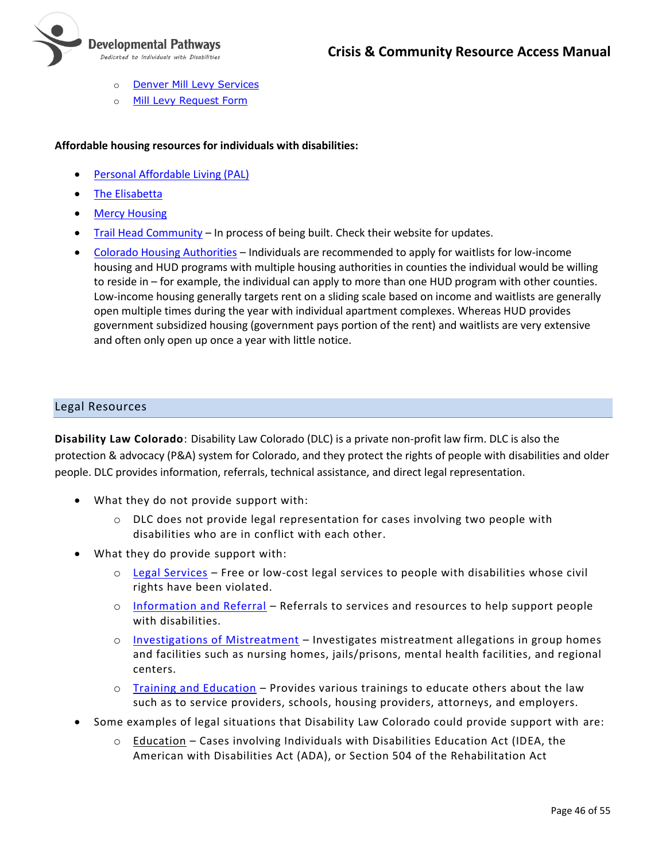

- o **[Denver Mill Levy Services](https://www.rmhumanservices.org/ml)**
- o [Mill Levy Request Form](https://www.rmhumanservices.org/individual-requests)

#### **Affordable housing resources for individuals with disabilities:**

- [Personal Affordable Living \(PAL\)](personalaffordableliving.org)
- [The Elisabetta](https://www.laradon.org/elisabetta.html)
- [Mercy Housing](https://www.mercyhousing.org/find-housing/faq/)
- [Trail Head Community](https://www.trailheadcommunity.org/) In process of being built. Check their website for updates.
- [Colorado Housing Authorities](https://portal.hud.gov/hudportal/HUD?src=/states/colorado/renting/hawebsites) Individuals are recommended to apply for waitlists for low-income housing and HUD programs with multiple housing authorities in counties the individual would be willing to reside in – for example, the individual can apply to more than one HUD program with other counties. Low-income housing generally targets rent on a sliding scale based on income and waitlists are generally open multiple times during the year with individual apartment complexes. Whereas HUD provides government subsidized housing (government pays portion of the rent) and waitlists are very extensive and often only open up once a year with little notice.

#### <span id="page-45-0"></span>Legal Resources

**Disability Law Colorado**: Disability Law Colorado (DLC) is a private non-profit law firm. DLC is also the protection & advocacy (P&A) system for Colorado, and they protect the rights of people with disabilities and older people. DLC provides information, referrals, technical assistance, and direct legal representation.

- What they do not provide support with:
	- o DLC does not provide legal representation for cases involving two people with disabilities who are in conflict with each other.
- What they do provide support with:
	- $\circ$  [Legal Services](https://disabilitylawco.org/services/legal-services) Free or low-cost legal services to people with disabilities whose civil rights have been violated.
	- o [Information and Referral](https://disabilitylawco.org/services/information-and-referral) Referrals to services and resources to help support people with disabilities.
	- $\circ$  [Investigations of Mistreatment](https://disabilitylawco.org/services/investigation) Investigates mistreatment allegations in group homes and facilities such as nursing homes, jails/prisons, mental health facilities, and regional centers.
	- $\circ$  [Training and Education](https://disabilitylawco.org/services/training-and-education) Provides various trainings to educate others about the law such as to service providers, schools, housing providers, attorneys, and employers.
- Some examples of legal situations that Disability Law Colorado could provide support with are:
	- $\circ$  Education Cases involving Individuals with Disabilities Education Act (IDEA, the American with Disabilities Act (ADA), or Section 504 of the Rehabilitation Act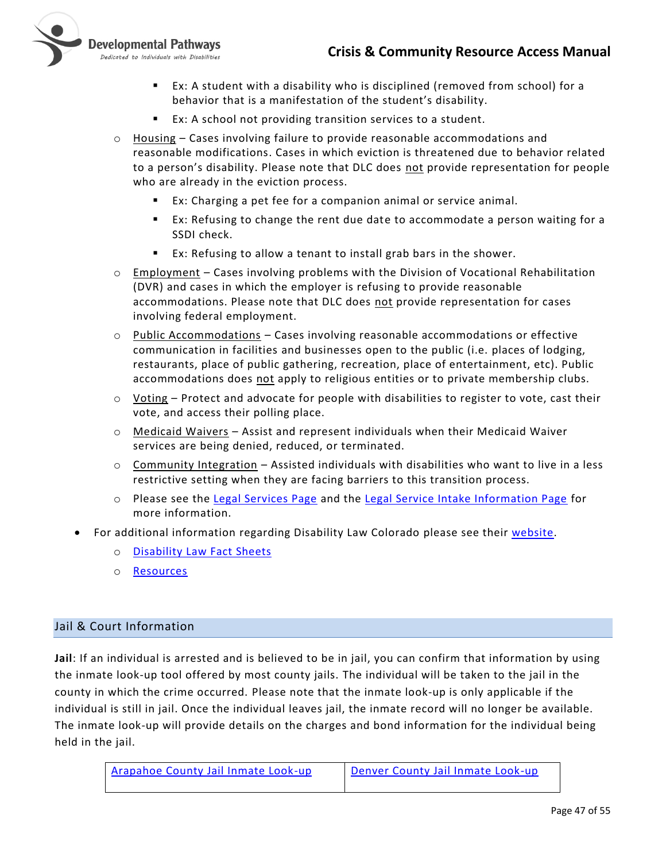

- Ex: A student with a disability who is disciplined (removed from school) for a behavior that is a manifestation of the student's disability.
- Ex: A school not providing transition services to a student.
- $\circ$  Housing Cases involving failure to provide reasonable accommodations and reasonable modifications. Cases in which eviction is threatened due to behavior related to a person's disability. Please note that DLC does not provide representation for people who are already in the eviction process.
	- Ex: Charging a pet fee for a companion animal or service animal.
	- Ex: Refusing to change the rent due date to accommodate a person waiting for a SSDI check.
	- Ex: Refusing to allow a tenant to install grab bars in the shower.
- $\circ$  Employment Cases involving problems with the Division of Vocational Rehabilitation (DVR) and cases in which the employer is refusing to provide reasonable accommodations. Please note that DLC does not provide representation for cases involving federal employment.
- $\circ$  Public Accommodations Cases involving reasonable accommodations or effective communication in facilities and businesses open to the public (i.e. places of lodging, restaurants, place of public gathering, recreation, place of entertainment, etc). Public accommodations does not apply to religious entities or to private membership clubs.
- $\circ$  Voting Protect and advocate for people with disabilities to register to vote, cast their vote, and access their polling place.
- $\circ$  Medicaid Waivers Assist and represent individuals when their Medicaid Waiver services are being denied, reduced, or terminated.
- $\circ$  Community Integration Assisted individuals with disabilities who want to live in a less restrictive setting when they are facing barriers to this transition process.
- o Please see the [Legal Services Page](https://disabilitylawco.org/services/legal-services) and the [Legal Service Intake Information Page](https://disabilitylawco.org/we-may-be-able-help-you) for more information.
- For additional information regarding Disability Law Colorado please see their [website.](https://disabilitylawco.org/)
	- o [Disability Law Fact Sheets](https://disabilitylawco.org/resources/fact-sheets)
	- o [Resources](https://disabilitylawco.org/resources)

#### <span id="page-46-0"></span>Jail & Court Information

**Jail**: If an individual is arrested and is believed to be in jail, you can confirm that information by using the inmate look-up tool offered by most county jails. The individual will be taken to the jail in the county in which the crime occurred. Please note that the inmate look-up is only applicable if the individual is still in jail. Once the individual leaves jail, the inmate record will no longer be available. The inmate look-up will provide details on the charges and bond information for the individual being held in the jail.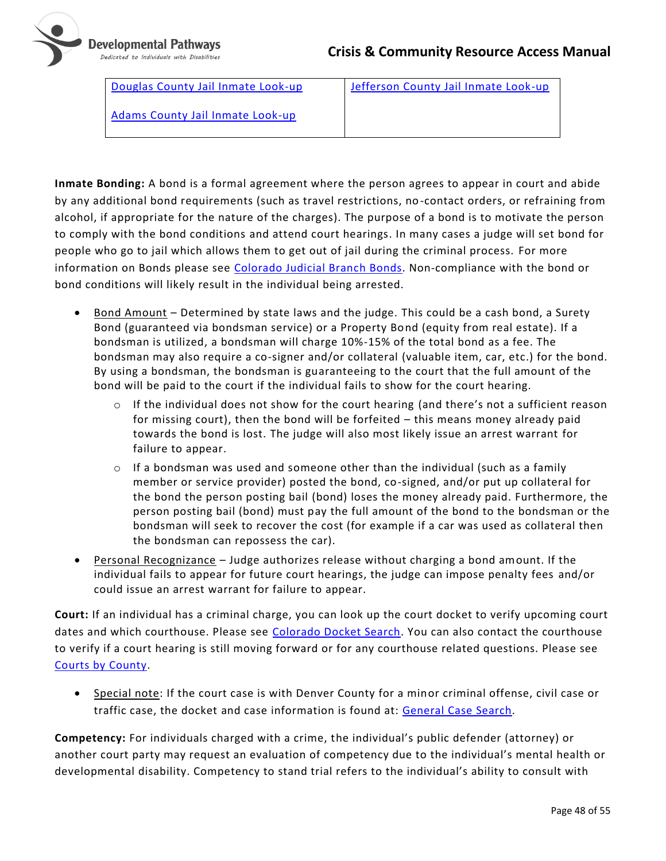

[Douglas County Jail Inmate Look-up](https://www.dcsheriff.net/inmates/) [Jefferson County Jail Inmate Look-up](https://www.jeffco.us/660/Inmate-Lookup-Tool)

[Adams County Jail Inmate Look-up](http://search.adamscountysheriff.org/inmatesearch.php)

**Inmate Bonding:** A bond is a formal agreement where the person agrees to appear in court and abide by any additional bond requirements (such as travel restrictions, no-contact orders, or refraining from alcohol, if appropriate for the nature of the charges). The purpose of a bond is to motivate the person to comply with the bond conditions and attend court hearings. In many cases a judge will set bond for people who go to jail which allows them to get out of jail during the criminal process. For more information on Bonds please see [Colorado Judicial Branch Bonds.](https://www.courts.state.co.us/Self_Help/bonds/) Non-compliance with the bond or bond conditions will likely result in the individual being arrested.

- Bond Amount Determined by state laws and the judge. This could be a cash bond, a Surety Bond (guaranteed via bondsman service) or a Property Bond (equity from real estate). If a bondsman is utilized, a bondsman will charge 10%-15% of the total bond as a fee. The bondsman may also require a co-signer and/or collateral (valuable item, car, etc.) for the bond. By using a bondsman, the bondsman is guaranteeing to the court that the full amount of the bond will be paid to the court if the individual fails to show for the court hearing.
	- $\circ$  If the individual does not show for the court hearing (and there's not a sufficient reason for missing court), then the bond will be forfeited – this means money already paid towards the bond is lost. The judge will also most likely issue an arrest warrant for failure to appear.
	- $\circ$  If a bondsman was used and someone other than the individual (such as a family member or service provider) posted the bond, co-signed, and/or put up collateral for the bond the person posting bail (bond) loses the money already paid. Furthermore, the person posting bail (bond) must pay the full amount of the bond to the bondsman or the bondsman will seek to recover the cost (for example if a car was used as collateral then the bondsman can repossess the car).
- Personal Recognizance Judge authorizes release without charging a bond amount. If the individual fails to appear for future court hearings, the judge can impose penalty fees and/or could issue an arrest warrant for failure to appear.

**Court:** If an individual has a criminal charge, you can look up the court docket to verify upcoming court dates and which courthouse. Please see [Colorado Docket Search.](https://www.courts.state.co.us/dockets/) You can also contact the courthouse to verify if a court hearing is still moving forward or for any courthouse related questions. Please see [Courts by County.](https://www.courts.state.co.us/Courts/County/Choose.cfm)

• Special note: If the court case is with Denver County for a minor criminal offense, civil case or traffic case, the docket and case information is found at: [General Case Search.](https://www.denvercountycourt.org/search/)

**Competency:** For individuals charged with a crime, the individual's public defender (attorney) or another court party may request an evaluation of competency due to the individual's mental health or developmental disability. Competency to stand trial refers to the individual's ability to consult with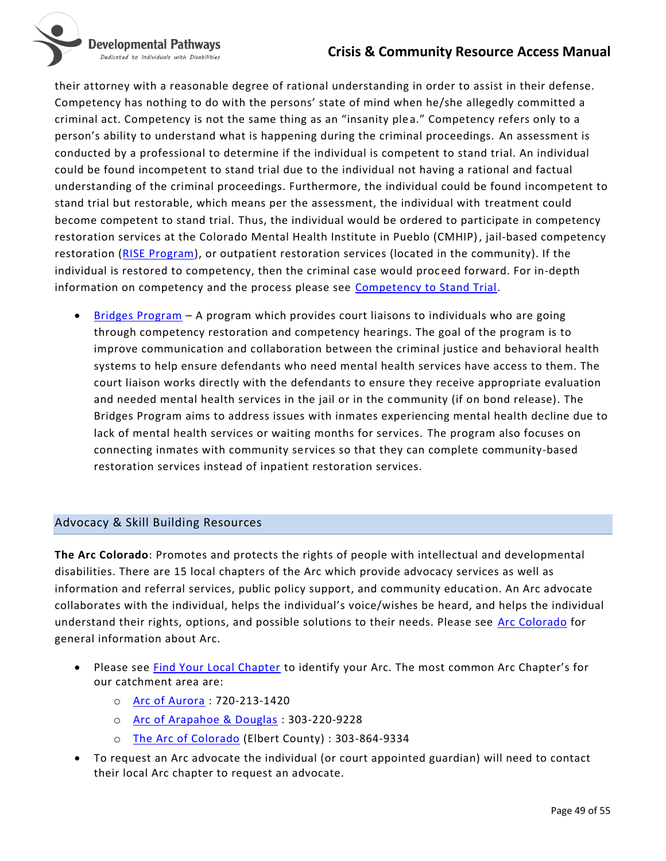# **Crisis & Community Resource Access Manual**

Developmental Pathways Dedicated to Individuals with Disabilities



their attorney with a reasonable degree of rational understanding in order to assist in their defense. Competency has nothing to do with the persons' state of mind when he/she allegedly committed a criminal act. Competency is not the same thing as an "insanity plea." Competency refers only to a person's ability to understand what is happening during the criminal proceedings. An assessment is conducted by a professional to determine if the individual is competent to stand trial. An individual could be found incompetent to stand trial due to the individual not having a rational and factual understanding of the criminal proceedings. Furthermore, the individual could be found incompetent to stand trial but restorable, which means per the assessment, the individual with treatment could become competent to stand trial. Thus, the individual would be ordered to participate in competency restoration services at the Colorado Mental Health Institute in Pueblo (CMHIP), jail-based competency restoration [\(RISE Program\)](https://wellpathcare.com/recovery-solutions-locations/rise-program-at-arapahoe-county-detention-center-rise/), or outpatient restoration services (located in the community). If the individual is restored to competency, then the criminal case would proc eed forward. For in-depth information on competency and the process please see [Competency to Stand Trial.](https://www.shouselaw.com/colorado/competency-to-stand-trial.html)

• [Bridges Program](https://www.courts.state.co.us/Media/release.cfm?id=1876) – A program which provides court liaisons to individuals who are going through competency restoration and competency hearings. The goal of the program is to improve communication and collaboration between the criminal justice and behavioral health systems to help ensure defendants who need mental health services have access to them. The court liaison works directly with the defendants to ensure they receive appropriate evaluation and needed mental health services in the jail or in the community (if on bond release). The Bridges Program aims to address issues with inmates experiencing mental health decline due to lack of mental health services or waiting months for services. The program also focuses on connecting inmates with community services so that they can complete community-based restoration services instead of inpatient restoration services.

# <span id="page-48-0"></span>Advocacy & Skill Building Resources

**The Arc Colorado**: Promotes and protects the rights of people with intellectual and developmental disabilities. There are 15 local chapters of the Arc which provide advocacy services as well as information and referral services, public policy support, and community educati on. An Arc advocate collaborates with the individual, helps the individual's voice/wishes be heard, and helps the individual understand their rights, options, and possible solutions to their needs. Please see [Arc Colorado](https://thearcofco.org/) for general information about Arc.

- Please see **Find Your Local Chapter to identify your Arc.** The most common Arc Chapter's for our catchment area are:
	- o [Arc of Aurora](https://thearcofaurora.org/) : 720-213-1420
	- o [Arc of Arapahoe & Douglas](https://arc-ad.org/) : 303-220-9228
	- o [The Arc of Colorado](https://thearcofco.org/) (Elbert County) : 303-864-9334
- To request an Arc advocate the individual (or court appointed guardian) will need to contact their local Arc chapter to request an advocate.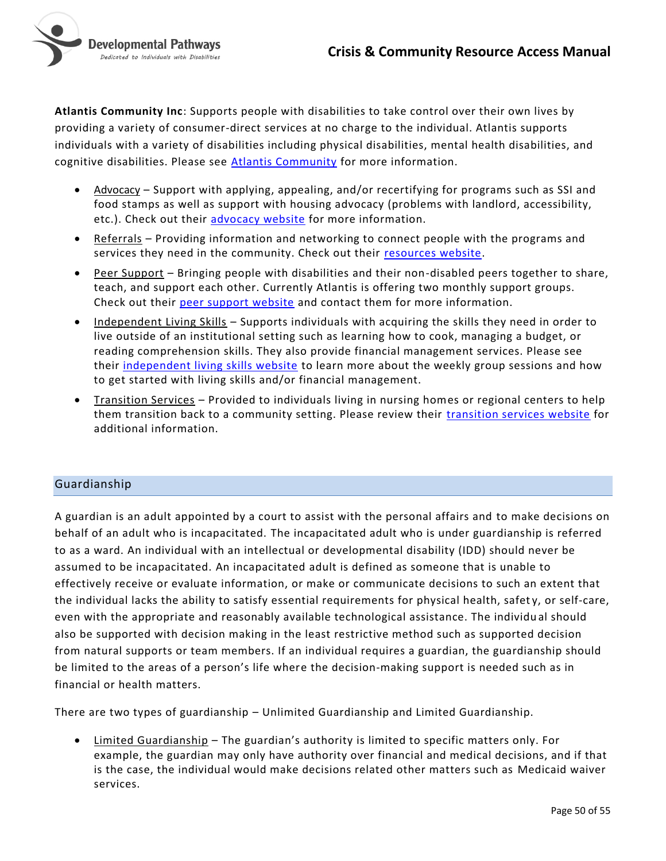

<span id="page-49-0"></span>**Atlantis Community Inc**: Supports people with disabilities to take control over their own lives by providing a variety of consumer-direct services at no charge to the individual. Atlantis supports individuals with a variety of disabilities including physical disabilities, mental health disabilities, and cognitive disabilities. Please see [Atlantis Community](http://atlantiscommunity.org/) for more information.

- Advocacy Support with applying, appealing, and/or recertifying for programs such as SSI and food stamps as well as support with housing advocacy (problems with landlord, accessibility, etc.). Check out their [advocacy website](http://atlantiscommunity.org/programs-services/the-five-core-services/advocacy/) for more information.
- Referrals Providing information and networking to connect people with the programs and services they need in the community. Check out their [resources website.](http://atlantiscommunity.org/resources/)
- Peer Support Bringing people with disabilities and their non-disabled peers together to share, teach, and support each other. Currently Atlantis is offering two monthly support groups. Check out their [peer support website](http://atlantiscommunity.org/programs-services/the-five-core-services/peer-support/) and contact them for more information.
- Independent Living Skills Supports individuals with acquiring the skills they need in order to live outside of an institutional setting such as learning how to cook, managing a budget, or reading comprehension skills. They also provide financial management services. Please see their [independent living skills website](http://atlantiscommunity.org/programs-services/the-five-core-services/independent-living-skills/) to learn more about the weekly group sessions and how to get started with living skills and/or financial management.
- Transition Services Provided to individuals living in nursing homes or regional centers to help them transition back to a community setting. Please review their *transition services website* for additional information.

#### Guardianship

A guardian is an adult appointed by a court to assist with the personal affairs and to make decisions on behalf of an adult who is incapacitated. The incapacitated adult who is under guardianship is referred to as a ward. An individual with an intellectual or developmental disability (IDD) should never be assumed to be incapacitated. An incapacitated adult is defined as someone that is unable to effectively receive or evaluate information, or make or communicate decisions to such an extent that the individual lacks the ability to satisfy essential requirements for physical health, safety, or self-care, even with the appropriate and reasonably available technological assistance. The individu al should also be supported with decision making in the least restrictive method such as supported decision from natural supports or team members. If an individual requires a guardian, the guardianship should be limited to the areas of a person's life where the decision-making support is needed such as in financial or health matters.

There are two types of guardianship – Unlimited Guardianship and Limited Guardianship.

• Limited Guardianship – The guardian's authority is limited to specific matters only. For example, the guardian may only have authority over financial and medical decisions, and if that is the case, the individual would make decisions related other matters such as Medicaid waiver services.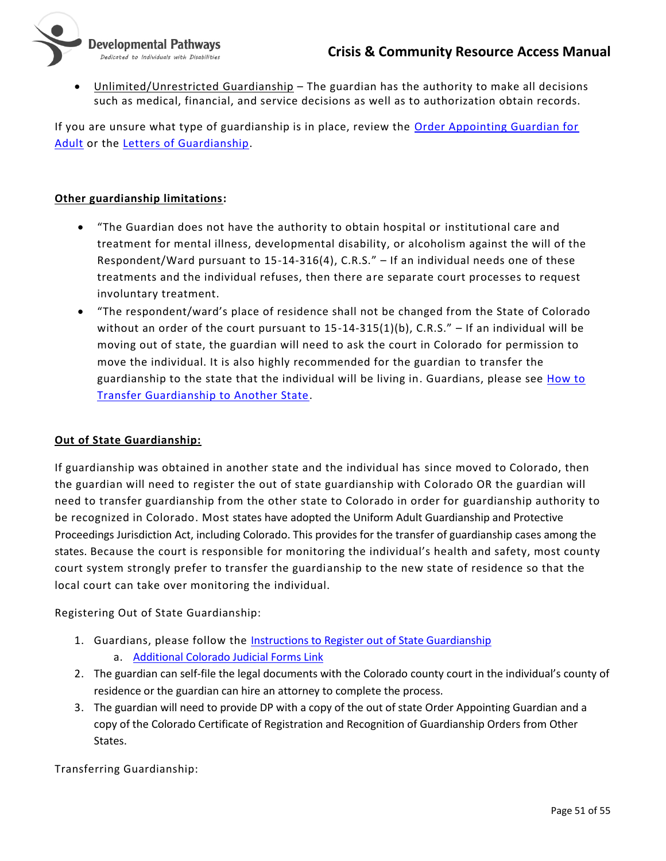

Unlimited/Unrestricted Guardianship - The guardian has the authority to make all decisions such as medical, financial, and service decisions as well as to authorization obtain records.

If you are unsure what type of guardianship is in place, review the [Order Appointing Guardian for](https://www.courts.state.co.us/Forms/PDF/JDF%20848.pdf)  [Adult](https://www.courts.state.co.us/Forms/PDF/JDF%20848.pdf) or the [Letters of Guardianship.](https://www.courts.state.co.us/Forms/PDF/JDF%20849.pdf)

### **Other guardianship limitations:**

- "The Guardian does not have the authority to obtain hospital or institutional care and treatment for mental illness, developmental disability, or alcoholism against the will of the Respondent/Ward pursuant to 15-14-316(4), C.R.S." – If an individual needs one of these treatments and the individual refuses, then there are separate court processes to request involuntary treatment.
- "The respondent/ward's place of residence shall not be changed from the State of Colorado without an order of the court pursuant to  $15-14-315(1)(b)$ , C.R.S." – If an individual will be moving out of state, the guardian will need to ask the court in Colorado for permission to move the individual. It is also highly recommended for the guardian to transfer the guardianship to the state that the individual will be living in. Guardians, please see [How to](https://www.courts.state.co.us/Self_Help/adultguardianship/)  [Transfer Guardianship to Another State.](https://www.courts.state.co.us/Self_Help/adultguardianship/)

#### **Out of State Guardianship:**

If guardianship was obtained in another state and the individual has since moved to Colorado, then the guardian will need to register the out of state guardianship with Colorado OR the guardian will need to transfer guardianship from the other state to Colorado in order for guardianship authority to be recognized in Colorado. Most states have adopted the Uniform Adult Guardianship and Protective Proceedings Jurisdiction Act, including Colorado. This provides for the transfer of guardianship cases among the states. Because the court is responsible for monitoring the individual's health and safety, most county court system strongly prefer to transfer the guardianship to the new state of residence so that the local court can take over monitoring the individual.

Registering Out of State Guardianship:

- 1. Guardians, please follow the [Instructions to Register out of State Guardianship](https://www.courts.state.co.us/Forms/PDF/JDF%20895%20Instructions%20to%20Register%20Out-Of-State%20Guardianship%20or%20Conservatorship%20Orders.pdf)
	- a. [Additional Colorado Judicial Forms Link](https://www.courts.state.co.us/Forms/Forms_List.cfm?Form_Type_ID=222)
- 2. The guardian can self-file the legal documents with the Colorado county court in the individual's county of residence or the guardian can hire an attorney to complete the process.
- 3. The guardian will need to provide DP with a copy of the out of state Order Appointing Guardian and a copy of the Colorado Certificate of Registration and Recognition of Guardianship Orders from Other States.

Transferring Guardianship: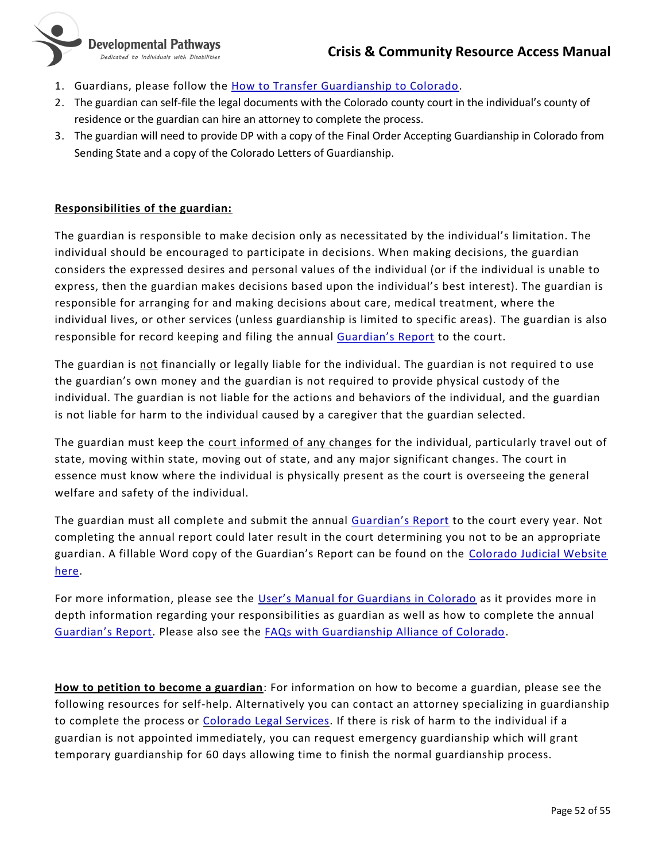

- 1. Guardians, please follow the [How to Transfer Guardianship to Colorado.](https://www.courts.state.co.us/Self_Help/adultguardianship/)
- 2. The guardian can self-file the legal documents with the Colorado county court in the individual's county of residence or the guardian can hire an attorney to complete the process.
- 3. The guardian will need to provide DP with a copy of the Final Order Accepting Guardianship in Colorado from Sending State and a copy of the Colorado Letters of Guardianship.

### **Responsibilities of the guardian:**

The guardian is responsible to make decision only as necessitated by the individual's limitation. The individual should be encouraged to participate in decisions. When making decisions, the guardian considers the expressed desires and personal values of the individual (or if the individual is unable to express, then the guardian makes decisions based upon the individual's best interest). The guardian is responsible for arranging for and making decisions about care, medical treatment, where the individual lives, or other services (unless guardianship is limited to specific areas). The guardian is also responsible for record keeping and filing the annual [Guardian's Report](https://www.courts.state.co.us/Forms/PDF/JDF%20850%20clean.pdf) to the court.

The guardian is not financially or legally liable for the individual. The guardian is not required to use the guardian's own money and the guardian is not required to provide physical custody of the individual. The guardian is not liable for the actions and behaviors of the individual, and the guardian is not liable for harm to the individual caused by a caregiver that the guardian selected.

The guardian must keep the court informed of any changes for the individual, particularly travel out of state, moving within state, moving out of state, and any major significant changes. The court in essence must know where the individual is physically present as the court is overseeing the general welfare and safety of the individual.

The guardian must all complete and submit the annual [Guardian's Report](https://www.courts.state.co.us/Forms/PDF/JDF850.pdf) to the court every year. Not completing the annual report could later result in the court determining you not to be an appropriate guardian. A fillable Word copy of the Guardian's Report can be found on the [Colorado Judicial Website](https://www.courts.state.co.us/Forms/Forms_List.cfm?Form_Type_ID=130)  [here.](https://www.courts.state.co.us/Forms/Forms_List.cfm?Form_Type_ID=130)

For more information, please see the [User's Manual for Guardians in Colorado](https://www.courts.state.co.us/userfiles/File/Probate/Guardian) as it provides more in depth information regarding your responsibilities as guardian as well as how to complete the annual [Guardian's Report](https://www.courts.state.co.us/Forms/PDF/JDF850.pdf). Please also see the [FAQs with Guardianship Alliance of Colorado.](https://www.abilityconnectioncolorado.org/guardianshipallianceofcolorado/faqs/)

**How to petition to become a guardian**: For information on how to become a guardian, please see the following resources for self-help. Alternatively you can contact an attorney specializing in guardianship to complete the process or [Colorado Legal Services.](https://www.coloradolegalservices.org/node/1/what-we-do) If there is risk of harm to the individual if a guardian is not appointed immediately, you can request emergency guardianship which will grant temporary guardianship for 60 days allowing time to finish the normal guardianship process.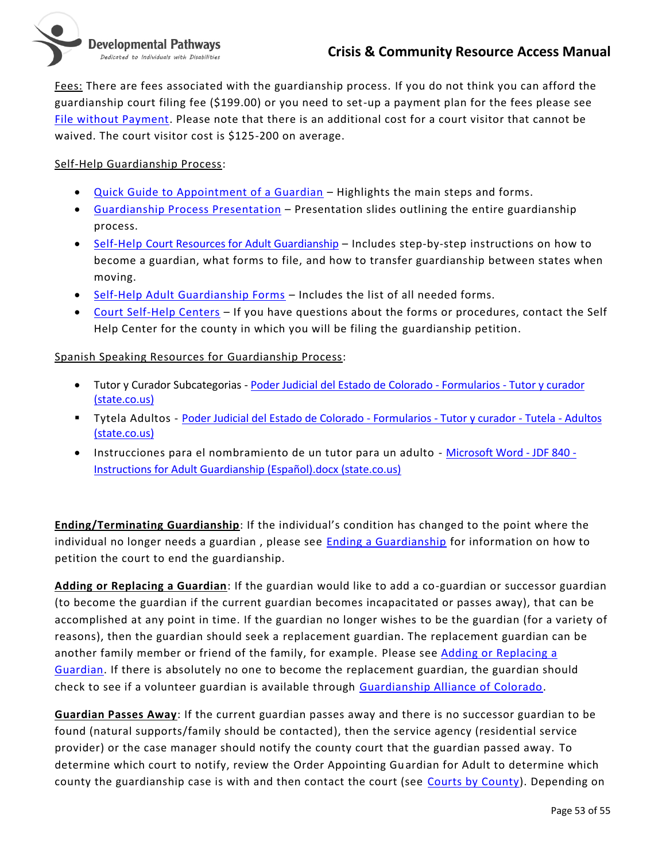

Fees: There are fees associated with the guardianship process. If you do not think you can afford the guardianship court filing fee (\$199.00) or you need to set-up a payment plan for the fees please see [File without Payment.](https://www.courts.state.co.us/Self_Help/filewithoutpayment.cfm?Subcategory_ID=47) Please note that there is an additional cost for a court visitor that cannot be waived. The court visitor cost is \$125-200 on average.

#### Self-Help Guardianship Process:

- [Quick Guide to Appointment of a Guardian](https://www.courts.state.co.us/userfiles/file/Self_Help/Probate/FINAL%20-%20Flowchart%20for%20Appointment%20of%20a%20Guardian%20-%20Adult%206-19.pdf) Highlights the main steps and forms.
- [Guardianship Process Presentation](https://www.courts.state.co.us/userfiles/file/Administration/Planning_and_Analysis/Court%20Programs/protectedproceedingsforadults/Protective%20Proceedings%20Overview%20For%20Adult%20Public%20VersionPRINTABLE.pdf) Presentation slides outlining the entire guardianship process.
- [Self-Help Court Resources for Adult Guardianship](https://www.courts.state.co.us/Self_Help/adultguardianship/) Includes step-by-step instructions on how to become a guardian, what forms to file, and how to transfer guardianship between states when moving.
- [Self-Help Adult Guardianship Forms](https://www.courts.state.co.us/Forms/Forms_List.cfm?Form_Type_ID=57) Includes the list of all needed forms.
- [Court Self-Help Centers](https://www.courts.state.co.us/userfiles/file/Self_Help/Contact%20list%20for%20public(16).pdf) If you have questions about the forms or procedures, contact the Self Help Center for the county in which you will be filing the guardianship petition.

#### Spanish Speaking Resources for Guardianship Process:

- Tutor y Curador Subcategorias [Poder Judicial del Estado de Colorado -](https://www.courts.state.co.us/Forms/Espanol/SubCategory.cfm?Category=Guardian) Formularios Tutor y curador [\(state.co.us\)](https://www.courts.state.co.us/Forms/Espanol/SubCategory.cfm?Category=Guardian)
- **·** Tytela Adultos [Poder Judicial del Estado de Colorado -](https://www.courts.state.co.us/Forms/Espanol/Forms_List.cfm?Form_Type_ID=57) Formularios Tutor y curador Tutela Adultos [\(state.co.us\)](https://www.courts.state.co.us/Forms/Espanol/Forms_List.cfm?Form_Type_ID=57)
- Instrucciones para el nombramiento de un tutor para un adulto [Microsoft Word -](https://www.courts.state.co.us/Forms/PDF/JDF840_Esp.pdf) JDF 840 [Instructions for Adult Guardianship \(Español\).docx \(state.co.us\)](https://www.courts.state.co.us/Forms/PDF/JDF840_Esp.pdf)

**Ending/Terminating Guardianship**: If the individual's condition has changed to the point where the individual no longer needs a guardian, please see **Ending a Guardianship** for information on how to petition the court to end the guardianship.

**Adding or Replacing a Guardian**: If the guardian would like to add a co-guardian or successor guardian (to become the guardian if the current guardian becomes incapacitated or passes away), that can be accomplished at any point in time. If the guardian no longer wishes to be the guardian (for a variety of reasons), then the guardian should seek a replacement guardian. The replacement guardian can be another family member or friend of the family, for example. Please see [Adding or Replacing a](https://www.courts.state.co.us/Self_Help/addreplaceguardian/)  [Guardian.](https://www.courts.state.co.us/Self_Help/addreplaceguardian/) If there is absolutely no one to become the replacement guardian, the guardian should check to see if a volunteer guardian is available through [Guardianship Alliance of Colorado.](https://www.abilityconnectioncolorado.org/guardianshipallianceofcolorado/volunteer-guardian-program/)

**Guardian Passes Away**: If the current guardian passes away and there is no successor guardian to be found (natural supports/family should be contacted), then the service agency (residential service provider) or the case manager should notify the county court that the guardian passed away. To determine which court to notify, review the Order Appointing Guardian for Adult to determine which county the guardianship case is with and then contact the court (see [Courts by County\)](https://www.courts.state.co.us/Courts/County/Choose.cfm). Depending on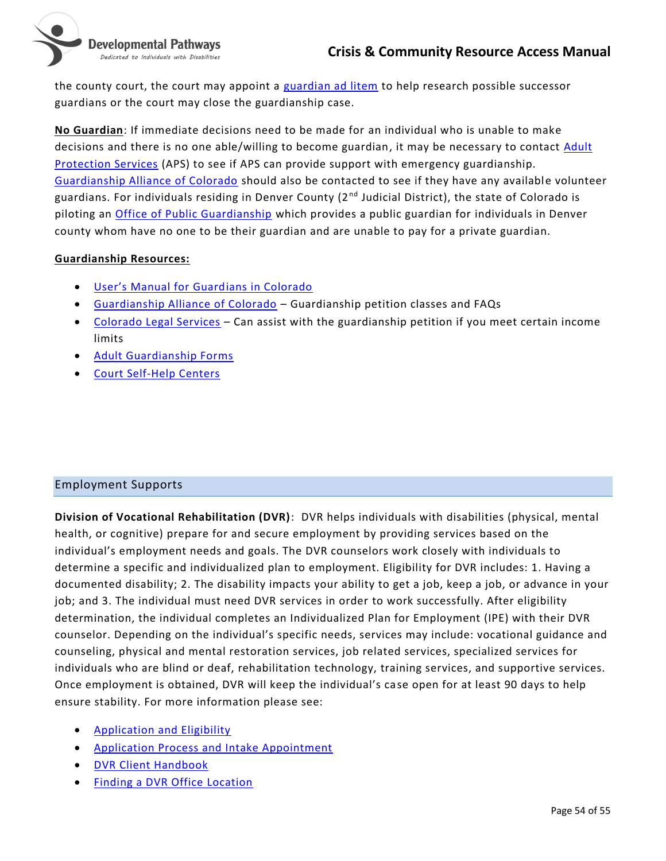

Dedicated to Individuals with Disabilities

the county court, the court may appoint a [guardian ad litem](https://www.courts.state.co.us/Glossary.cfm) to help research possible successor guardians or the court may close the guardianship case.

**No Guardian**: If immediate decisions need to be made for an individual who is unable to make decisions and there is no one able/willing to become guardian, it may be necessary to contact Adult [Protection Services](#page-16-0) (APS) to see if APS can provide support with emergency guardianship. [Guardianship Alliance of Colorado](https://www.abilityconnectioncolorado.org/guardianshipallianceofcolorado/faqs/) should also be contacted to see if they have any available volunteer guardians. For individuals residing in Denver County (2<sup>nd</sup> Judicial District), the state of Colorado is piloting an [Office of Public Guardianship](https://colorado-opg.org/opg-referral-process/) which provides a public guardian for individuals in Denver county whom have no one to be their guardian and are unable to pay for a private guardian.

#### **Guardianship Resources:**

- [User's Manual for Guard](https://www.courts.state.co.us/userfiles/File/Probate/Guardian)ians in Colorado
- [Guardianship Alliance of Colorado](https://www.abilityconnectioncolorado.org/guardianshipallianceofcolorado/faqs/) Guardianship petition classes and FAQs
- [Colorado Legal Services](https://www.coloradolegalservices.org/node/1/what-we-do) Can assist with the guardianship petition if you meet certain income limits
- [Adult Guardianship Forms](https://www.courts.state.co.us/Forms/Forms_List.cfm?Form_Type_ID=57)
- [Court Self-Help Centers](https://www.courts.state.co.us/userfiles/file/Self_Help/Contact%20list%20for%20public(16).pdf)

# <span id="page-53-0"></span>Employment Supports

**Division of Vocational Rehabilitation (DVR)**: DVR helps individuals with disabilities (physical, mental health, or cognitive) prepare for and secure employment by providing services based on the individual's employment needs and goals. The DVR counselors work closely with individuals to determine a specific and individualized plan to employment. Eligibility for DVR includes: 1. Having a documented disability; 2. The disability impacts your ability to get a job, keep a job, or advance in your job; and 3. The individual must need DVR services in order to work successfully. After eligibility determination, the individual completes an Individualized Plan for Employment (IPE) with their DVR counselor. Depending on the individual's specific needs, services may include: vocational guidance and counseling, physical and mental restoration services, job related services, specialized services for individuals who are blind or deaf, rehabilitation technology, training services, and supportive services. Once employment is obtained, DVR will keep the individual's case open for at least 90 days to help ensure stability. For more information please see:

- [Application and Eligibility](https://www.colorado.gov/pacific/dvr/application-eligibility)
- [Application Process and Intake Appointment](https://www.colorado.gov/pacific/dvr/application-process-1)
- [DVR Client Handbook](https://www.colorado.gov/pacific/sites/default/files/Client%20Handbook%20%20-%20Web%202019-02.pdf)
- [Finding a DVR Office](https://www.colorado.gov/pacific/dvr/contact-us-90) Location